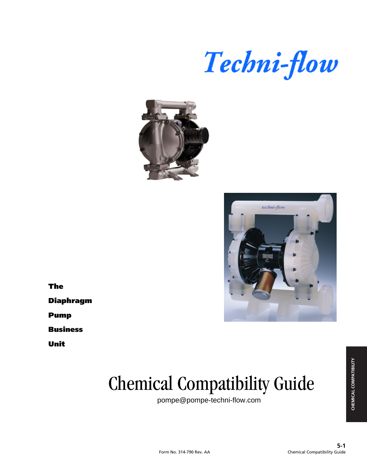





**The**

**Diaphragm**

**Pump**

**Business**

**Unit**

# Chemical Compatibility Guide

pompe@pompe-techni-flow.com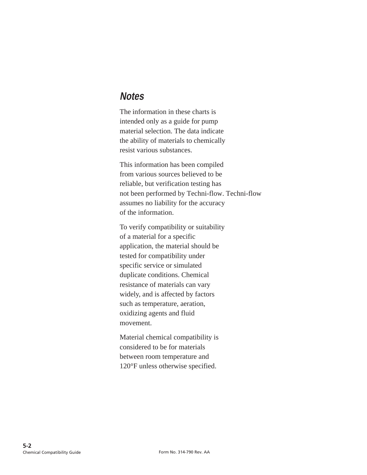#### **Notes**

The information in these charts is intended only as a guide for pump material selection. The data indicate the ability of materials to chemically resist various substances.

This information has been compiled from various sources believed to be reliable, but verification testing has not been performed by Techni-flow. Techni-flow assumes no liability for the accuracy of the information.

To verify compatibility or suitability of a material for a specific application, the material should be tested for compatibility under specific service or simulated duplicate conditions. Chemical resistance of materials can vary widely, and is affected by factors such as temperature, aeration, oxidizing agents and fluid movement.

Material chemical compatibility is considered to be for materials between room temperature and 120°F unless otherwise specified.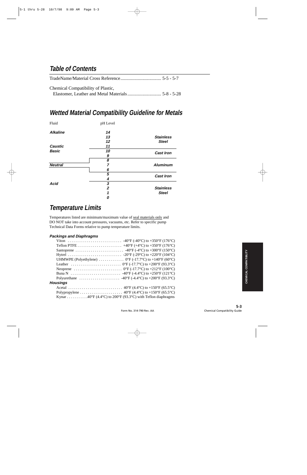#### **Table of Contents**

| Chemical Compatibility of Plastic, |  |
|------------------------------------|--|
|                                    |  |

#### **Wetted Material Compatibility Guideline for Metals**

| Fluid           | pH Level         |                  |
|-----------------|------------------|------------------|
| <b>Alkaline</b> | 14               |                  |
|                 | 13               | <b>Stainless</b> |
|                 | 12               | <b>Steel</b>     |
| <b>Caustic</b>  | 11               |                  |
| <b>Basic</b>    | 10               | <b>Cast Iron</b> |
|                 | 9                |                  |
|                 | 8                |                  |
| <b>Neutral</b>  | 7                | <b>Aluminum</b>  |
|                 | 6                |                  |
|                 | 5                | <b>Cast Iron</b> |
|                 | 4                |                  |
| <b>Acid</b>     | 3                |                  |
|                 | $\boldsymbol{2}$ | <b>Stainless</b> |
|                 | 1                | <b>Steel</b>     |
|                 | 0                |                  |

#### **Temperature Limits**

Temperatures listed are minimum/maximum value of seal materials only and DO NOT take into account pressures, vacuums, etc. Refer to specific pump Technical Data Forms relative to pump temperature limits.

#### **Packings and Diaphragms**

|                 | UHMWPE (Polyethylene) $\ldots \ldots \ldots \ldots$ 0°F (-17.7°C) to +140°F (60°C) |
|-----------------|------------------------------------------------------------------------------------|
|                 |                                                                                    |
|                 |                                                                                    |
|                 |                                                                                    |
|                 |                                                                                    |
| <b>Housings</b> |                                                                                    |
|                 |                                                                                    |
|                 |                                                                                    |
|                 | Kynar 40°F (4.4°C) to 200°F (93.3°C) with Teflon diaphragms                        |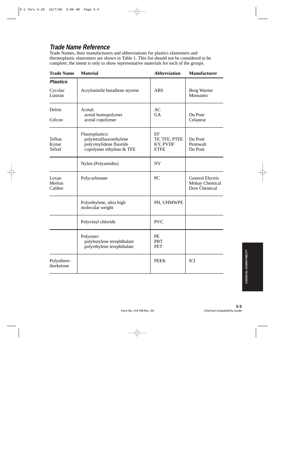### **Trade Name Reference**

Trade Names, their manufacturers and abbreviations for plastics elastomers and thermoplastic elastomers are shown in Table 1. This list should not be considered to be complete; the intent is only to show representative materials for each of the groups.

| <b>Trade Name</b>          | <b>Material</b>                                                                                   | <b>Abbreviation</b>                            | <b>Manufacturer</b>                                       |
|----------------------------|---------------------------------------------------------------------------------------------------|------------------------------------------------|-----------------------------------------------------------|
| <b>Plastics</b>            |                                                                                                   |                                                |                                                           |
| Cycolac<br>Lustran         | Acrylonitrile butadiene styrene                                                                   | <b>ABS</b>                                     | <b>Borg Warner</b><br>Monsanto                            |
| Delrin                     | Acetal:<br>acetal homopolymer                                                                     | AC<br><b>GA</b>                                | Du Pont                                                   |
| Celcon                     | acetal copolymer                                                                                  |                                                | Celanese                                                  |
| Teflon<br>Kynar<br>Tefzel  | Fluoroplastics:<br>polytetrafluoroethylene<br>polyvinylidene fluoride<br>copolymer ethylene & TFE | EF<br>TF, TFE, PTFE<br>KY, PVDF<br><b>ETFE</b> | Du Pont<br>Pennwalt<br>Du Pont                            |
|                            | Nylon (Polyamides)                                                                                | <b>NY</b>                                      |                                                           |
| Lexan<br>Merlon<br>Calibre | Polycarbonate                                                                                     | PC                                             | <b>General Electric</b><br>Mobay Chemical<br>Dow Chemical |
|                            | Polyethylene, ultra high<br>molecular weight                                                      | PH, UHMWPE                                     |                                                           |
|                            | Polyvinyl chloride                                                                                | <b>PVC</b>                                     |                                                           |
|                            | Polyester:<br>polybutylene terephthalate<br>polyethylene terephthalate                            | PE<br><b>PBT</b><br><b>PET</b>                 |                                                           |
| Polyethere-<br>therketone  |                                                                                                   | <b>PEEK</b>                                    | ICI                                                       |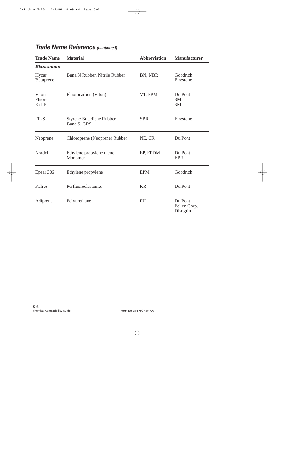## **Trade Name Reference (continued)**

| <b>Trade Name</b>         | <b>Material</b>                          | <b>Abbreviation</b> | <b>Manufacturer</b>                 |
|---------------------------|------------------------------------------|---------------------|-------------------------------------|
| <b>Elastomers</b>         |                                          |                     |                                     |
| Hycar<br><b>Butaprene</b> | Buna N Rubber, Nitrile Rubber            | BN, NBR             | Goodrich<br>Firestone               |
| Viton<br>Fluorel<br>Kel-F | Fluorocarbon (Viton)                     | VT, FPM             | Du Pont<br>3M<br>3M                 |
| FR-S                      | Styrene Butadiene Rubber,<br>Buna S, GRS | <b>SBR</b>          | Firestone                           |
| Neoprene                  | Chloroprene (Neoprene) Rubber            | NE, CR              | Du Pont                             |
| Nordel                    | Ethylene propylene diene<br>Monomer      | EP, EPDM            | Du Pont<br><b>EPR</b>               |
| Epear 306                 | Ethylene propylene                       | <b>EPM</b>          | Goodrich                            |
| Kalrez                    | Perfluoroelastomer                       | <b>KR</b>           | Du Pont                             |
| Adiprene                  | Polyurethane                             | PU                  | Du Pont<br>Pellen Corp.<br>Disogrin |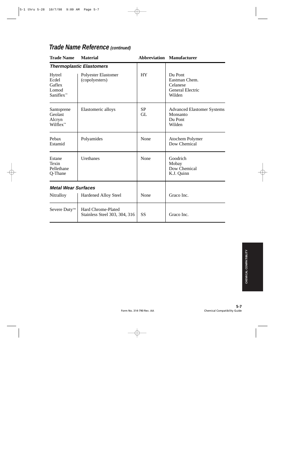| <b>Trade Name</b>                                  | <b>Material</b>                                     |                        | <b>Abbreviation Manufacturer</b>                                          |
|----------------------------------------------------|-----------------------------------------------------|------------------------|---------------------------------------------------------------------------|
|                                                    | <b>Thermoplastic Elastomers</b>                     |                        |                                                                           |
| Hytrel<br>Ecdel<br>Gaflex<br>Lomod<br>$Saniflex^m$ | Polyester Elastomer<br>(copolyesters)               | <b>HY</b>              | Du Pont<br>Eastman Chem.<br>Celanese<br><b>General Electric</b><br>Wilden |
| Santoprene<br>Geolast<br>Alcryn<br>$Wilflex^m$     | Elastomeric alloys                                  | <b>SP</b><br><b>GL</b> | <b>Advanced Elastomer Systems</b><br>Monsanto<br>Du Pont<br>Wilden        |
| Pebax<br>Estamid                                   | Polyamides                                          | None                   | Atochem Polymer<br>Dow Chemical                                           |
| Estane<br>Texin<br>Pellethane<br>Q-Thane           | Urethanes                                           | None                   | Goodrich<br>Mobay<br>Dow Chemical<br>K.J. Quinn                           |
| <b>Metal Wear Surfaces</b>                         |                                                     |                        |                                                                           |
| Nitralloy                                          | <b>Hardened Alloy Steel</b>                         | None                   | Graco Inc.                                                                |
| Severe Duty <sup>™</sup>                           | Hard Chrome-Plated<br>Stainless Steel 303, 304, 316 | <b>SS</b>              | Graco Inc.                                                                |

#### **Trade Name Reference (continued)**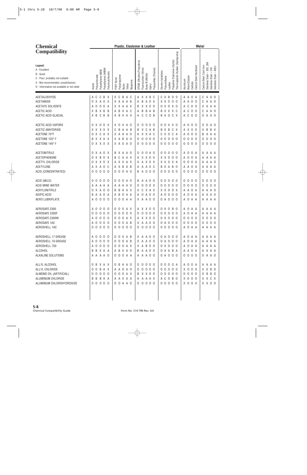| <b>Chemical</b>                                                                                                                                              |                                                                                                                             | Plastic, Elastomer & Leather                                                                                                                                           |                                                                                                                                                                                                                                                                                                |  |
|--------------------------------------------------------------------------------------------------------------------------------------------------------------|-----------------------------------------------------------------------------------------------------------------------------|------------------------------------------------------------------------------------------------------------------------------------------------------------------------|------------------------------------------------------------------------------------------------------------------------------------------------------------------------------------------------------------------------------------------------------------------------------------------------|--|
| <b>Compatibility</b>                                                                                                                                         |                                                                                                                             |                                                                                                                                                                        |                                                                                                                                                                                                                                                                                                |  |
| Legend:<br>A - Excellent<br>B - Good<br>C - Poor, probably not suitable<br>X - Not recommended, unsatisfactory<br>0 - Information not available or not rated | Polyethylene UHMW<br>Polyethylene HMW<br>Polyvinylchloride<br>Polycarbonate<br>Acetal                                       | EPDM (Ethylene Propylene)<br>Polysulfide (Thiokol)<br>Fluorocarbon (Viton)<br>Buna-N (Nitrile)<br>Polypropylene<br>PVDF Kynar<br>Neoprene<br>Teflon<br>Kalrrz<br>Nylon | Thermoplastic Rubber (Santoprene)<br>Polyester Elastomer (Hytrel)<br>Stainless Steel - 303, 304<br>Carbon Steel, Cast Iron<br>Carbon Steel Hardened<br>Stainless Steel - 316<br>Stainless Steel - 400's<br>Styrene butadiene<br>Polyurethane<br>Brass/Copper<br>Aluminum<br>Carbide<br>Leather |  |
| ACETALDEHYDE<br>ACETAMIDE<br><b>ACETATE SOLVENTS</b><br><b>ACETIC ACID</b><br>ACETIC ACID GLACIAL                                                            | C<br>C<br>B X<br>A<br>X A O X<br>0<br>0<br>$\mathbf 0$<br>$\mathbf 0$<br>Α<br>A<br>X B<br>X B B<br>C B B<br>X B             | X C B A C<br>A X X B C<br>X A A A B<br>B<br>A O X<br>A<br>X X A A X<br>B X X O O<br>A B X A C<br>B<br>B A B<br>A<br>ABXAX<br>C C O B<br>A                              | C X B<br>0 <sub>0</sub><br>A A O A<br>A<br>A O<br>C<br>$X$ $X$ $0$ $0$ $0$<br>A A O O<br>A<br>A O<br>C<br>0 X 0 X 0<br>A C O O<br>A<br>A A<br>X.<br>B X X X C<br>A C O O<br>A O<br>Α<br>C<br>B X O C X<br>A C O O<br>A<br>A O<br>0                                                             |  |
| ACETIC ACID VAPORS<br><b>ACETIC ANHYDRIDE</b><br>ACETONE 70°F<br>ACETONE 120° F<br>ACETONE 140° F                                                            | 0 X 0 0 X<br>X X X X X<br>X C A X<br>0<br>B X X A X<br>0 X X X X                                                            | X O X A O<br>0000<br>0<br>CBAAB<br>B X C A B<br>X A A A O<br>A X X A C<br>X A B A O<br>0000<br>0<br>X A O A O<br>0000<br>0                                             | 0 0 X X 0<br>A 0 0 0<br>0<br>A O<br>0<br>B X B<br>C X<br>A X 0 0<br>B<br>B X<br>X.<br>X O C A<br>A 0 0 0<br>A<br>A A<br>C<br>B<br>0 <sub>0</sub><br>0 <sub>0</sub><br>0000<br>$\overline{0}$<br>0 <sub>0</sub><br>0<br>0<br>00000<br>0000<br>$\mathbf 0$<br>0 <sub>0</sub><br>0                |  |
| <b>ACETONITRILE</b><br><b>ACETOPHENONE</b><br>ACETYL CHLORIDE<br><b>ACETYLENE</b><br>ACID (CONCENTRATED)                                                     | 0 X A O X<br>X<br>B<br>0 X<br>0<br>X X O X<br>0<br>A X A O C<br>000<br>0 <sub>0</sub>                                       | 0 0 A 0<br>B X A A O<br>0<br>CAAX<br>A X X O X<br>B<br>A X X A X<br>X A X O X<br>A X B A B<br>A A A O C<br>$0000A$<br><b>BAOOO</b>                                     | 000<br>0 <sub>0</sub><br>A O O A<br>A A<br>A A<br>X X O<br>0 <sub>0</sub><br>A 0 0 A<br>$\mathsf{A}$<br>A A<br>A<br>0 0 0 A<br>X X O X A<br>A<br>A O<br>Α<br>A A O A<br>B X A B O<br>A<br>A A<br>A<br>00000<br>0000<br>$\mathbf 0$<br>0 <sub>0</sub><br>0                                      |  |
| ACID (MILD)<br><b>ACID MINE WATER</b><br>ACRYLONITRILE<br>ADIPIC ACID<br>AERO LUBRIPLATE                                                                     | 0<br>0<br>0<br>0<br>- 0<br>AAA<br>А<br>A<br>A<br>$\mathbf 0$<br>X<br>- 0<br>0<br>A O A<br>A<br>B<br>$\mathbf 0$<br>000<br>Α | 000A0<br><b>BAA00</b><br>0000<br>A A A A O<br>0<br>B A A X<br>C X A X<br>X.<br>В<br>B O A A<br>0 A O O<br>A<br>A<br>0 0 0 A A<br>X A A O O                             | 000<br>0000<br>0 <sub>0</sub><br>0<br>0 <sub>0</sub><br>0<br>0 <sub>0</sub><br>0 <sub>0</sub><br>0000<br>0<br>0 <sub>0</sub><br>0<br>0<br>A A O A<br>X X O O X<br>A<br>A 0<br>A<br>A 0 0<br>A 0 0 A<br>0 <sub>0</sub><br>A A<br>A 0<br>0 A O O O<br>A O A A<br>A A A A                         |  |
| AEROSAFE 2300<br>AEROSAFE 2300F<br>AEROSAFE 2300W<br>AEROSAFE 1AC<br>AEROSHELL 1AC                                                                           | A<br>0<br>0<br>0<br>- 0<br>00000<br>A 0 0 0 0<br>A 0 0 0 0<br>00000                                                         | $000A$ X<br>A X X O O<br>00000<br>0<br>0000<br>$000A$ X<br>A X X O O<br>0 0 0 A B<br>X A A O O<br>00000<br>0 0 0 0 0                                                   | 0 X O<br>B <sub>0</sub><br>A O A A<br>A A<br>A A<br>00000<br>A O A A<br>A A A A<br>0 X 0 0 0<br>$0000$<br>$0\quad 0\quad 0\quad 0$<br>0 A O O O<br>0000<br>0000<br>00000<br>A O A A<br>A A A A                                                                                                 |  |
| AEROSHELL 17 GREASE<br>AEROSHELL 7A GREASE<br>AEROSHELL 750<br>ALCOHOL<br>ALKALINE SOLUTIONS                                                                 | A 0 0 0 0<br>A 0 0 0 0<br>A 0 0 0 0<br><b>BBXAA</b><br>A A A A O                                                            | 0 0 0 A B<br>X A A O O<br>0 0 0 A B<br>X A A O O<br>0 0 0 A X<br>X A B O O<br>A B X A O<br><b>B A A O O</b><br>0 0 0 A A<br>A A A O O                                  | 0 A O O O<br>A O A A<br>A A A A<br>0 A O O O<br>A O A A<br>A A A A<br>0 X 0 0 0<br>A O A A<br>A A A A<br>O A A B A<br>A A O A<br>A A A A<br>0 A O O O<br>0 0 0 0<br>0 A A O                                                                                                                    |  |
| ALLYL ALCOHOL<br>ALLYL CHLORIDE<br>ALMOND OIL (ARTIFICIAL)<br>ALUMINUM CHLORIDE<br>ALUMINUM CHLOROHYDROXIDE                                                  | O B X A X<br>0 0 B A X<br>00000<br>B B B A A<br>00000                                                                       | 0 B A A O<br>00000<br>A A O A O<br>00000<br>0 0 0 A X<br>B X X O O<br>A A X A A<br>A A A A X<br>0 0 A A 0<br>00000                                                     | 0000A<br>A 0 0 A<br>A A A A<br>X O B O<br>00000<br>X 0 0 0<br>0 0 0 0<br>00000<br>0 B B O<br>A C O B O<br>$X$ 0 0 0<br>X X C X<br>00000<br>X O O X<br>X X O O                                                                                                                                  |  |
|                                                                                                                                                              |                                                                                                                             |                                                                                                                                                                        |                                                                                                                                                                                                                                                                                                |  |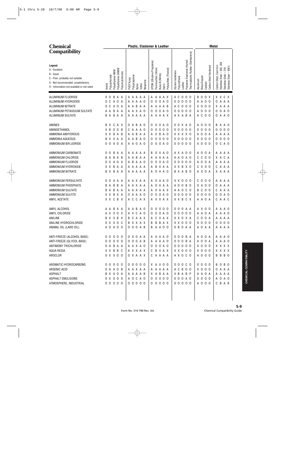| <b>Chemical</b>                                                                                                                                              |                                                                                       | Plastic, Elastomer & Leather                                                                                                                                                                                                                                                                            | <b>Metal</b>                                                                                                                                                              |
|--------------------------------------------------------------------------------------------------------------------------------------------------------------|---------------------------------------------------------------------------------------|---------------------------------------------------------------------------------------------------------------------------------------------------------------------------------------------------------------------------------------------------------------------------------------------------------|---------------------------------------------------------------------------------------------------------------------------------------------------------------------------|
| <b>Compatibility</b>                                                                                                                                         |                                                                                       |                                                                                                                                                                                                                                                                                                         |                                                                                                                                                                           |
| Legend:<br>A - Excellent<br>B - Good<br>C - Poor, probably not suitable<br>X - Not recommended, unsatisfactory<br>0 - Information not available or not rated | Polyethylene UHMW<br>Polyethylene HMW<br>Polyvinylchloride<br>Acetal<br>Polycarbonate | Thermoplastic Rubber (Santoprene)<br>Elastomer (Hytrel)<br>EPDM (Ethylene Propylene)<br>Fluorocarbon (Viton)<br>Polysulfide (Thiokol)<br>Styrene butadiene<br>Buna-N (Nitrile)<br>Polypropylene<br>Polyurethane<br>PVDF Kynar<br>Neoprene<br>Polyester <b>F</b><br>Leather<br>Teflon<br>Kalrrz<br>Nylon | Stainless Steel – 303, 304<br>Stainless Steel – 316<br>Stainless Steel – 400's<br>Carbon Steel, Cast Iron<br>Carbon Steel Hardened<br>Brass/Copper<br>Aluminum<br>Carbide |
| ALUMINUM FLUORIDE                                                                                                                                            | X O B A A                                                                             | A C<br>$0\quad 0\quad 0$<br>A A A A A<br>A A A A X                                                                                                                                                                                                                                                      | B <sub>0</sub><br>0 X<br>X X C X                                                                                                                                          |
| ALUMINUM HYDROXIDE                                                                                                                                           | 0 <sup>o</sup><br>A O<br>A                                                            | $\mathbf 0$<br>00000<br>A A A A O<br>0<br>A O<br>0                                                                                                                                                                                                                                                      | A A<br>0 <sub>0</sub><br>0 A<br>A A                                                                                                                                       |
| <b>ALUMINUM NITRATE</b>                                                                                                                                      | A O<br>C<br>0<br>A                                                                    | A C O O O<br>A B A A<br>A A A B<br>A<br>А                                                                                                                                                                                                                                                               | X O<br>0 <sub>0</sub><br>X A A A                                                                                                                                          |
| ALUMINUM POTASSIUM SULFATE                                                                                                                                   | B A A<br>A A                                                                          | 0 0 A 0<br>00000<br>A A X A O<br>0                                                                                                                                                                                                                                                                      | $\mathbf 0$<br>0 <sub>0</sub><br>$\mathbf 0$<br>A O<br>0<br>A                                                                                                             |
| ALUMINUM SULFATE                                                                                                                                             | B A<br>B A A                                                                          | A A A A A<br>A A A A X<br>A X A B A                                                                                                                                                                                                                                                                     | A C<br>0 A A O<br>0 <sub>0</sub>                                                                                                                                          |
| AMINES                                                                                                                                                       | B X C A X                                                                             | A B<br>0 0 A 0<br>0 0 X A 0<br>A O<br>0<br>0                                                                                                                                                                                                                                                            | $\mathbf 0$<br>0 <sub>0</sub><br>B A A O<br>A                                                                                                                             |
| AMINOETHANOL                                                                                                                                                 | $\mathbf 0$<br>$\boldsymbol{0}$<br>X B<br>B                                           | $\mathbf 0$<br>00000<br>A A A O<br>0<br>0 <sub>0</sub><br>C<br>0                                                                                                                                                                                                                                        | $\mathbf 0$<br>0 <sub>0</sub><br>$\mathbf 0$<br>0 <sub>0</sub><br>0<br>0                                                                                                  |
| AMMONIA ANHYDROUS                                                                                                                                            | X X B A B                                                                             | X B A O<br>A B<br>A A<br>X X X X O<br>A<br>A                                                                                                                                                                                                                                                            | $\mathbf 0$<br>0 A<br>A A A A<br>A                                                                                                                                        |
| AMMONIA AQUEOUS                                                                                                                                              | B X X A A                                                                             | A B<br>0<br>$\mathbf 0$<br>00000<br>A O<br>0 <sub>0</sub><br>A<br>0                                                                                                                                                                                                                                     | $\mathbf 0$<br>0 <sub>0</sub><br>$\mathbf 0$<br>0 <sub>0</sub><br>0<br>0                                                                                                  |
| AMMONIUM BIFLUORIDE                                                                                                                                          | A O A<br>0 <sub>0</sub>                                                               | A A O A O<br>0 A 0<br>00000<br>0<br>0                                                                                                                                                                                                                                                                   | X O<br>0 <sub>0</sub><br>C<br>A O<br>0                                                                                                                                    |
| AMMONIUM CARBONATE                                                                                                                                           | 0<br>B<br>A<br>0<br>A                                                                 | A X A O O<br>A A A A<br>0 X A O<br>B<br>A                                                                                                                                                                                                                                                               | $\mathsf{O}$<br>0 A<br>A A<br>A A<br>A                                                                                                                                    |
| AMMONIUM CHLORIDE                                                                                                                                            | B A<br>B<br>A<br>B                                                                    | A A O A O<br>A B<br>Α<br>A A A<br>A A<br>A<br>Α                                                                                                                                                                                                                                                         | C<br>0 <sub>0</sub><br>X A<br>C A<br>C                                                                                                                                    |
| AMMONIUM FLUORIDE                                                                                                                                            | A O<br>0 X<br>X                                                                       | $\mathbf 0$<br>00000<br>B<br>A<br>A O<br>0<br>A O<br>A<br>0                                                                                                                                                                                                                                             | $\mathbf 0$<br>0 A<br>A A<br>A A<br>Α                                                                                                                                     |
| AMMONIUM HYDROXIDE                                                                                                                                           | X X<br>B<br>A A                                                                       | A A A A<br>B<br>X A A<br>X X B X O<br>A<br>Α                                                                                                                                                                                                                                                            | C X<br>0 <sub>0</sub><br>$\overline{A}$<br>A A<br>C                                                                                                                       |
| AMMONIUM NITRATE                                                                                                                                             | B X B A A                                                                             | A A O<br>A A A A A<br>0<br>B X A B O<br>A                                                                                                                                                                                                                                                               | A X O A<br>X A A A                                                                                                                                                        |
| AMMONIUM PERSULFATE                                                                                                                                          | 0<br>Α<br>A<br>0<br>A                                                                 | $X$ $X$ $0$ $0$ $0$<br>A X A A<br>0 A A O<br>A<br>A                                                                                                                                                                                                                                                     | $\mathbf 0$<br>0 <sub>0</sub><br>C<br>AA<br>A A                                                                                                                           |
| AMMONIUM PHOSPHATE                                                                                                                                           | A<br>B<br>B<br>B<br>A                                                                 | A 0 0 B 0<br>A X A A<br>0<br>A A A<br>A<br>A                                                                                                                                                                                                                                                            | $\mathsf{A}$<br>0 <sub>0</sub><br>A<br>A A<br>0<br>0                                                                                                                      |
| AMMONIUM SULFATE                                                                                                                                             | B<br>A<br>B<br>A<br>A                                                                 | A A O C O<br>A A A A<br>X A A X<br>A<br>A                                                                                                                                                                                                                                                               | C<br>0 <sub>0</sub><br>$\overline{A}$<br>C<br>A A<br>B                                                                                                                    |
| AMMONIUM SULFITE                                                                                                                                             | B X A<br>X X                                                                          | $\mathbf 0$<br>$\mathbf 0$<br>00000<br>A A A O<br>A O<br>0<br>0                                                                                                                                                                                                                                         | $\mathbf 0$<br>0 <sub>0</sub><br>$\mathbf 0$<br>A O<br>0<br>0                                                                                                             |
| AMYL ACETATE                                                                                                                                                 | X X C B X                                                                             | C A X<br>C<br>A X X A X<br>X X B C X<br>A                                                                                                                                                                                                                                                               | CAAC<br>A A O A                                                                                                                                                           |
| AMYL ALCOHOL                                                                                                                                                 | A A B<br>A<br>A                                                                       | A B<br>0 <sub>0</sub><br>0 <sub>0</sub><br>000AA<br>A O<br>0<br>A                                                                                                                                                                                                                                       | A X O O<br>AAAO                                                                                                                                                           |
| AMYL CHLORIDE                                                                                                                                                | A X X O X                                                                             | A X C A O<br>00000<br>0 0 A 0<br>0                                                                                                                                                                                                                                                                      | A A O A<br>A A A O                                                                                                                                                        |
| ANILINE                                                                                                                                                      | B X X B X                                                                             | B C A A X<br>A C X A X<br>X X O X A                                                                                                                                                                                                                                                                     | $C$ $O$ $O$ $A$<br>A A A A                                                                                                                                                |
| ANILINE HYDROCHLORIDE                                                                                                                                        | O X X O C                                                                             | X X 0 0 0<br>B X X A X<br><b>B B B A X</b>                                                                                                                                                                                                                                                              | 0000<br>0000                                                                                                                                                              |
| ANIMAL OIL (LARD OIL)                                                                                                                                        | A 0 A 0 0                                                                             | 0 0 0 A B<br><b>B A A O O</b><br>0 B O A A                                                                                                                                                                                                                                                              | A O A A<br>A A A A                                                                                                                                                        |
| ANTI-FREEZE (ALCOHOL BASE)                                                                                                                                   | 00000                                                                                 | 0 0 0 A A<br>000BA<br>A A A A O                                                                                                                                                                                                                                                                         | A 0 0 A<br>A A A O                                                                                                                                                        |
| ANTI-FREEZE (GLYCOL BASE)                                                                                                                                    | 00000                                                                                 | 0 0 0 A B<br>A A A A O<br>0 0 0 B A                                                                                                                                                                                                                                                                     | A 0 0 A<br>A A A O                                                                                                                                                        |
| ANTIMONY TRICHLORIDE                                                                                                                                         | O A B A A                                                                             | 0 0 0 A 0<br>A A X A O<br>00000                                                                                                                                                                                                                                                                         | X 0 0 0<br>X X X X                                                                                                                                                        |
| AQUA REGIA                                                                                                                                                   | X X B B C                                                                             | A X X A X<br>C B X A X<br>$X$ $X$ $0$ $0$ $0$                                                                                                                                                                                                                                                           | X 0 0 0<br>X X X X                                                                                                                                                        |
| AROCLOR                                                                                                                                                      | 0 X X 0 0                                                                             | O X A A X<br>CAAAA<br>A X O C O                                                                                                                                                                                                                                                                         | A 0 0 0<br>B B B O                                                                                                                                                        |
| AROMATIC HYDROCARBONS                                                                                                                                        | 00000                                                                                 | 00000<br>X A X O O<br>00000                                                                                                                                                                                                                                                                             | 0000<br><b>BOBO</b>                                                                                                                                                       |
| ARSENIC ACID                                                                                                                                                 | 0 A A O B                                                                             | A A X A A<br>A A A A A<br>A C B O O                                                                                                                                                                                                                                                                     | X 0 0 0<br>O A A A                                                                                                                                                        |
| <b>ASPHALT</b>                                                                                                                                               | B X A O A                                                                             | X A B A A<br>AAAAB<br>X B A B P                                                                                                                                                                                                                                                                         | A A O A<br>A A A A                                                                                                                                                        |
| ASPHALT EMULSIONS                                                                                                                                            | 0 X 0 0 0                                                                             | A O C A O<br>00000<br>0 0 0 A 0                                                                                                                                                                                                                                                                         | 0000<br>A 0 A 0                                                                                                                                                           |
| ATMOSPHERE, INDUSTRIAL                                                                                                                                       | 00000                                                                                 | 00000<br>00000<br>00000                                                                                                                                                                                                                                                                                 | A 0 0 0<br>C B A B                                                                                                                                                        |
|                                                                                                                                                              |                                                                                       |                                                                                                                                                                                                                                                                                                         |                                                                                                                                                                           |
|                                                                                                                                                              |                                                                                       |                                                                                                                                                                                                                                                                                                         |                                                                                                                                                                           |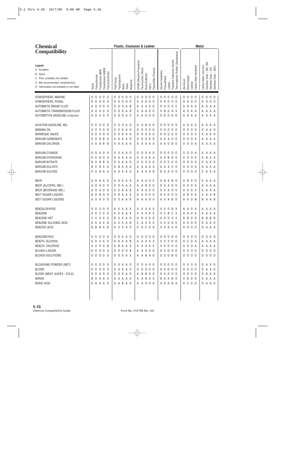| <b>Chemical</b>                                                                                                                                              |                                                                                                                                                      | Plastic, Elastomer & Leather                                                                                                                                                                                                                                                                                                                                                                                                      | <b>Metal</b>                                                                                                                                                                                                                                                                                                       |
|--------------------------------------------------------------------------------------------------------------------------------------------------------------|------------------------------------------------------------------------------------------------------------------------------------------------------|-----------------------------------------------------------------------------------------------------------------------------------------------------------------------------------------------------------------------------------------------------------------------------------------------------------------------------------------------------------------------------------------------------------------------------------|--------------------------------------------------------------------------------------------------------------------------------------------------------------------------------------------------------------------------------------------------------------------------------------------------------------------|
| <b>Compatibility</b>                                                                                                                                         |                                                                                                                                                      |                                                                                                                                                                                                                                                                                                                                                                                                                                   |                                                                                                                                                                                                                                                                                                                    |
| Legend:<br>A - Excellent<br>B - Good<br>C - Poor, probably not suitable<br>X - Not recommended, unsatisfactory<br>0 - Information not available or not rated | Polyethylene UHMW<br>Polyethylene HMW<br>Polyvinylchloride<br>Polycarbonate<br>Acetal                                                                | Polyester Elastomer (Hytrel)<br>EPDM (Ethylene Propylene)<br>Polysulfide (Thiokol)<br>Fluorocarbon (Viton)<br>Styrene butadiene<br>Buna-N (Nitrile)<br>Polypropylene<br>Polyurethane<br>PVDF Kynar<br>Neoprene<br>Leather<br>Teflon<br>Kalrrz<br>Nylon                                                                                                                                                                            | Thermoplastic Rubber (Santoprene)<br>304<br>Carbon Steel, Cast Iron<br>Carbon Steel Hardened<br>Stainless Steel – 303, 30<br>Stainless Steel – 316<br>Stainless Steel – 400's<br>Brass/Copper<br>Aluminum<br>Carbide                                                                                               |
| ATMOSPHERE, MARINE<br>ATMOSPHERE, RURAL<br>AUTOMATIC BRAKE FLUID<br>AUTOMATIC TRANSMISSION FLUID<br><b>AUTOMOTIVE GASOLINE (STANDARD)</b>                    | 0 <sub>0</sub><br>0<br>$\Omega$<br>0<br>0<br>$\overline{0}$<br>0<br>- 0<br>0<br>0<br>$\mathbf 0$<br>0<br>- 0<br>A<br>A 0 0<br>0<br>A<br>A 0 0<br>A O | $\mathbf 0$<br>0 <sub>0</sub><br>0<br>$\mathbf 0$<br>0 <sub>0</sub><br>000<br>0<br>0<br>0<br>$\mathbf 0$<br>0<br>$\mathbf 0$<br>0 <sub>0</sub><br>0<br>0 <sub>0</sub><br>0 <sub>0</sub><br>0<br>0<br>0<br>$\mathbf 0$<br>$\overline{0}$<br>A B<br>X X O O<br>000<br>0<br>A<br>$\mathbf 0$<br>$\overline{0}$<br>A B<br>A<br>A<br>0 <sub>0</sub><br>0 A X<br>B<br>0<br>X.<br>0<br>0 <sub>0</sub><br>0 A X<br>X A A O O<br>0 B O O O | 0 <sub>0</sub><br>$\mathbf 0$<br>$\mathbf 0$<br>0<br>0 <sub>0</sub><br>0<br>0<br>0<br>$\mathbf 0$<br>0 <sub>0</sub><br>$\mathbf 0$<br>$\mathbf 0$<br>0 <sub>0</sub><br>0<br>0<br>0<br>0 <sup>c</sup><br>$\mathbf 0$<br>A<br>A A A A<br>Α<br>A<br>$\mathbf 0$<br>Α<br>A A A<br>А<br>A<br>A<br>A O<br>A A<br>A A A A |
| AVIATION GASOLINE, MIL.<br><b>BANANA OIL</b><br><b>BARBEQUE SAUCE</b><br><b>BARIUM CARBONATE</b><br><b>BARIUM CHLORIDE</b>                                   | 0<br>0<br>0<br>0<br>- 0<br>$\mathbf 0$<br>0<br>A<br>0<br>-0<br>0<br>$\mathbf 0$<br>$\Omega$<br>-0<br>0<br>B<br>B<br>0<br>0<br>A<br>B B<br>A A<br>B   | B<br>0<br>0<br>A O<br>0 <sub>0</sub><br>000<br>0<br>A<br>0<br>$\mathsf{O}$<br>0 A 0<br>0<br>$\mathbf 0$<br>0 <sub>0</sub><br>000<br>0 <sub>0</sub><br>0<br>0<br>$\mathbf 0$<br>$\mathbf 0$<br>A A<br>$\mathbf 0$<br>A 0 0<br>00000<br>0<br>0<br>A<br>A<br>A 0<br>0<br>$\mathbf 0$<br>A O<br>0 0 A 0 0<br>0<br>A<br>A A A A A<br>A A A A<br>A A O B O<br>A                                                                         | 0 <sub>0</sub><br>0<br>A A<br>A A A A<br>A<br>$\mathbf 0$<br>$\mathbf 0$<br>A A O<br>0<br>0<br>0<br>$\mathsf{O}\xspace$<br>$\mathbf 0$<br>X A A O<br>0<br>X<br>$\mathbf 0$<br>$\mathbf 0$<br>A A A<br>0<br>A<br>A<br>$\mathbf 0$<br>X <sub>0</sub><br>A A A A<br>A                                                 |
| <b>BARIUM CYANIDE</b><br><b>BARIUM HYDROXIDE</b><br><b>BARIUM NITRATE</b><br><b>BARIUM SULFATE</b><br><b>BARIUM SULFIDE</b>                                  | A O X<br>0<br>0<br><b>B</b> 0<br>0<br>X<br>A<br>B B<br>B<br>X<br>A<br>X<br>B A A<br>B<br>0<br>B A A<br>0                                             | 0 X A A 0<br>0 <sub>0</sub><br>A O<br>000<br>0 <sub>0</sub><br>0<br>AAAAA<br>A A A A<br>A X B B O<br>A<br>A A A O<br>0<br>$\mathbf 0$<br>A O<br>00000<br>0<br>0<br>B<br>A A A<br>A<br>A A A<br>A A A X O<br>A<br>A<br>A A A A A<br>A A A B<br><b>BAA00</b><br>A                                                                                                                                                                   | $\mathbf 0$<br>0<br>A A A A<br>0<br>A<br>X <sub>0</sub><br>$\mathbf 0$<br>B A O<br>0<br>0<br>$\mathsf{O}$<br>$\mathbf 0$<br>A A O<br>0<br>0<br>0<br>$\mathsf{O}$<br>$\mathbf 0$<br>A A A<br>A<br>A<br>A<br>X O<br>0 <sub>0</sub><br>A A A<br>C                                                                     |
| <b>BEER</b><br>BEER (ALCOHOL IND.)<br>BEER (BEVERAGE IND.)<br>BEET SUGAR LIQUIDS<br>BEET SUGAR LIQUORS                                                       | A A<br>AAA<br>$\overline{0}$<br>0<br>Α<br>A<br>-0<br>A O<br>0<br>- 0<br>A<br>B <sub>0</sub><br>B<br>0<br>- 0<br>A 0 A 0 0                            | A A A A A<br>A O X<br>A B A B O<br>A<br>A<br>0<br>A A A<br>B<br>0 <sub>0</sub><br>0 X A 0 0<br>A<br>0<br>A<br>0<br>A A A<br>A A O O<br>0 X A 0 0<br>0<br>A<br>B<br>A A A<br>A A O O<br>$0 \times 0 0 0$<br>0<br>0<br>$\overline{0}$<br>A A B<br>A A O X<br>A X A B O<br>0<br>A                                                                                                                                                    | B<br>0<br>X A A A<br>A<br>- 0<br>A A<br>$\overline{0}$<br>A A A A<br>A<br>A X O<br>X A A A<br>X<br>$\mathbf 0$<br>B<br>A A A B<br>A<br>A<br>A X O B<br>A A B<br>B                                                                                                                                                  |
| BENZALDEHYDE<br><b>BENZENE</b><br><b>BENZENE HOT</b><br>BENZENE SULFONIC ACID<br><b>BENZOIC ACID</b>                                                         | 0 X X O X<br>A X C C X<br>C X X X X<br>O X A X B<br><b>BBBAB</b>                                                                                     | A X X A X<br>A X X A X<br>XX O<br>B<br>A X A A X<br>X A X A C<br>X C B C X<br>B X X A O<br>$0\quad 0\quad 0\quad 0\quad 0$<br>000XX<br>A X X A B<br>C A X O X<br>X X O O O<br>C A C A B<br>AXXAX<br>X X A X O                                                                                                                                                                                                                     | X<br>A<br>0<br>A A<br>A<br>A<br>A<br>A<br>A A O<br>A A A<br>A<br>A<br><b>BBO0</b><br>B B B<br>B<br>0000<br>0 A A O<br>A 0 0 0<br>OAAA                                                                                                                                                                              |
| BENZONITRILE<br>BENZYL ALCOHOL<br>BENZYL CHLORIDE<br><b>BLEACH LIQUOR</b><br><b>BLEACH SOLUTIONS</b>                                                         | 0 X 0 0 0<br>0 X X A X<br>A X O O B<br>00000<br>00000                                                                                                | 00000<br>0 0 A A 0<br>00000<br>AAXAB<br>A A X A X<br>X X O O O<br>A B A A X<br>X A X A X<br>X X O O O<br>0 0 0 0 B<br>0 X 0 0 0<br>A A X O O<br>0 0 0 B 0<br>0 0 0 A X<br>A A B A O                                                                                                                                                                                                                                               | 0000<br>00X0<br>A C O A<br>A A A A<br>0 0 0 A<br>AAAA<br>0 0 0 0<br>0 0 0 0<br>0 0 0 0<br>0000                                                                                                                                                                                                                     |
| BLEACHING POWDER (WET)<br><b>BLOOD</b><br>BLOOD (MEAT JUICES - COLD)<br><b>BORAX</b><br><b>BORIC ACID</b>                                                    | 00000<br>00000<br>0 0 A 0 0<br>B A A A A<br>O A A A A                                                                                                | 0 0 A A 0<br>0 0 A 0 0<br>00000<br>0 A O A O<br>0 0 0 0 0<br>00000<br>0 0 0 A 0<br>A B B O O<br>$0 \times 0 0 0$<br>A A B A X<br>B A A B O<br>A A A A A<br>A A B A A<br>A A A O A<br>A A A B A                                                                                                                                                                                                                                    | $0 \times 0$ 0<br>0 A X 0<br>0 0 0 0<br>0 A A O<br>0 0 0 0<br>0 B A O<br>X B O O<br>X A A A<br>A C O O<br>0 A A O                                                                                                                                                                                                  |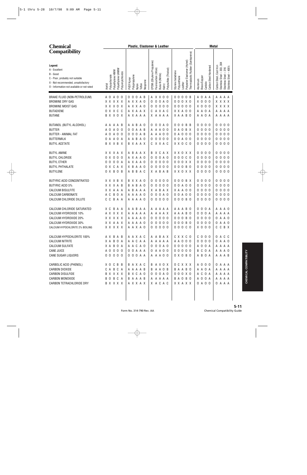| <b>Chemical</b>                                                                                                                                              |                                                                                       | Plastic, Elastomer & Leather                                                                                                                                                                                               | <b>Metal</b>                                                                                                                                                                                                                                                                                                                                                |
|--------------------------------------------------------------------------------------------------------------------------------------------------------------|---------------------------------------------------------------------------------------|----------------------------------------------------------------------------------------------------------------------------------------------------------------------------------------------------------------------------|-------------------------------------------------------------------------------------------------------------------------------------------------------------------------------------------------------------------------------------------------------------------------------------------------------------------------------------------------------------|
| <b>Compatibility</b>                                                                                                                                         |                                                                                       |                                                                                                                                                                                                                            |                                                                                                                                                                                                                                                                                                                                                             |
| Legend:<br>A - Excellent<br>B - Good<br>C - Poor, probably not suitable<br>X - Not recommended, unsatisfactory<br>0 - Information not available or not rated | Polyethylene UHMW<br>Polyethylene HMW<br>Polyvinylchloride<br>Acetal<br>Polycarbonate | EPDM (Ethylene Propylene)<br>Fluorocarbon (Viton)<br>Kalrrz<br>Polysulfide (Thiokol)<br>Styrene butadiene<br>Buna-N (Nitrile)<br>Polypropylene<br>Polyurethane<br>PVDF Kynar<br>Neoprene<br>Teflon<br>Nylon                | Thermoplastic Rubber (Santoprene)<br>Elastomer (Hytrel)<br>Stainless Steel – 303, 304<br>Stainless Steel – 316<br>Stainless Steel – 400's<br>Carbon Steel, Cast Iron<br>Carbon Steel Hardened<br>Brass/Copper<br>Aluminum<br>Polyester<br>Carbide<br>Leather                                                                                                |
| BRAKE FLUID (NON-PETROLEUM)<br><b>BROMINE DRY GAS</b><br><b>BROMINE MOIST GAS</b><br><b>BUTADIENE</b><br><b>BUTANE</b>                                       | A 0 A 0 0<br>X X X X X<br>X X X O X<br>0 X X C C<br>B X X O X                         | 000AB<br>A X X O O<br>0 0 A 0<br>A X X A O<br>0<br>0000<br>A X X A O<br>0<br>A X A A X<br>CAXAC<br>A X A A A<br>X A A A A                                                                                                  | 0000B<br>A O A A<br>A A A A<br>0 0 0 X 0<br>X O<br>0 <sub>0</sub><br>X X X X<br>00000<br>$X$ 0 0 0<br>X X X X<br>A A A A<br>X X A O O<br>A A O A<br>X A A B O<br>A A O A<br>A A A A                                                                                                                                                                         |
| BUTANOL (BUTYL ALCOHOL)<br><b>BUTTER</b><br><b>BUTTER - ANIMAL FAT</b><br><b>BUTTERMILK</b><br><b>BUTYL ACETATE</b>                                          | A A A A B<br>A O<br>A O<br>- 0<br>A 0 0<br>0<br>A<br>0 A A O A<br><b>BXXBX</b>        | 0 0 A 0<br>A A B A O<br>000<br>0<br>0 A A B<br>A A O O<br>0<br>A<br>0 0 A B<br>A A O O<br>0<br>A<br>0 <sub>0</sub><br>A B A O<br>0 <sub>0</sub><br>A<br>0<br><b>B</b> X A A X<br>X X A C<br>C.                             | 0 <sub>0</sub><br>B B<br>0 <sub>0</sub><br>00<br>00<br>0 <sub>0</sub><br>0 <sub>0</sub><br>000<br>O A O B X<br>0<br>0 A O O O<br>0 <sub>0</sub><br>0 <sub>0</sub><br>0000<br>0 <sub>0</sub><br>0 <sub>0</sub><br>000<br>00A00<br>0<br>X X O C O<br>0 <sub>0</sub><br>0 <sub>0</sub><br>000<br>0                                                             |
| <b>BUTYL AMINE</b><br><b>BUTYL CHLORIDE</b><br><b>BUTYL ETHER</b><br><b>BUTYL PHTHALATE</b><br><b>BUTYLENE</b>                                               | X X X A X<br>0 X 0 0<br>- 0<br>0 0 A<br>0<br>$\mathbf 0$<br>O X C A X<br>O X B O B    | BAAX<br>X C A X<br>B<br>A<br>0 0 A 0<br>A X A A O<br>0<br>$\mathbf 0$<br>A X A A O<br>0<br>0 <sub>0</sub><br>0<br>X B<br>000<br>A A O<br>0<br>0<br>A B B A C<br>X A B A B                                                  | X X O X X<br>0 <sub>0</sub><br>0 <sub>0</sub><br>00<br>00<br>00000<br>0 <sub>0</sub><br>0 <sub>0</sub><br>$\mathbf 0$<br>0 <sub>0</sub><br>0<br>000XX<br>0 <sub>0</sub><br>0 <sub>0</sub><br>000<br>0<br>000B0<br>0 <sub>0</sub><br>0 <sub>0</sub><br>000<br>0<br>0 <sub>0</sub><br>0 <sub>0</sub><br>000<br>X X O X X<br>0                                 |
| BUTYRIC ACID CONCENTRATED<br><b>BUTYRIC ACID 5%</b><br><b>CALCIUM BISULFITE</b><br><b>CALCIUM CARBONATE</b><br>CALCIUM CHLORIDE DILUTE                       | X X X B X<br>X X X A B<br>X X A A A<br>0 A<br>C<br>B<br>Α<br>C<br>B A A<br>C          | 0 <sub>0</sub><br>X X A O<br>0 <sub>0</sub><br>0<br>B<br>A B A O<br>0<br>$\overline{0}$<br>0 <sub>0</sub><br>B<br>0<br>B A A A<br>X A B A X<br>A<br>A A A O<br>0<br>$\mathbf 0$<br>A O<br>0<br>A<br>0000<br>A A A A O<br>0 | 000BX<br>0 <sub>0</sub><br>0 <sub>0</sub><br>0 <sub>0</sub><br>00<br>0 <sub>0</sub><br>0 <sub>0</sub><br>$\mathbf 0$<br>00A00<br>0 <sub>0</sub><br>0<br>0 <sub>0</sub><br>0 <sub>0</sub><br>000<br>XAA00<br>0<br>$\mathbf 0$<br>0 <sub>0</sub><br>$\mathbf 0$<br>0 <sub>0</sub><br>00A00<br>0<br>0<br>0 <sub>0</sub><br>0 <sub>0</sub><br>000<br>000B0<br>0 |
| CALCIUM CHLORIDE SATURATED<br><b>CALCIUM HYDROXIDE 10%</b><br><b>CALCIUM HYDROXIDE 20%</b><br>CALCIUM HYDROXIDE 30%<br>CALCIUM HYPOCHLORITE 2% BOILING       | X C B A A<br>A X X X X<br>X X X X X<br>X X A A X<br>X X X X X                         | A B<br>AA<br>A A A A A<br>A<br>A A A A A<br>A A A X<br>A<br>A A A A O<br>$0000$<br>$\Omega$<br>00000<br>A A A A O<br>00000<br>A A X A O                                                                                    | 00<br>0 A<br>AAAB<br>A A A O<br>- 0<br>0 0 0 A<br>A A A A<br>A A A B O<br>0000<br>0 A A O<br>000B0<br>0 0 0 B 0<br>0000<br>0 A A O<br>00000<br>X 0 0 0<br>CCBX                                                                                                                                                                                              |
| CALCIUM HYPOCHLORITE 100%<br><b>CALCIUM NITRITE</b><br>CALCIUM SULFATE<br><b>CANE JUICE</b><br>CANE SUGAR LIQUORS                                            | A X B A B<br>X A B O A<br>X A B O A<br>A 0 0 0 0<br>00000                             | AAXAC<br>A A B A X<br>A A C A A<br>A A A A A<br>0 0 0 A 0<br>A A C A O<br>0 0 A A A<br>0 A A O O<br>0 0 0 A A<br>A A A O O                                                                                                 | C X X C O<br>$C$ 0 0 0<br>O A C C<br>A A O O O<br>0000<br>0 A A O<br>00000<br>A 0 0 A<br>A A A A<br>B C O A<br>00000<br>A A A O<br>$0 \times 0$ B O<br>A B O A<br>A A A B                                                                                                                                                                                   |
| CARBOLIC ACID (PHENOL)<br>CARBON DIOXIDE<br>CARBON DISULFIDE<br>CARBON MONOXIDE<br>CARBON TETRACHLORIDE DRY                                                  | X O C B B<br>C A B C A<br>B X X X X<br>B O B C A<br>B X X X X                         | BAXAC<br>B A X O X<br>AAAAB<br>B A A O B<br>B X C A O<br>0 0 0 A 0<br>BAAAB<br>A A A A A<br>X A C A C<br>A X X A X                                                                                                         | OCXXX<br>A 0 0 0<br>O A A A<br>B A A B O<br>A A O A<br>A A A A<br>A C O A<br>0 0 0 X 0<br>A A A A<br>A 0 0 A<br><b>BAOBO</b><br>A A A A<br>O A A A<br>X X A X X<br>0 A O O                                                                                                                                                                                  |
|                                                                                                                                                              |                                                                                       |                                                                                                                                                                                                                            |                                                                                                                                                                                                                                                                                                                                                             |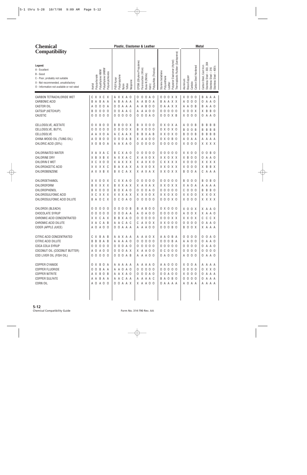| <b>Chemical</b>                                                                                                                                              |                                                                                                                                                | Plastic, Elastomer & Leather                                                                                                                                                                                          | <b>Metal</b>                                                                                                                                                                                                                                                                                               |
|--------------------------------------------------------------------------------------------------------------------------------------------------------------|------------------------------------------------------------------------------------------------------------------------------------------------|-----------------------------------------------------------------------------------------------------------------------------------------------------------------------------------------------------------------------|------------------------------------------------------------------------------------------------------------------------------------------------------------------------------------------------------------------------------------------------------------------------------------------------------------|
| <b>Compatibility</b>                                                                                                                                         |                                                                                                                                                |                                                                                                                                                                                                                       |                                                                                                                                                                                                                                                                                                            |
| Legend:<br>A - Excellent<br>B - Good<br>C - Poor, probably not suitable<br>X - Not recommended, unsatisfactory<br>O - Information not available or not rated | Polyethylene UHMW<br>Polyethylene HMW<br>Polyvinylchloride<br>Polycarbonate<br>Acetal                                                          | EPDM (Ethylene Propylene)<br>Fluorocarbon (Viton)<br>Polysulfide (Thiokol)<br>Buna-N (Nitrile)<br>Polypropylene<br>PVDF Kynar<br>Neoprene<br>Teflon<br>Kalrrz<br>Nylon                                                | Thermoplastic Rubber (Santoprene)<br>Polyester Elastomer (Hytrel)<br>Stainless Steel - 303, 304<br>Carbon Steel, Cast Iron<br>Carbon Steel Hardened<br>$-400's$<br>$-316$<br>Styrene butadiene<br>Stainless Steel -<br>Stainless Steel -<br>Polyurethane<br>Brass/Copper<br>Aluminum<br>Carbide<br>Leather |
| <b>CARBON TETRACHLORIDE WET</b><br>CARBONIC ACID<br><b>CASTOR OIL</b><br>CATSUP (KETCHUP)<br>CAUSTIC                                                         | X X C<br>C<br>X<br>B<br>A<br>B<br>A<br>A<br>$\mathbf 0$<br>0 A<br>0<br>А<br>0<br>0<br>0<br>- 0<br>B<br>$\mathsf 0$<br>0 <sub>0</sub><br>0<br>0 | 0<br>A X X A O<br>0<br>A O<br>0<br>0 A<br>B<br>A A A<br>B<br>A<br>A<br>A<br>A A B O O<br>0<br>A A A<br>0<br>0<br>A A C<br>A A A O O<br>0<br>$\overline{0}$<br>$\overline{0}$<br>0 0 A 0<br>0 <sub>0</sub>             | 0 0 X X<br>X <sub>0</sub><br>0<br>0<br>B<br>A A<br>0<br>А<br>A A X X<br>$\mathbf 0$<br>0 <sub>0</sub><br>0<br>Α<br>B<br>Α<br>- 0<br>A A X X<br>A A O B<br>A O<br>0<br>B<br>А<br>0000<br>B<br><b>B</b> 0<br>X O<br>0 X<br>X<br>0<br>000XB<br>X O<br>0 <sub>0</sub><br>A<br>A 0                              |
| CELLOSOLVE, ACETATE<br>CELLOSOLVE, BUTYL<br>CELLOSOLVE<br>CHINA WOOD OIL (TUNG OIL)<br>CHLORIC ACID (20%)                                                    | B<br>0<br>X<br>0<br>- 0<br>$\mathbf 0$<br>0<br>0<br>- 0<br>0<br>X O A<br>A<br>Α<br>B<br>0<br>0<br>- 0<br>А<br>B O A<br>X O                     | 0<br>0<br>B<br>$\overline{0}$<br>X O<br>00<br>0 X<br>B<br>B<br>0 <sub>0</sub><br>$X$ 0 0 0<br>0 X<br>0<br>B<br>CAAX<br>B X A B<br>A<br>B<br>0<br>$\overline{0}$<br>A B<br>X A<br>A 0 0<br>0<br>0000<br>A A X A O<br>0 | 0<br>B<br>0 X 0 X A<br>0<br>B<br>0<br>- B<br>B<br>B<br>Α<br>B<br>0 X 0 X 0<br>$\mathbf 0$<br>B<br>0<br>B<br>B<br>B<br>B<br>X X O X O<br>B<br>$\mathbf 0$<br>0<br>B<br>B<br>- B<br>B<br>B<br>0 X 0 B 0<br>$\mathbf 0$<br>A A<br>A A<br>Α<br>A<br>А<br>00000<br>X X X X<br>X O<br>0 <sub>0</sub>             |
| <b>CHLORINATED WATER</b><br>CHLORINE DRY<br><b>CHLORIN E WET</b><br>CHLOROACETIC ACID<br>CHLOROBENZENE                                                       | X A X A<br>C<br>X B<br>X B<br>X<br>$X$ 0 0<br>X C<br>X X X X C<br>A X X B X                                                                    | C X A O<br>0000<br>0<br>B<br>AXXAC<br>X A X O X<br>X A X X X<br>X A X X O<br>A X A X<br>A X X O X<br>B<br>B X C A X<br>X A X A X                                                                                      | <b>B</b> 0<br>00000<br>X X O O<br>0<br>0<br>X X O X X<br>X B<br>0 <sub>0</sub><br>A O<br>0<br>А<br>C X X X X<br>X X X X<br>X O<br>0 <sub>0</sub><br>X X O X X<br>B<br>B X<br>X O<br>0 <sub>0</sub><br>X<br>X X O X X<br>B <sub>0</sub><br>0 A<br>A A A<br>C                                                |
| CHLOROETHANOL<br>CHLOROFORM<br>CHLOROPHENOL<br>CHLOROSULFONIC ACID<br>CHLOROSULFONIC ACID DILUTE                                                             | XX.<br>0<br>0 X<br>X X X X<br>B<br>000<br>X<br>B<br>X X X<br>C<br>X<br>O C X<br>A<br>B                                                         | 0000<br>XXA O<br>C<br>0<br><b>B</b> X X A X<br>X A X A X<br>0 X A O<br>0 0 A 0<br>B<br>0<br>X X X A X<br>X X X O X<br>0 C O A O<br>0000<br>0                                                                          | B <sub>0</sub><br>00000<br>0<br>B<br>0 <sub>0</sub><br>B<br>0<br>X X O X X<br>X A O<br>A A<br>A<br>A<br>Α<br>00000<br>B<br><b>B</b> 0<br>$\overline{0}$<br>0 <sub>0</sub><br>C<br>B<br>X X O X<br>X X O X O<br>X X O O<br>X X X X<br>000X0<br>$X$ 0 0 0                                                    |
| CHLOROX (BLEACH)<br><b>CHOCOLATE SYRUP</b><br>CHROMIC ACID CONCENTRATED<br>CHROMIC ACID DILUTE<br>CIDER (APPLE JUICE)                                        | 0<br>0<br>0<br>- 0<br>0<br>000<br>- 0<br>0<br>X X C A X<br>X A C A B<br>A 0 A 0 0                                                              | 0<br>- 0<br>0 <sub>B</sub><br>B<br>B<br>00<br>0<br>A<br>0 <sub>0</sub><br>0 A O O<br>A A<br>0<br>A<br>B B X A O<br>00000<br>A A C A C<br>CAXOX<br>0 0 A A A<br>A A A O O                                              | X O<br>X 0 0 0<br>0 X<br>X A A O<br>0<br>00000<br>A 0 0 X<br>X A A O<br>C C C X<br>0 0 0 X X<br>X X O X<br>X X O O O<br>0000<br>0 A A O<br>0 0 0 B 0<br><b>BOOX</b><br>X A A A                                                                                                                             |
| CITRIC ACID CONCENTRATED<br>CITRIC ACID DILUTE<br>COCA COLA SYRUP<br>COCONUT OIL (COCONUT BUTTER)<br>COD LIVER OIL (FISH OIL)                                | C X B A B<br>B B B A B<br>00000<br>A 0 A 0 0<br>00000                                                                                          | A A A O X<br>A A X A A<br>0 0 0 0 0<br>A A A A O<br>0 0 0 A 0<br>00000<br>0 0 0 A X<br>X A A O O<br>0 0 0 A B<br>A A A O O                                                                                            | 0000<br>0 0 A 0<br>A A O B A<br>0 0 0 B A<br>A A O O<br>0 A A O<br>0 0 0 0<br>00000<br>0 A A O<br>0 0 0 0<br>0 C O O O<br>0000<br>0 A O O O<br>A 0 0 0<br>0 A A O                                                                                                                                          |
| COPPER CYANIDE<br>COPPER FLUORIDE<br><b>COPPER NITRITE</b><br><b>COPPER SULFATE</b><br>CORN OIL                                                              | O X B O A<br>0 0 B A A<br>A X B O B<br>A A B A A<br>A 0 A 0 0                                                                                  | A A A A A<br>A A A A O<br>A A O A O<br>0 0 0 0 0<br>A A X A O<br>0 0 0 A 0<br>A A C A A<br>A A A A C<br>0 0 A A X<br>X A A O O                                                                                        | X O O A<br>A A O O O<br>A A A A<br>0 0 0 0<br>0 X X 0<br>00000<br>0 0 A 0 0<br>$X$ 0 0 0<br>O A A A<br>0 0 0 0<br>B A O B O<br>O A A A<br>O A A A A<br>A O A A<br>A A A A                                                                                                                                  |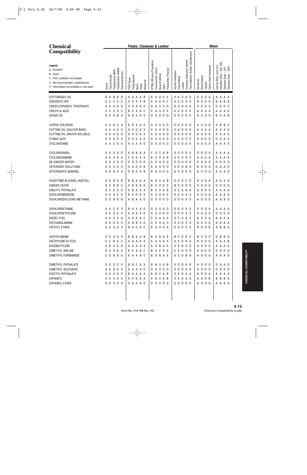| <b>Chemical</b>                                                                                                                                              |                                                                                       | Plastic, Elastomer & Leather                                                                                                                                                                                | <b>Metal</b>                                                                                                                                                                                                                                                                   |
|--------------------------------------------------------------------------------------------------------------------------------------------------------------|---------------------------------------------------------------------------------------|-------------------------------------------------------------------------------------------------------------------------------------------------------------------------------------------------------------|--------------------------------------------------------------------------------------------------------------------------------------------------------------------------------------------------------------------------------------------------------------------------------|
| <b>Compatibility</b>                                                                                                                                         |                                                                                       |                                                                                                                                                                                                             |                                                                                                                                                                                                                                                                                |
| Legend:<br>A - Excellent<br>B - Good<br>C - Poor, probably not suitable<br>X - Not recommended, unsatisfactory<br>O - Information not available or not rated | Polyethylene UHMW<br>Polyethylene HMW<br>Polyvinylchloride<br>Acetal<br>Polycarbonate | EPDM (Ethylene Propylene)<br>Fluorocarbon (Viton)<br>Polysulfide (Thiokol)<br>Styrene butadiene<br>Buna-N (Nitrile)<br>Polypropylene<br>Polyurethane<br>PVDF Kynar<br>Neoprene<br>Nylon<br>Teflon<br>Kalrrz | Thermoplastic Rubber (Santoprene)<br>Elastomer (Hytrel)<br>304<br>Carbon Steel, Cast Iron<br>Carbon Steel Hardened<br>400's<br>303,<br>316<br>Stainless Steel – 3<br>Stainless Steel – 3<br>Stainless Steel – 4<br>Brass/Copper<br>Aluminum<br>Polyester<br>Carbide<br>Leather |
| COTTONSEED OIL                                                                                                                                               | <b>BABBB</b>                                                                          | AAAAB<br>B A A O X                                                                                                                                                                                          | XAOAO<br>A A O A<br>A A A A                                                                                                                                                                                                                                                    |
| <b>CREOSOTE HOT</b>                                                                                                                                          | X C C A C                                                                             | O X X A B<br>X A A A C                                                                                                                                                                                      | X C O X O<br><b>BOO0</b><br>B B<br>B B                                                                                                                                                                                                                                         |
| CRESYLDIPHENYL PHOSPHATE                                                                                                                                     | X O<br>000                                                                            | 0 0 A 0 0<br>0000<br>0                                                                                                                                                                                      | 00000<br>0000<br>0000                                                                                                                                                                                                                                                          |
| CRESYLIC ACID                                                                                                                                                | X X X O C                                                                             | <b>B</b> X X A C<br>X A X O X                                                                                                                                                                               | X X O X O<br>A O A A<br>A A A O                                                                                                                                                                                                                                                |
| CRUDE OIL                                                                                                                                                    | B X X B A                                                                             | 0000<br>A B A A O<br>0                                                                                                                                                                                      | 00000<br>A O<br><b>BAAB</b><br>0 <sub>0</sub>                                                                                                                                                                                                                                  |
|                                                                                                                                                              |                                                                                       |                                                                                                                                                                                                             |                                                                                                                                                                                                                                                                                |
| <b>CUPRIC CHLORIDE</b>                                                                                                                                       | X A B A A                                                                             | B B X A O<br>$0000$<br>0                                                                                                                                                                                    | 00000<br>$X$ 0 0 0<br>X B B C                                                                                                                                                                                                                                                  |
| CUTTING OIL (SULFUR BASE)                                                                                                                                    | A O<br>A 0 0                                                                          | 0 0 A X<br>X A A O O<br>0                                                                                                                                                                                   | 0 A O O O<br>A O A A<br>A A A O                                                                                                                                                                                                                                                |
| CUTTING OIL (WATER SOLUBLE)                                                                                                                                  | A O<br>A 0 0                                                                          | 0 0 A X<br>X A A O O<br>0                                                                                                                                                                                   | 0 A O O O<br>A O A A<br>A A A O                                                                                                                                                                                                                                                |
| <b>CYANIC ACID</b>                                                                                                                                           | 0 <sub>0</sub><br>000                                                                 | 0 0 A 0<br>0000<br>0<br>0                                                                                                                                                                                   | 00000<br>0 <sub>0</sub><br>0 <sub>0</sub><br>0 0 A 0                                                                                                                                                                                                                           |
| CYCLOHEXANE                                                                                                                                                  | A A C A X                                                                             | A X A A O<br>0 0 A 0<br>0                                                                                                                                                                                   | 000AX<br>A A O A<br>A A A A                                                                                                                                                                                                                                                    |
| CYCLOHEXANOL                                                                                                                                                 | A X X A X                                                                             | A B B A A<br>A C<br>A B<br>C                                                                                                                                                                                | $X$ 0 0 0 $X$<br>0 0 0 A<br>A A A A                                                                                                                                                                                                                                            |
| CYCLOHEXANONE                                                                                                                                                | A X X A X                                                                             | CXAAX<br>X X A B<br>B                                                                                                                                                                                       | X X O O X<br>A A O A<br>A A A A                                                                                                                                                                                                                                                |
| DE-IONIZED WATER                                                                                                                                             | 000<br>0<br>0                                                                         | 0000<br>0 A O O<br>0<br>Α                                                                                                                                                                                   | 00000<br>$0\quad 0$<br>000<br>0 <sub>0</sub><br>0                                                                                                                                                                                                                              |
| DETERGENT SOLUTIONS                                                                                                                                          | A 0 0<br>A O                                                                          | 0 A O A B<br>A A O O<br>A                                                                                                                                                                                   | 0 X 0 B 0<br><b>BOO0</b><br>0 A A O                                                                                                                                                                                                                                            |
| DETERGENTS GENERAL                                                                                                                                           | A B<br>B A A                                                                          | O B A A B<br>A A A O O                                                                                                                                                                                      | <b>BX000</b><br>A 0 0 0<br>A A A O                                                                                                                                                                                                                                             |
| DIACETONE ALCOHOL (ACETAL)                                                                                                                                   | A O<br>B<br>0<br>- B                                                                  | BAAX<br>A X X A B<br>B                                                                                                                                                                                      | X X O C O<br>A A O A<br>A A A A                                                                                                                                                                                                                                                |
| <b>DIBASIC ESTER</b>                                                                                                                                         | <b>BXBBX</b>                                                                          | X O O X<br><b>BBB0</b><br>B<br>0                                                                                                                                                                            | 0 <sub>0</sub><br><b>BX000</b><br>0 <sub>0</sub><br>000<br>0                                                                                                                                                                                                                   |
| DIBUTYL PHTHALATE                                                                                                                                            | O X C A X                                                                             | X B A A X<br>C X A B<br>B                                                                                                                                                                                   | A 0 0 A<br>X C A B A<br>A A A A                                                                                                                                                                                                                                                |
| DICHLOROBENZENE                                                                                                                                              | 0 X X X X                                                                             | <b>BXOAX</b><br>X A X O X                                                                                                                                                                                   | X X O X X<br>0 <sub>0</sub><br>0 A<br>A A<br>A A                                                                                                                                                                                                                               |
| DICHLORODIFLUORO METHANE                                                                                                                                     | 00 B O B                                                                              | 0000<br>A B A A O<br>0                                                                                                                                                                                      | 000XX<br>A 0 0 0<br>A A B O                                                                                                                                                                                                                                                    |
|                                                                                                                                                              |                                                                                       |                                                                                                                                                                                                             |                                                                                                                                                                                                                                                                                |
| DICHLOROETHANE                                                                                                                                               | AXCXX                                                                                 | B A X A O<br>0 0 A 0<br>0<br>0000                                                                                                                                                                           | 0 0 0 X X<br>000A<br>A A A A<br>0000<br>0000                                                                                                                                                                                                                                   |
| DICHLOROETHYLENE<br>DIESEL FUEL                                                                                                                              | 0 0 0 X X<br>A A X X A                                                                | A A A A O<br>0<br>AAAAC<br>X A A A A                                                                                                                                                                        | 0 0 0 X X<br>A 0 0 A<br>X C A B X<br>A A A A                                                                                                                                                                                                                                   |
| DIETHANOLAMINE                                                                                                                                               | 00000                                                                                 | 0 B B A O<br>0 0 0 A 0                                                                                                                                                                                      | 0 0 0 X 0<br>A 0 0 A<br>A A A A                                                                                                                                                                                                                                                |
| DIETHYL ETHER                                                                                                                                                | A X X A X                                                                             | B X C A C<br>X X X A A                                                                                                                                                                                      | X A O C A<br><b>BOOB</b><br><b>BBBA</b>                                                                                                                                                                                                                                        |
|                                                                                                                                                              |                                                                                       |                                                                                                                                                                                                             |                                                                                                                                                                                                                                                                                |
| DIETHYLAMINE                                                                                                                                                 | 00 X 0 X                                                                              | B X B A B<br><b>BBAAB</b>                                                                                                                                                                                   | <b>BCOOO</b><br><b>BOO0</b><br>X B B O                                                                                                                                                                                                                                         |
| DIETHYLENE GLYCOL                                                                                                                                            | O C B A X                                                                             | O A A A A<br>A A A A X                                                                                                                                                                                      | A X O A A<br><b>BOO0</b><br>A A A B                                                                                                                                                                                                                                            |
| <b>DIISOBUTYLENE</b>                                                                                                                                         | 0 B O A A                                                                             | A A A A X<br>X A B O A                                                                                                                                                                                      | X X O O O<br>A 0 0 0<br>A A A O                                                                                                                                                                                                                                                |
| DIMETHYL ANILINE                                                                                                                                             | 0 X O A X                                                                             | B X A A C<br>B X C O X                                                                                                                                                                                      | C X 0 0 0<br>0000<br>0000                                                                                                                                                                                                                                                      |
| DIMETHYL FORMAMIDE                                                                                                                                           | C X B A X                                                                             | X A A A C<br>B X B A X                                                                                                                                                                                      | X X O B A<br>A 0 0 A<br>A A A O                                                                                                                                                                                                                                                |
| DIMETHYL PHTHALATE                                                                                                                                           | 0 X 0 0 X                                                                             | <b>BBCAX</b><br><b>BBXAB</b>                                                                                                                                                                                | X O O A B<br>A 0 0 0<br>0 A A O                                                                                                                                                                                                                                                |
| DIMETHYL SULFOXIDE                                                                                                                                           | X A B O X                                                                             | 0 A A A O<br>00000                                                                                                                                                                                          | 0000<br>0000A<br>0000                                                                                                                                                                                                                                                          |
| DIOCTYL PHTHALATE                                                                                                                                            | 0 X X O X                                                                             | B X A A X<br><b>BBCAB</b>                                                                                                                                                                                   | X X O A A<br>A 0 0 A<br>A A A A                                                                                                                                                                                                                                                |
| <b>DIPHENYL</b>                                                                                                                                              | 00000                                                                                 | 0 X O A X<br>X A X A B                                                                                                                                                                                      | X X 0 0 0<br>A 0 0 B<br>B B B O                                                                                                                                                                                                                                                |
| DIPHENYL ETHER                                                                                                                                               | 0000X                                                                                 | 00000<br>0 X A A O                                                                                                                                                                                          | 00000<br>A 0 0 0<br>A A A O                                                                                                                                                                                                                                                    |
|                                                                                                                                                              |                                                                                       |                                                                                                                                                                                                             |                                                                                                                                                                                                                                                                                |
|                                                                                                                                                              |                                                                                       |                                                                                                                                                                                                             |                                                                                                                                                                                                                                                                                |
|                                                                                                                                                              |                                                                                       |                                                                                                                                                                                                             |                                                                                                                                                                                                                                                                                |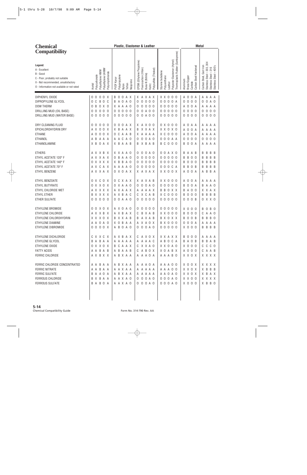| <b>Chemical</b>                                                                                                                                              |                                                                                                                                                                  | Plastic, Elastomer & Leather                                                                                                                                                                                                                                          | <b>Metal</b>                                                                                                                                                                                                                                                                     |                                                                                     |
|--------------------------------------------------------------------------------------------------------------------------------------------------------------|------------------------------------------------------------------------------------------------------------------------------------------------------------------|-----------------------------------------------------------------------------------------------------------------------------------------------------------------------------------------------------------------------------------------------------------------------|----------------------------------------------------------------------------------------------------------------------------------------------------------------------------------------------------------------------------------------------------------------------------------|-------------------------------------------------------------------------------------|
| <b>Compatibility</b>                                                                                                                                         |                                                                                                                                                                  |                                                                                                                                                                                                                                                                       |                                                                                                                                                                                                                                                                                  |                                                                                     |
| Legend:<br>A - Excellent<br>B - Good<br>C - Poor, probably not suitable<br>X - Not recommended, unsatisfactory<br>O - Information not available or not rated | Polyethylene UHMW<br>Polyethylene HMW<br>Polyvinylchloride<br>Polycarbonate<br>Acetal                                                                            | EPDM (Ethylene Propylene)<br>Fluorocarbon (Viton)<br>Polysulfide (Thiokol)<br>Buna-N (Nitrile)<br>Polypropylene<br>PVDF Kynar<br>Neoprene<br>Teflon<br>Nylon<br>Kalrrz                                                                                                | Thermoplastic Rubber (Santoprene)<br>Polyester Elastomer (Hytrel)<br>Carbon Steel, Cast Iron<br>Carbon Steel Hardened<br>Styrene butadiene<br>Polyurethane<br>Brass/Copper<br>Aluminum<br>Carbide<br>Leather                                                                     | Stainless Steel - 303, 304<br>$-400$ 's<br>Stainless Steel - 316<br>Stainless Steel |
| DIPHENYL OXIDE<br>DIPROPYLENE GLYCOL<br><b>DOW THERM</b><br>DRILLING MUD (OIL BASE)<br>DRILLING MUD (WATER BASE)                                             | $\mathbf 0$<br>0<br>0<br>X<br>0<br>B<br>$\overline{0}$<br>C<br>- C<br>0<br>0 X 0<br>B<br>0<br>$\mathbf 0$<br>0<br>- 0<br>0<br>0<br>0 <sub>0</sub><br>0<br>0<br>0 | B<br>0<br>0<br>A X<br>X A X A X<br>0 A 0<br>$\mathbf 0$<br>0<br>0 <sub>0</sub><br>A<br>B<br>0<br>0 <sub>0</sub><br>X A A A O<br>0<br>0<br>0<br>$\mathbf 0$<br>$\mathsf{O}\xspace$<br>0 <sub>0</sub><br>0<br>0 <sub>0</sub><br>A<br>0<br>0<br>00000<br>0<br>A 0 0<br>0 | XX O<br>0 <sub>0</sub><br>A<br>0<br>0<br>A<br>A<br>0 <sub>0</sub><br>00<br>0<br>0 A<br>0<br>0<br>0<br>0 <sub>0</sub><br>0<br>0<br>0<br>0 A<br>0<br>A<br>A<br>0 <sub>0</sub><br>0 <sub>0</sub><br>0<br>0<br>0<br>0<br>0<br>0<br>00000<br>$\mathbf 0$<br>0 <sub>0</sub><br>0<br>0  | A A<br>A<br>A O<br>0<br>A A A<br>0 <sub>0</sub><br>0<br>0 <sub>0</sub><br>0         |
| DRY CLEANING FLUID<br>EPICHLOROHYDRIN DRY<br><b>ETHANE</b><br><b>ETHANOL</b><br>ETHANOLAMINE                                                                 | 0<br>0<br>0<br>- 0<br>0<br>$\overline{0}$<br>0<br>ΑX<br>X<br>$\mathbf 0$<br>0<br>X<br>А<br>0<br>B<br>A A<br>А<br>A<br>X B<br>0 A X                               | 0<br>0 A X<br>X A X O O<br>0<br>X X A X<br>X B<br>A A X<br>B<br>C<br>X A<br>A A B<br>A A A<br>0<br>$\mathbb{C}$<br>0<br>0 A 0<br>A<br>A O<br>A<br>0<br><b>XBAAB</b><br>X B A B<br>B                                                                                   | 0 X 0<br>0 <sub>0</sub><br>0<br>A A<br>A<br>A<br>X X O X O<br>0<br>0 A<br>A<br>А<br>$0\quad 0\quad 0$<br>0<br>хc<br>0<br>A<br>Α<br>A<br>0 <sub>0</sub><br>0<br>0 A A<br>0<br>0<br>0<br>0<br>C<br>000<br>$\mathbf 0$<br>0 A<br>B<br>B<br>A                                        | A A A<br>A A<br>A<br>A A<br>A<br>0 <sub>0</sub><br>0<br>A<br>A A                    |
| <b>ETHERS</b><br>ETHYL ACETATE 120° F<br>ETHYL ACETATE 140° F<br>ETHYL ACETATE 70° F<br>ETHYL BENZENE                                                        | A X X B X<br>A X X A X<br>X X X X<br>0<br>C A X<br>$\times$<br>A<br>A X X A X                                                                                    | X X A A O<br>0 A 0<br>0<br>0<br>B<br>0 <sub>0</sub><br>A A O<br>0<br>0<br>0<br>0<br>X B<br>B<br>$\mathbf 0$<br>0 <sub>0</sub><br>A O<br>0<br>0<br>0<br>000<br>A A A A O<br>0<br>0 X O A X<br>X A X A X                                                                | 0 0 A X 0<br>A<br>A B<br>B<br>В<br>0<br>0<br>0<br>0 <sub>0</sub><br>B<br>B<br>0<br>B<br>- 0<br>0 <sub>0</sub><br>0<br>0<br>0<br>0<br>- 0<br>B<br>0<br>B<br>C<br>B<br>0<br>$\mathsf{O}$<br>0<br>B<br>B<br>0<br>A<br>B<br>X X O O X<br>$\overline{0}$<br>0 A<br>A<br>Α             | B<br>B<br>- B<br>B<br>B<br>B<br>B<br>B<br>B<br>B<br>B<br>B<br>B<br>B A              |
| ETHYL BENZOATE<br>ETHYL BUTYRATE<br>ETHYL CHLORIDE WET<br>ETHYL ETHER<br><b>ETHER SULFATE</b>                                                                | X<br>C<br>0<br>0<br>X<br>X X O X<br>0<br>X X X X<br>A<br>X X X X<br>B<br>000<br>$\mathbf 0$<br>0                                                                 | C X A X<br>X A X A B<br>0<br>0 X A A 0<br>0<br>0 A O<br>0<br>A X A A X<br>А<br>A A X<br>A<br>A X B<br>X C<br>A C<br>A B<br>C<br>0 0 A A 0<br>0<br>$000$<br>0                                                                                                          | 0 <sub>0</sub><br>0<br>0<br>XX 0<br>A<br>A<br>A<br>00<br>0<br>0 <sub>0</sub><br>0<br>0<br>B<br>B<br>A<br>0 X X<br>0<br>B<br>A<br>X.<br>B<br>B<br>- 0<br>0 <sub>0</sub><br>0<br>0 <sub>0</sub><br>хc<br>$\Omega$<br>B<br>B<br>00000<br>$\overline{0}$<br>0 <sub>B</sub><br>0<br>0 | AAA<br>A O<br>A<br>X A X<br>B<br>B<br>- B<br>X X O                                  |
| ETHYLENE BROMIDE<br>ETHYLENE CHLORIDE<br>ETHYLENE CHLOROHYDRIN<br>ETHYLENE DIAMINE<br>ETHYLENE DIBROMIDE                                                     | 0 X 0<br>X<br>0<br>A X X B<br>X<br>X X X O X<br>A A O A O<br>0000X                                                                                               | A X O<br>A O<br>0<br>0<br>0<br>00<br>A X B A X<br>B<br>X A B<br>C<br>B X X A B<br>B A X A B<br>X O B A A<br>A X A O X<br>A B O A O<br>0 0 0 A 0                                                                                                                       | 0<br>0<br>0<br>0 <sub>0</sub><br>X O<br>0<br>- 0<br>B<br>$X$ $X$ $0$ $0$ $0$<br>B<br>0<br>0 <sub>0</sub><br>C<br><b>B 0 0 B</b><br>B<br>B X O X X<br><b>BX000</b><br>0 0 0 A<br>00000<br>$X$ 0 0 0                                                                               | B<br>0<br>- 0<br>A O<br>A<br>B B O<br>A A A A<br>B B B B                            |
| ETHYLENE DICHLORIDE<br>ETHYLENE GLYCOL<br>ETHYLENE OXIDE<br><b>FATTY ACIDS</b><br>FERRIC CHLORIDE                                                            | C X X C X<br>B A B A A<br>0 X X O X<br>A A B A B<br>A X B X X                                                                                                    | A X B A X<br>C A X O X<br>A A A A A<br>A A A A C<br>B C A A X<br>C X X A O<br>CABOX<br>A B A A B<br>A B X A A<br>A A A O A                                                                                                                                            | X X A X X<br><b>BOO0</b><br>A B O C A<br>B A O B<br>$X$ 0 0 0<br>X X O A O<br>X O A B X<br>A 0 0 0<br>A A A B O<br>X X O X                                                                                                                                                       | A A A A<br>B B A B<br>$C$ $C$ $C$ $O$<br>CAAB<br>X X X X                            |
| FERRIC CHLORIDE CONCENTRATED<br><b>FERRIC NITRATE</b><br>FERRIC SULFATE<br>FERROUS CHLORIDE<br>FERROUS SULFATE                                               | A A B A A<br>A A B A A<br>B A A O A<br>B X B A A<br>B A B O A                                                                                                    | A B X A A<br>A A A O A<br>A A A A A<br>A A X A A<br>A B X A A<br>A A A A A<br>0 0 0 A 0<br>A A X A O<br>0 0 0 A 0<br>A A X A O                                                                                                                                        | A A A O O<br>X O O X<br>AAAOO<br>X X O X<br>A A O A O<br>X X O X<br>000A0<br>X X O O<br>0 0 0 A 0<br>$X$ 0 0 0                                                                                                                                                                   | X X X X<br>X B B B<br>X B A X<br>X X X X<br>X B B O                                 |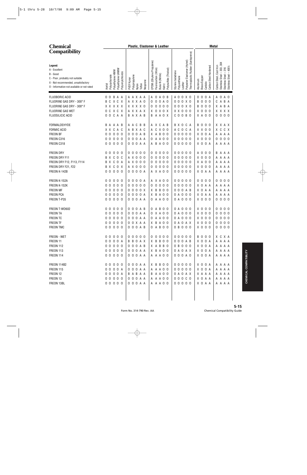| <b>Chemical</b>                                                                                                                                              |                                                                                                                                                            | Plastic, Elastomer & Leather                                                                                                                                                                                                                                                                          | <b>Metal</b>                                                                                                                                                                                                                |
|--------------------------------------------------------------------------------------------------------------------------------------------------------------|------------------------------------------------------------------------------------------------------------------------------------------------------------|-------------------------------------------------------------------------------------------------------------------------------------------------------------------------------------------------------------------------------------------------------------------------------------------------------|-----------------------------------------------------------------------------------------------------------------------------------------------------------------------------------------------------------------------------|
| <b>Compatibility</b>                                                                                                                                         |                                                                                                                                                            |                                                                                                                                                                                                                                                                                                       |                                                                                                                                                                                                                             |
| Legend:<br>A - Excellent<br>B - Good<br>C - Poor, probably not suitable<br>X - Not recommended, unsatisfactory<br>O - Information not available or not rated | Polyethylene UHMW<br>Polyethylene HMW<br>Polyvinylchloride<br>Acetal<br>Polycarbonate                                                                      | Thermoplastic Rubber (Santoprene)<br>Elastomer (Hytrel)<br>EPDM (Ethylene Propylene)<br>Polysulfide (Thiokol)<br>Fluorocarbon (Viton)<br>Styrene butadiene<br>Buna-N (Nitrile)<br>Polypropylene<br>Polyurethane<br>PVDF Kynar<br>Neoprene<br>Polyester<br>Leather<br>Teflon<br>Kalrrz<br>Nylon        | Stainless Steel - 303, 304<br>Carbon Steel, Cast Iron<br>Carbon Steel Hardened<br>Stainless Steel - 316<br>Stainless Steel - 400's<br>Brass/Copper<br>Aluminum<br>Carbide                                                   |
| FLUOBORIC ACID<br>FLUORINE GAS DRY - 300° F<br>FLUORINE GAS DRY - 300° F<br><b>FLUORINE GAS WET</b><br>FLUOSILICIC ACID                                      | 0 0 B A A<br>B C X C X<br>X X X X X<br>OCXCX<br>0 0 C A A                                                                                                  | A A X A A<br>0 A O B<br>A 0 0 X 0<br>A<br>0 0 A 0<br>0 0 0 X 0<br>A X X A O<br>0<br>$\overline{0}$<br>0 0 0 X 0<br>X X X X O<br>0<br>0 <sub>0</sub><br>0<br>AXXAX<br>X O X O X<br>$X$ $X$ $0$ $0$ $0$<br>A A O X<br>$C$ O O B O<br><b>BAXAB</b><br>B                                                  | $\overline{0}$<br>$\mathbf 0$<br>A 0 A 0<br>0<br>A<br>$\mathbf 0$<br>$\mathbf 0$<br>CABA<br>B<br>0<br>B <sub>0</sub><br>$\mathbf 0$<br>X A B A<br>0<br>X <sub>0</sub><br>X X X X<br>$\mathbf 0$<br>0<br>000<br>X A O O<br>0 |
| FORMALDEHYDE<br><b>FORMIC ACID</b><br>FREON BF<br>FREON C316<br>FREON C318                                                                                   | B A A A B<br>X X C A C<br>000<br>0<br>0<br>$\mathbf 0$<br>000<br>0<br>0 <sub>0</sub><br>000                                                                | A X C<br>B X O C A<br>A C<br>B B<br>A B<br>A<br>B X A C<br>C<br>X 0 0<br>A C<br>0 C A<br>A<br>Α<br>0 0 A B<br>B<br>00000<br>X A<br>0 <sub>0</sub><br>0<br>0 0 A A<br>00000<br>A<br>A 0 0<br>0<br>0<br>0 0 0 A A<br>B<br>A 0 0<br>00000<br>A                                                           | B <sub>0</sub><br>$\mathbf 0$<br>X X A X<br>-0<br>X X O<br>X C C X<br>0<br>X O<br>0 A<br>A A A A<br>X <sub>0</sub><br>0 <sub>0</sub><br>000<br>0<br>X O O A<br>A A A A                                                      |
| <b>FREON DRY</b><br>FREON DRY F11<br>FREON DRY F12, F113, F114<br>FREON DRY F21, F22<br>FREON K-142B                                                         | 0<br>0<br>0<br>0<br>- 0<br>C<br>B<br>$\mathsf{X}$<br>0<br>C<br>$\mathbb{C}$<br>$\overline{0}$<br>X<br>B<br>A<br>C O X<br>Χ<br>B<br>$\mathbf 0$<br>000<br>0 | 00000<br>$\overline{0}$<br>00000<br>0<br>0 <sub>0</sub><br>0<br>00000<br>A X 0 0 0<br>0<br>$\mathbf 0$<br>0 <sub>0</sub><br>0<br>$\mathbf 0$<br>00000<br>A X 0 0 0<br>0<br>0 <sub>0</sub><br>0<br>A X 0 0 0<br>$\mathbf 0$<br>00000<br>0<br>0 <sub>0</sub><br>0<br>0 0 0 0 A<br>X A O O<br>00000<br>A | $\overline{0}$<br>0 <sub>0</sub><br>B<br>A<br>AAA<br>X <sub>0</sub><br>$\mathbf 0$<br>0<br>A A A<br>A<br>X A<br>0 <sub>0</sub><br>A A A<br>A<br>X <sub>0</sub><br>0 <sub>0</sub><br>A<br>A A<br>A<br>X O A A<br>A A A A     |
| FREON K-152A<br>FREON K-152K<br><b>FREON MF</b><br>FREON PCA<br>FREON T-P35                                                                                  | 0<br>0<br>0<br>0 <sub>0</sub><br>000<br>$\mathbf 0$<br>0<br>$\mathbf 0$<br>0 <sub>0</sub><br>0<br>0<br>000<br>$\mathbf 0$<br>0<br>0 <sub>0</sub><br>000    | 00000<br>000A<br>X A<br>0 <sub>0</sub><br>0<br>A<br>0000<br>0<br>$\mathbf 0$<br>0 <sub>0</sub><br>00000<br>0<br>0<br>$\, {\sf B}$<br>0 0 0 A B<br>000X<br>B<br>0 <sub>0</sub><br>0<br>X<br>0 0 0 A<br>B<br>A 0 0<br>0 A 0 0 0<br>X<br>0<br>0 0 0 A A<br>A A O O<br>0 A O O O<br>0                     | $\mathbf 0$<br>0 <sub>0</sub><br>0<br>0<br>000<br>X <sub>0</sub><br>A A<br>A A A A<br>$\mathbf 0$<br>A A<br>A A A<br>X.<br>A<br>$\mathsf 0$<br>A A<br>A A A<br>X.<br>А<br>0 <sub>0</sub><br>000<br>X <sub>0</sub><br>0      |
| FREON T-WD602<br><b>FREON TA</b><br>FREON TC<br>FREON TF<br>FREON TMC                                                                                        | $0\quad0\quad0$<br>0<br>- 0<br>00000<br>00000<br>00000<br>00000                                                                                            | $0\,0\,0$<br>- B<br>0 <sub>0</sub><br>0 A O O O<br>A B<br>0<br>A<br>0 0 0 A A<br>X A O O<br>0 A O O O<br>0<br>0 0 0 A A<br>0 A A O O<br>0 A O O O<br>0 0 X A A<br>X B A O O<br>0 A O A X<br>0 0 0 A B<br>0 B O O O<br>0 A B O O                                                                       | X O<br>0<br>0<br>000<br>0<br>$X$ 0 0 0<br>0 0 0 0<br>$X$ 0 0 0<br>0000<br>$X$ 0 0 0<br>0000<br>$X$ 0 0 0<br>0 0 0 0                                                                                                         |
| FREON - WET<br>FREON 11<br><b>FREON 112</b><br>FREON 113<br><b>FREON 114</b>                                                                                 | 00000<br>0000A<br>00000<br>00000<br>00000                                                                                                                  | 00000<br>00000<br>00000<br><b>BBOAX</b><br>X B B O O<br>0 0 0 A B<br>0 0 0 A B<br>X A B B O<br>0 B O O O<br>0 0 0 A A<br>X B A O O<br>0 A O A X<br>0 0 0 A A<br>A A A O O<br>0 0 0 A 0                                                                                                                | <b>BOO0</b><br>X C X A<br>X O O A<br>A A A A<br>X O O A<br>A A A A<br>X O O A<br>A A A A<br>X O O A<br>A A A A                                                                                                              |
| <b>FREON 114B2</b><br><b>FREON 115</b><br>FREON 12<br>FREON 13<br>FREON 13BL                                                                                 | 00000<br>0000A<br>0000A<br>00000<br>00000                                                                                                                  | X B B O O<br>00000<br>0 0 0 A A<br>0 0 0 A A<br>A A A O O<br>00000<br><b>BABAA</b><br><b>B A A O O</b><br>0 A O A X<br>00000<br>0 0 0 A A<br>A A A O O<br>0 0 0 A A<br>00000<br>A A A O O                                                                                                             | X O O A<br>A A A A<br>X O O A<br>A A A A<br>X A A A<br>A A A A<br>X O A A<br>A A A A<br>X O A A<br>A A A A                                                                                                                  |
|                                                                                                                                                              |                                                                                                                                                            |                                                                                                                                                                                                                                                                                                       |                                                                                                                                                                                                                             |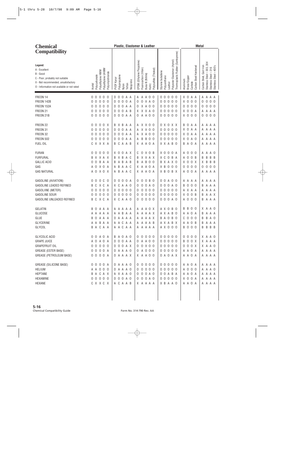| <b>Chemical</b>                                                                                                                                              |                                                                                       | Plastic, Elastomer & Leather                                                                                                                                                                | <b>Metal</b>                                                                                                                                                                                                                                                              |
|--------------------------------------------------------------------------------------------------------------------------------------------------------------|---------------------------------------------------------------------------------------|---------------------------------------------------------------------------------------------------------------------------------------------------------------------------------------------|---------------------------------------------------------------------------------------------------------------------------------------------------------------------------------------------------------------------------------------------------------------------------|
| <b>Compatibility</b>                                                                                                                                         |                                                                                       |                                                                                                                                                                                             |                                                                                                                                                                                                                                                                           |
| Legend:<br>A - Excellent<br>B - Good<br>C - Poor, probably not suitable<br>X - Not recommended, unsatisfactory<br>O - Information not available or not rated | Polyethylene UHMW<br>Polyethylene HMW<br>Polyvinylchloride<br>Polycarbonate<br>Acetal | EPDM (Ethylene Propylene)<br>Fluorocarbon (Viton)<br>Polysulfide (Thiokol)<br>Styrene butadiene<br>Buna-N (Nitrile)<br>Polypropylene<br>PVDF Kynar<br>Neoprene<br>Teflon<br>Kalrrz<br>Nylon | Thermoplastic Rubber (Santoprene)<br>Polyester Elastomer (Hytrel)<br>Stainless Steel - 303, 304<br>Carbon Steel, Cast Iron<br>Carbon Steel Hardened<br>Stainless Steel - 400's<br>Stainless Steel - 316<br>Polyurethane<br>Brass/Copper<br>Aluminum<br>Carbide<br>Leather |
| FREON 14                                                                                                                                                     | $\mathbf 0$<br>0<br>0<br>0<br>0                                                       | 0<br>$\mathbf 0$<br>$\mathsf{A}$<br>0 <sub>0</sub><br>A A<br>Α<br>0<br>A<br>0                                                                                                               | 0 <sub>0</sub><br>$\overline{0}$<br>0<br>0<br>A A<br>A<br>A A<br>X<br>A                                                                                                                                                                                                   |
| FREON 142B                                                                                                                                                   | $\mathbf 0$<br>0<br>0<br>0<br>0                                                       | $\mathbf 0$<br>0<br>$\mathbf 0$<br>X A O<br>0 A<br>0<br>0<br>0                                                                                                                              | $\mathbf 0$<br>$\mathbf 0$<br>0 <sub>0</sub><br>0<br>0<br>0 <sub>0</sub><br>X<br>0<br>0<br>0                                                                                                                                                                              |
| FREON 152A                                                                                                                                                   | $\mathbf 0$<br>$\overline{0}$<br>-0<br>0<br>0                                         | X A<br>$\mathbf 0$<br>$\mathbf 0$<br>0 <sub>0</sub><br>A A<br>0<br>0<br>0                                                                                                                   | $\mathbb O$<br>0 <sub>0</sub><br>0 <sub>0</sub><br>0 <sub>0</sub><br>0<br>0<br>0<br>0<br>0                                                                                                                                                                                |
| FREON 21                                                                                                                                                     | $\mathbf 0$<br>$\overline{0}$<br>0<br>0<br>0                                          | $\mathbf 0$<br>$\mathbf 0$<br>A B<br>X X X A O<br>0<br>0                                                                                                                                    | $\overline{0}$<br>0 <sub>0</sub><br>$\mathbf 0$<br>0<br>0<br>A A<br>X.<br>A<br>Α<br>Α                                                                                                                                                                                     |
| FREON 21B                                                                                                                                                    | 0 <sub>0</sub><br>0<br>0<br>- 0                                                       | O A A<br>A A O O<br>$\mathbf 0$<br>0<br>0                                                                                                                                                   | X <sub>0</sub><br>0 <sub>0</sub><br>00000<br>0<br>0 <sub>0</sub><br>0                                                                                                                                                                                                     |
| FREON 22                                                                                                                                                     | 0<br>0 X<br>0<br>0                                                                    | X B<br>A X X O O<br>A A<br>0<br>B                                                                                                                                                           | $\mathbf 0$<br>X O X X<br>B<br>A A<br>A<br>A A A                                                                                                                                                                                                                          |
| FREON 31                                                                                                                                                     | $\mathbf 0$<br>$\overline{0}$<br>0<br>0<br>0                                          | $\mathbf 0$<br>$\mathbf 0$<br>X X O O<br>A A<br>0<br>A<br>0                                                                                                                                 | $\mathbf 0$<br>0 <sub>0</sub><br>$\mathbf 0$<br>0<br>A A<br>A A<br>X.<br>A<br>A                                                                                                                                                                                           |
| FREON 32                                                                                                                                                     | $\mathbf 0$<br>$\overline{0}$<br>0<br>- 0<br>0                                        | $\mathbf 0$<br>$\mathbf 0$<br>X A O O<br>A A<br>0<br>0<br>A                                                                                                                                 | 0 <sub>0</sub><br>$\mathbf 0$<br>A A<br>0<br>0<br>A A A<br>X.<br>A                                                                                                                                                                                                        |
| <b>FREON 502</b>                                                                                                                                             | 0<br>0 <sub>0</sub><br>0<br>- 0                                                       | <b>BO0</b><br>$\mathbf 0$<br>$\mathbf 0$<br>В<br>A A<br>0<br>A                                                                                                                              | 000<br>0 <sub>0</sub><br>$\mathbf 0$<br>A O<br>X<br>A A A<br>A                                                                                                                                                                                                            |
| FUEL OIL                                                                                                                                                     | C X X X A                                                                             | C<br>A A B<br>X A A O A<br>B                                                                                                                                                                | 0 A<br>X X A B O<br>A<br>A A A<br>B<br>A                                                                                                                                                                                                                                  |
| <b>FURAN</b>                                                                                                                                                 | 0<br>0<br>0<br>0<br>- 0                                                               | 0<br>0<br>A X<br>0 X 0 B<br>X.<br>C                                                                                                                                                         | $X$ 0 0<br>0<br>0<br>A O<br>0 A<br>A<br>- 0<br>Α<br>Α                                                                                                                                                                                                                     |
| <b>FURFURAL</b>                                                                                                                                              | B X X A X                                                                             | X B<br>A C<br>X X A X<br>B<br>B                                                                                                                                                             | X C O<br>0<br>$\mathbf 0$<br>B<br>B<br>B A<br>B<br>- B<br>A<br>B                                                                                                                                                                                                          |
| <b>GALLIC ACID</b>                                                                                                                                           | B A<br>0<br>A<br>0                                                                    | A B<br>$\,$ B<br>A B<br>A<br>0 <sub>0</sub><br>B<br>B                                                                                                                                       | 0 X<br>B B<br>B X A X O<br>$\overline{0}$<br>B<br>X.<br>X.                                                                                                                                                                                                                |
| GAS                                                                                                                                                          | X O<br>0<br>A<br>A                                                                    | B<br>A A C<br>X A<br>A O A<br>A                                                                                                                                                             | $\mathbb O$<br>$\mathsf 0$<br>X B<br>0 <sub>0</sub><br>0<br>0 <sub>0</sub><br>$\,0\,$<br>- 0<br>0<br>0                                                                                                                                                                    |
| <b>GAS NATURAL</b>                                                                                                                                           | A O X O X                                                                             | B<br>A A C<br>X A A O A<br>A                                                                                                                                                                | X B O B X<br>A O<br>0 A<br>A A A A                                                                                                                                                                                                                                        |
| GASOLINE (AVIATION)                                                                                                                                          | 0<br>C<br>0<br>0<br>- 0                                                               | 0<br>0<br>0 A<br>0<br>B 0<br>0<br>0<br>0                                                                                                                                                    | 0 0 A 0 0<br>A A A<br>A<br>A A A<br>A                                                                                                                                                                                                                                     |
| GASOLINE LEADED REFINED                                                                                                                                      | X C<br>C<br>B<br>A                                                                    | C<br>$\mathbf 0$<br>A A O<br>0<br>A O<br>X.<br>0<br>0                                                                                                                                       | $\mathbf 0$<br>0 <sub>0</sub><br>0<br>0<br>A O<br>B<br>A A<br>B<br>A                                                                                                                                                                                                      |
| GASOLIINE (METER)                                                                                                                                            | $\mathbf 0$<br>$\mathbf 0$<br>0<br>0<br>0                                             | $\mathbf 0$<br>$\mathbf 0$<br>0 <sub>0</sub><br>$\mathbf 0$<br>0 <sub>0</sub><br>0<br>0<br>0<br>0                                                                                           | 0 <sub>0</sub><br>0<br>0<br>X A A<br>A A A<br>Α<br>A                                                                                                                                                                                                                      |
| <b>GASOLINE SOUR</b>                                                                                                                                         | $\overline{0}$<br>0<br>0<br>0<br>0                                                    | $\mathbf 0$<br>$\mathbf 0$<br>0 <sub>0</sub><br>$\mathbf 0$<br>$\mathbf 0$<br>0 <sub>0</sub><br>0<br>0<br>0                                                                                 | $\overline{0}$<br>$\mathbf 0$<br>0<br>$\mathbf 0$<br>0 <sub>0</sub><br>A X<br>B<br>B<br>X.<br>Α                                                                                                                                                                           |
| GASOLINE UNLEADED REFINED                                                                                                                                    | X C A<br>B C                                                                          | X C<br>A A O<br>$\mathbf 0$<br>000<br>0                                                                                                                                                     | 0 0 0 A 0<br>A O<br>0 <sub>0</sub><br>В<br>A A A                                                                                                                                                                                                                          |
| GELATIN                                                                                                                                                      | B<br>0<br>A A<br>A                                                                    | A<br>A<br>A A<br>A<br>AOX<br>A<br>A                                                                                                                                                         | B<br>0<br>X A A O<br>A X O<br>B<br>- 0<br>B<br>-0                                                                                                                                                                                                                         |
| GLUCOSE                                                                                                                                                      | AAAAA                                                                                 | AABAA<br>A A A X<br>A                                                                                                                                                                       | A O A<br>A X A B O<br>Β<br>A A A<br>Α                                                                                                                                                                                                                                     |
| GLUE                                                                                                                                                         | BOAAA                                                                                 | O A A A A<br>A A A X<br>A                                                                                                                                                                   | $C$ 0 0 0<br>B B A O<br>BAOBO                                                                                                                                                                                                                                             |
| GLYCERINE                                                                                                                                                    | A A B A A                                                                             | A A C A A<br>A A A A B                                                                                                                                                                      | A X A B X<br>A A O B<br>B A A A                                                                                                                                                                                                                                           |
| GLYCOL                                                                                                                                                       | B A C A A                                                                             | A A C A A<br>A A A A A                                                                                                                                                                      | <b>BOO0</b><br>A X 0 0 0<br><b>BBBB</b>                                                                                                                                                                                                                                   |
| GLYCOLIC ACID                                                                                                                                                | 0 0 A 0 A                                                                             | <b>BAOAO</b><br>00000                                                                                                                                                                       | 00000<br>0000<br>X A A O                                                                                                                                                                                                                                                  |
| <b>GRAPE JUICE</b>                                                                                                                                           | A O A O A                                                                             | 0 0 0 A A<br>0 A A O O                                                                                                                                                                      | <b>BOOX</b><br>00000<br>X A A A                                                                                                                                                                                                                                           |
| <b>GRAPEFRUIT OIL</b>                                                                                                                                        | 00000                                                                                 | 0 0 0 A X<br>0 0 X 0 0                                                                                                                                                                      | 0 0 0 X<br>00000<br>X A A O                                                                                                                                                                                                                                               |
| GREASE (ESTER BASE)                                                                                                                                          | 0000A                                                                                 | 0 A O O O<br>0 A A A O                                                                                                                                                                      | 00000<br>A A O A<br>A A A A                                                                                                                                                                                                                                               |
| GREASE (PETROLEUM BASE)                                                                                                                                      | 0 0 0 0 A                                                                             | O A A A X<br>X A A O O                                                                                                                                                                      | A A O A<br>0 A O A X<br>A A A A                                                                                                                                                                                                                                           |
| GREASE (SILICONE BASE)                                                                                                                                       | 0 0 0 0 A                                                                             | 0 A A A O<br>00000                                                                                                                                                                          | 00000<br>A A O A<br>A A A A                                                                                                                                                                                                                                               |
| <b>HELIUM</b>                                                                                                                                                | A A O O O                                                                             | 0 A A A 0<br>0 0 0 0 0                                                                                                                                                                      | A 0 0 0<br>00000<br>A A A O                                                                                                                                                                                                                                               |
| HEPTANE                                                                                                                                                      | B A C A X                                                                             | 0 0 0 A 0<br>A X A A O                                                                                                                                                                      | 0 0 A B A<br>A A O A<br>A A A A                                                                                                                                                                                                                                           |
| HEXAMINE                                                                                                                                                     | 00000                                                                                 | 0 0 0 A 0<br>0 0 0 A 0                                                                                                                                                                      | 00000<br>X O O A<br>A A A A                                                                                                                                                                                                                                               |
| HEXANE                                                                                                                                                       | C X X C X                                                                             | A C A A B<br>X A A A A                                                                                                                                                                      | X B A A O<br>A A O A<br>A A A A                                                                                                                                                                                                                                           |
|                                                                                                                                                              |                                                                                       |                                                                                                                                                                                             |                                                                                                                                                                                                                                                                           |
|                                                                                                                                                              |                                                                                       |                                                                                                                                                                                             |                                                                                                                                                                                                                                                                           |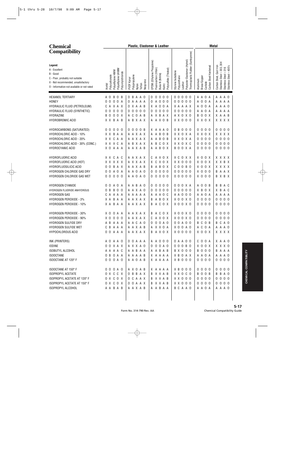| <b>Chemical</b>                                                                                                                                              |                                                                                       | Plastic, Elastomer & Leather                                                                                                                                           | <b>Metal</b>                                                                                                                                                                                                                                                                                                        |
|--------------------------------------------------------------------------------------------------------------------------------------------------------------|---------------------------------------------------------------------------------------|------------------------------------------------------------------------------------------------------------------------------------------------------------------------|---------------------------------------------------------------------------------------------------------------------------------------------------------------------------------------------------------------------------------------------------------------------------------------------------------------------|
| <b>Compatibility</b>                                                                                                                                         |                                                                                       |                                                                                                                                                                        |                                                                                                                                                                                                                                                                                                                     |
| Legend:<br>A - Excellent<br>B - Good<br>C - Poor, probably not suitable<br>X - Not recommended, unsatisfactory<br>0 - Information not available or not rated | Polyethylene UHMW<br>Polyethylene HMW<br>Polyvinylchloride<br>Polycarbonate<br>Acetal | EPDM (Ethylene Propylene)<br>Polysulfide (Thiokol)<br>Fluorocarbon (Viton)<br>Buna-N (Nitrile)<br>Polypropylene<br>PVDF Kynar<br>Neoprene<br>Teflon<br>Kalrrz<br>Nylon | Thermoplastic Rubber (Santoprene)<br>Polyester Elastomer (Hytrel)<br>Stainless Steel - 303, 304<br>Carbon Steel, Cast Iron<br>Carbon Steel Hardened<br>$-400$ 's<br>316<br>Styrene butadiene<br>$\mathsf I$<br>Stainless Steel<br>Stainless Steel<br>Polyurethane<br>Brass/Copper<br>Aluminum<br>Carbide<br>Leather |
| <b>HEXANOL TERTIARY</b>                                                                                                                                      | A O<br>B<br>0<br>B                                                                    | B<br>A A O<br>0<br>$\mathbf 0$<br>0 <sub>0</sub><br>0<br>0                                                                                                             | 000<br>0 <sub>0</sub><br>A A O A<br>A A A O                                                                                                                                                                                                                                                                         |
| <b>HONEY</b>                                                                                                                                                 | 0 <sub>0</sub><br>0<br>0<br>A                                                         | A 0 0 0<br>A A A A<br>0<br>0                                                                                                                                           | 00000<br>$\mathsf{O}$<br>0 A<br>A<br>A A A A                                                                                                                                                                                                                                                                        |
| HYDRAULIC FLUID (PETROLEUM)                                                                                                                                  | C A X A X                                                                             | X A A B<br>A O O A<br>X.<br>0                                                                                                                                          | X A A A X<br>$\mathsf{O}$<br>0 A<br>A A A O<br>A                                                                                                                                                                                                                                                                    |
| HYDRAULIC FLUID (SYNTHETIC)                                                                                                                                  | $\mathbf 0$<br>0<br>$\Omega$<br>0<br>0                                                | $\mathbf 0$<br>$\mathbf 0$<br>0 <sub>0</sub><br>$\mathsf 0$<br>$\overline{0}$<br>0 <sub>0</sub><br>0<br>0                                                              | 000<br>0 <sub>0</sub><br>A A O A<br>A A A A                                                                                                                                                                                                                                                                         |
| HYDRAZINE                                                                                                                                                    | 0 0 X<br>B<br>0                                                                       | C<br>A X B A X<br>0 A B<br>A                                                                                                                                           | A X O X O<br>0 0 X<br>X A A B<br>B                                                                                                                                                                                                                                                                                  |
| <b>HYDROBROMIC ACID</b>                                                                                                                                      | X X B A B                                                                             | A B X A X<br>A A X O B                                                                                                                                                 | $X$ $X$ $0$ $0$ $0$<br>X X O X<br>X X X X                                                                                                                                                                                                                                                                           |
| HYDROCARBONS (SATURATED)                                                                                                                                     | 00<br>$0\ 0\ 0$                                                                       | 000B<br>X A A A O<br>0                                                                                                                                                 | 0 B O O O<br>$0000$<br>$0\quad 0\quad 0$<br>0                                                                                                                                                                                                                                                                       |
| <b>HYDROCHLORIC ACID - 10%</b>                                                                                                                               | X X B A A                                                                             | A B O B<br>AAXAX<br>A                                                                                                                                                  | X X O X A<br>X X O X<br>X X X X                                                                                                                                                                                                                                                                                     |
| HYDROCHLORIC ACID - 20%                                                                                                                                      | X X C A A                                                                             | A B O B<br>A A X A X<br>A                                                                                                                                              | X X O X A<br>000<br>000<br>0<br>0                                                                                                                                                                                                                                                                                   |
| HYDROCHLORIC ACID - 30% (CONC.)                                                                                                                              | X X X C A                                                                             | B C O X<br>A B X A X<br>A                                                                                                                                              | X X O X C<br>000<br>000<br>0<br>0                                                                                                                                                                                                                                                                                   |
| <b>HYDROCYANIC ACID</b>                                                                                                                                      | X O A A A                                                                             | A A X A B<br>A A B O X                                                                                                                                                 | BOOXA<br>0000<br>0000                                                                                                                                                                                                                                                                                               |
| HYDROFLUORIC ACID                                                                                                                                            | X X C A C                                                                             | A X O X<br>A A X A X<br>C                                                                                                                                              | X C O X X<br>X O O X<br>X X X X                                                                                                                                                                                                                                                                                     |
| HYDROFLUORIC ACID (HOT)                                                                                                                                      | X X X X X                                                                             | A X X A X<br>X C X O X                                                                                                                                                 | X X O O O<br>X O O X<br>X X B X                                                                                                                                                                                                                                                                                     |
| HYDROFLUOSILICIC ACID                                                                                                                                        | B A X<br>00                                                                           | A A X A B<br>A B O X<br>B                                                                                                                                              | $C$ O O B O<br>X O O X<br>X X X X                                                                                                                                                                                                                                                                                   |
| HYDROGEN CHLORIDE GAS DRY                                                                                                                                    | A O A<br>0 <sub>0</sub>                                                               | 0000<br>A A O A O<br>0                                                                                                                                                 | 00000<br>$X$ 0 0 0<br>B A A X                                                                                                                                                                                                                                                                                       |
| HYDROGEN CHLORIDE GAS WET                                                                                                                                    | 000<br>0 <sub>0</sub>                                                                 | A A O A O<br>0000<br>0                                                                                                                                                 | 00000<br>$X$ 0 0 0<br>B X B X                                                                                                                                                                                                                                                                                       |
| <b>HYDROGEN CYANIDE</b>                                                                                                                                      | AO A<br>0<br>0                                                                        | 0000<br>A A B A O<br>0                                                                                                                                                 | 0 0 0 X A<br>A 0 0 B<br>B<br>A C<br>B                                                                                                                                                                                                                                                                               |
| HYDROGEN FLUORIDE ANHYDROUS                                                                                                                                  | B<br>B <sub>0</sub><br>0<br>- 0                                                       | 0000<br>A A X A O<br>0                                                                                                                                                 | 00000<br>X B O X<br>B A C<br>X.                                                                                                                                                                                                                                                                                     |
| <b>HYDROGEN GAS</b>                                                                                                                                          | CAAAA                                                                                 | A A A A A<br>A A O C<br>A                                                                                                                                              | A A O O O<br>A A O A<br>A A A A                                                                                                                                                                                                                                                                                     |
| HYDROGEN PEROXIDE - 3%                                                                                                                                       | B A A<br>X A                                                                          | AAXAX<br>A B O X<br>В                                                                                                                                                  | X 0 0 X 0<br>$\mathbf 0$<br>0 <sub>0</sub><br>$\mathbf 0$<br>0 <sub>0</sub><br>0<br>0                                                                                                                                                                                                                               |
| <b>HYDROGEN PEROXIDE - 10%</b>                                                                                                                               | X A B A A                                                                             | A C O X<br>AAXAX<br>B                                                                                                                                                  | X O O X O<br>0000<br>000<br>0                                                                                                                                                                                                                                                                                       |
| HYDROGEN PEROXIDE - 30%                                                                                                                                      | X O O A A                                                                             | <b>BACOX</b><br>A A X A X                                                                                                                                              | $X$ 0 0 $X$ 0<br>$0000$<br>0000                                                                                                                                                                                                                                                                                     |
| HYDROGEN PEROXIDE - 90%                                                                                                                                      | $X$ 0 0 0 0                                                                           | A A X A X<br>C A X O X                                                                                                                                                 | 0000<br>0 0 0 0<br>$X$ 0 0 $X$ 0                                                                                                                                                                                                                                                                                    |
| HYDROGEN SULFIDE DRY                                                                                                                                         | A B A A A                                                                             | A A C A O<br>0 0 0 A 0                                                                                                                                                 | 0 0 A 0 0<br>B C O B<br>B C A O                                                                                                                                                                                                                                                                                     |
| HYDROGEN SULFIDE WET                                                                                                                                         | C B A A A                                                                             | AAXAB<br>A X X O A                                                                                                                                                     | $X$ O O A O<br>A C O A<br>A A A O                                                                                                                                                                                                                                                                                   |
| HYPOCHLOROUS ACID                                                                                                                                            | 0 0 A A A                                                                             | AAXAX<br>B A X O X                                                                                                                                                     | $X$ 0 0 0 0<br>X O O X<br>X X X X                                                                                                                                                                                                                                                                                   |
| INK (PRINTERS)                                                                                                                                               | A O A A O                                                                             | 0 0 A A A<br>A A O O O                                                                                                                                                 | 0 A A O O<br>X A A O<br>$C$ $O$ $O$ $A$                                                                                                                                                                                                                                                                             |
| <b>IODINE</b>                                                                                                                                                | 0 0 X A X                                                                             | 0 0 0 A 0<br>A X X A O                                                                                                                                                 | 000B0<br>X O O X<br>X X X O                                                                                                                                                                                                                                                                                         |
| ISOBUTYL ALCOHOL                                                                                                                                             | A A A A C                                                                             | A A B A A<br>A A B A B                                                                                                                                                 | <b>BOO0</b><br><b>BX000</b><br>BAAA                                                                                                                                                                                                                                                                                 |
| <b>ISOOCTANE</b>                                                                                                                                             | O B O A A                                                                             | AAAAB<br>X A A A A                                                                                                                                                     | X B O A X<br>A A O A<br>A A A O                                                                                                                                                                                                                                                                                     |
| ISOOCTANE AT 120° F                                                                                                                                          | 0 0 0 A 0                                                                             | A A O A B<br>X A A A A                                                                                                                                                 | X B O O O<br>0000<br>0 0 0 0                                                                                                                                                                                                                                                                                        |
| ISOOCTANE AT 150° F                                                                                                                                          | 0 0 0 A 0                                                                             | A X O A B<br>X A A A A                                                                                                                                                 | $X$ B O O O<br>0000<br>0000                                                                                                                                                                                                                                                                                         |
| <b>ISOPROPYL ACETATE</b>                                                                                                                                     | O X C C X                                                                             | O B B A X<br>B X X A B                                                                                                                                                 | <b>BOOB</b><br>X X O C O<br>B B A O                                                                                                                                                                                                                                                                                 |
| ISOPROPYL ACETATE AT 120° F                                                                                                                                  | O X C O X                                                                             | B X X A B<br>O C A A X                                                                                                                                                 | $X$ $X$ $0$ $0$ $0$<br>0 0 0 0<br>0 0 0 0                                                                                                                                                                                                                                                                           |
| ISOPROPYL ACETATE AT 150° F                                                                                                                                  | O X C O X                                                                             | B X X A B<br>0 0 A A X                                                                                                                                                 | $X$ $X$ $0$ $0$ $0$<br>0000<br>0000                                                                                                                                                                                                                                                                                 |
| ISOPROPYL ALCOHOL                                                                                                                                            | A A B A B                                                                             | AAXAB<br>A A B A A                                                                                                                                                     | B C A A O<br>A A O A<br>A A A O                                                                                                                                                                                                                                                                                     |
|                                                                                                                                                              |                                                                                       |                                                                                                                                                                        |                                                                                                                                                                                                                                                                                                                     |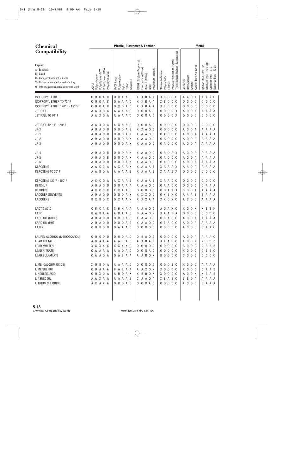| <b>Chemical</b>                                                                                                                                              |                                                                                       | Plastic, Elastomer & Leather                               |                                                                                                                                                                                                                               | <b>Metal</b>                                                                                                                                                              |
|--------------------------------------------------------------------------------------------------------------------------------------------------------------|---------------------------------------------------------------------------------------|------------------------------------------------------------|-------------------------------------------------------------------------------------------------------------------------------------------------------------------------------------------------------------------------------|---------------------------------------------------------------------------------------------------------------------------------------------------------------------------|
| <b>Compatibility</b>                                                                                                                                         |                                                                                       |                                                            |                                                                                                                                                                                                                               |                                                                                                                                                                           |
| Legend:<br>A - Excellent<br>B - Good<br>C - Poor, probably not suitable<br>X - Not recommended, unsatisfactory<br>0 - Information not available or not rated | Polyethylene UHMW<br>Polyethylene HMW<br>Polyvinylchloride<br>Polycarbonate<br>Acetal | Polypropylene<br>PVDF Kynar<br>Neoprene<br>Teflon<br>Nylon | Thermoplastic Rubber (Santoprene)<br>Polyester Elastomer (Hytrel)<br>EPDM (Ethylene Propylene)<br>Fluorocarbon (Viton)<br>Polysulfide (Thiokol)<br>Styrene butadiene<br>Buna-N (Nitrile)<br>Polyurethane<br>Leather<br>Kalrrz | Stainless Steel - 303, 304<br>Carbon Steel, Cast Iron<br>Carbon Steel Hardened<br>Stainless Steel - 400's<br>Stainless Steel - 316<br>Brass/Copper<br>Aluminum<br>Carbide |
| <b>ISOPROPYL ETHER</b>                                                                                                                                       | O A C<br>0<br>$\Omega$                                                                | O X A A C                                                  | X X B<br>A A<br>X B<br>$\Omega$<br>0 <sub>0</sub>                                                                                                                                                                             | A<br>0<br>A<br>A O<br>A<br>A<br>A                                                                                                                                         |
| ISOPROPYL ETHER TO 70° F                                                                                                                                     | 0 A<br>0<br>- C<br>0                                                                  | A A C<br>A<br>0                                            | X X B<br>A A<br>ХB<br>0<br>0 <sub>0</sub>                                                                                                                                                                                     | $\mathbf 0$<br>$\mathbf 0$<br>0<br>0<br>0<br>0 <sub>0</sub><br>0                                                                                                          |
| ISOPROPYL ETHER 120°F - 150°F                                                                                                                                | 0<br>A<br>- C<br>0<br>0                                                               | X O A C<br>0                                               | X X B<br>0 <sub>0</sub><br>A A<br>X B<br>0                                                                                                                                                                                    | $\mathbf 0$<br>$\mathbf 0$<br>$\mathbf 0$<br>0 <sub>0</sub><br>- 0<br>0<br>0                                                                                              |
| <b>JET FUEL</b>                                                                                                                                              | A A X O<br>A                                                                          | A A<br>A A O                                               | $\mathbf 0$<br>0 A 0<br>0 <sub>0</sub><br>$\overline{0}$<br>0 X<br>0                                                                                                                                                          | $\mathbf 0$<br>$\mathbf 0$<br>A A A<br>А<br>A<br>Α                                                                                                                        |
| JET FUEL TO 70° F                                                                                                                                            | A A X O A                                                                             | A A A A O                                                  | $\mathbf 0$<br>0 A 0<br>$00000X$<br>0                                                                                                                                                                                         | 0 <sub>0</sub><br>$\mathbf 0$<br>$\mathbf 0$<br>0 <sub>0</sub><br>0<br>0                                                                                                  |
|                                                                                                                                                              |                                                                                       |                                                            |                                                                                                                                                                                                                               |                                                                                                                                                                           |
| JET FUEL 120° F - 150° F                                                                                                                                     | A A X O<br>A                                                                          | A X A A O                                                  | 0<br>0<br>A O<br>0<br>0 <sub>0</sub><br>0<br>00                                                                                                                                                                               | 0<br>0<br>0<br>0<br>0 <sub>0</sub><br>0<br>- 0                                                                                                                            |
| JP-X                                                                                                                                                         | A O<br>0<br>0<br>A                                                                    | $\overline{0}$<br>$\mathbf 0$<br>A B<br>0                  | X X A O O<br>0<br>0<br>0 <sub>0</sub><br>0                                                                                                                                                                                    | $\mathbf 0$<br>0<br>А<br>A<br>A<br>A<br>A A                                                                                                                               |
| $JP-1$                                                                                                                                                       | A O<br>0<br>0<br>A                                                                    | $\overline{0}$<br>0 A X<br>0                               | X A A 0 0<br>0 <sub>0</sub><br>A O<br>0                                                                                                                                                                                       | $\mathbf 0$<br>$\mathbf 0$<br>A A A<br>А<br>A<br>A                                                                                                                        |
| $JP-2$                                                                                                                                                       | A O<br>0<br>- 0<br>A                                                                  | $\overline{0}$<br>0 A X<br>0                               | X A A 0 0<br>0 <sub>0</sub><br>0 A O                                                                                                                                                                                          | $\mathbf 0$<br>$\mathbf 0$<br>A A A<br>А<br>A<br>A                                                                                                                        |
| $JP-3$                                                                                                                                                       | A O<br>A O<br>- 0                                                                     | 0 A X<br>0 <sub>0</sub>                                    | X A A O O<br>0 A O O O                                                                                                                                                                                                        | $\overline{0}$<br>0 A<br>A A A A<br>A                                                                                                                                     |
| $JP-4$                                                                                                                                                       | 0<br>Α<br>0<br>A<br>B                                                                 | 0<br>0<br>A X<br>0                                         | X A A O O<br>A O<br>0<br>A X                                                                                                                                                                                                  | 0<br>0<br>A<br>A<br>A A A<br>A                                                                                                                                            |
| $JP-5$                                                                                                                                                       | A O<br>A O<br>B                                                                       | $\overline{0}$<br>0 A X<br>0                               | X A A O O<br>0 <sub>0</sub><br>A O<br>0                                                                                                                                                                                       | $\mathbf 0$<br>$\mathbf 0$<br>А<br>A<br>A<br>A A A                                                                                                                        |
| $JP-6$                                                                                                                                                       | A O<br>0<br>0<br>A                                                                    | $\overline{0}$<br>0 A X<br>0                               | X A A O O<br>0 A O O O                                                                                                                                                                                                        | $\mathbf 0$<br>$\mathbf 0$<br>A A A<br>А<br>A<br>A                                                                                                                        |
| <b>KEROSENE</b>                                                                                                                                              | C<br>C<br>A<br>A<br>A                                                                 | A X A A X                                                  | X A A A B<br>X A A A X                                                                                                                                                                                                        | $\mathbf 0$<br>A<br>A A A<br>А<br>A<br>Α                                                                                                                                  |
| KEROSENE TO 70° F                                                                                                                                            | B <sub>0</sub><br>A A<br>A                                                            | AAAAB                                                      | X A A A B<br>X A A B X                                                                                                                                                                                                        | 0 <sub>0</sub><br>000<br>$\mathbf 0$<br>0<br>0                                                                                                                            |
| KEROSENE 120°F - 150°F                                                                                                                                       | C<br>0<br>A C<br>A                                                                    | A X A A B                                                  | X A A A B<br>X A A O O                                                                                                                                                                                                        | 0<br>0<br>0<br>0<br>0 <sub>0</sub><br>0<br>- 0                                                                                                                            |
| <b>KETCHUP</b>                                                                                                                                               | A O<br>A O<br>- 0                                                                     | $\overline{0}$<br>A A A<br>0                               | A A O O<br>0 A A O O<br>A                                                                                                                                                                                                     | $\mathbf 0$<br>$\mathbf 0$<br>A A A<br>0<br>- 0<br>0                                                                                                                      |
| <b>KETONES</b>                                                                                                                                               | C<br>C<br>A X<br>X                                                                    | X X A A O                                                  | 000<br>$\mathbf 0$<br>0 0 A X X<br>0                                                                                                                                                                                          | $\mathbf 0$<br>$\mathbf 0$<br>A A A<br>B<br>A<br>Α                                                                                                                        |
| <b>LACQUER SOLVENTS</b>                                                                                                                                      | A O<br>0<br>0<br>A                                                                    | $\overline{0}$<br>0 A X<br>0                               | 0 X B X 0<br>X X X O O                                                                                                                                                                                                        | A<br>A<br>B<br>A A A<br>А<br>- B                                                                                                                                          |
| LACQUERS                                                                                                                                                     | B O X<br>BX.                                                                          | 0 X A A X                                                  | X X X A A<br>X X O X O                                                                                                                                                                                                        | 0 <sub>0</sub><br>C<br>A A A<br>A<br>A                                                                                                                                    |
| LACTIC ACID                                                                                                                                                  | C<br>C<br>B<br>A<br>C                                                                 | B<br>X A A<br>C                                            | A O A X O<br>A A A O C                                                                                                                                                                                                        | X O<br>0<br>B X<br>X<br>X.<br>B                                                                                                                                           |
| LARD                                                                                                                                                         | B A B A A                                                                             | A B<br>A A B                                               | A A O X<br>X A A B A<br>B                                                                                                                                                                                                     | 0 <sub>0</sub><br>$\overline{0}$<br>000<br>0<br>0                                                                                                                         |
| LARD OIL (COLD)                                                                                                                                              | A 0 A 0 O                                                                             | 0 0 0 A B                                                  | X A A O O<br>0 B A O O                                                                                                                                                                                                        | A 0 0 A<br>A A A A                                                                                                                                                        |
| LARD OIL (HOT)                                                                                                                                               | A 0 A 0 0                                                                             | 0 0 0 A B                                                  | X A A O O<br>0 B A O O                                                                                                                                                                                                        | A 0 0 A<br>A A A A                                                                                                                                                        |
| LATEX                                                                                                                                                        | $C$ O B O O                                                                           | 0 A A A 0                                                  | 0 0 0 0 0<br>00000                                                                                                                                                                                                            | A 0 0 0<br>0 A A O                                                                                                                                                        |
| LAUREL ALCOHOL (N-DODECANOL)                                                                                                                                 | 00000                                                                                 | 0 0 0 A 0                                                  | 0 B A O O<br>00000                                                                                                                                                                                                            | A 0 0 A<br>A A A O                                                                                                                                                        |
| <b>LEAD ACETATE</b>                                                                                                                                          | A O A A A                                                                             | AABAB                                                      | A X B A X<br>X X A O O                                                                                                                                                                                                        | X O O X<br>X B B B                                                                                                                                                        |
| <b>LEAD MOLTEN</b>                                                                                                                                           | X X X X X                                                                             | X X X X O                                                  | 00000<br>00000                                                                                                                                                                                                                | <b>B 0 0 0</b><br>0 B B B                                                                                                                                                 |
| <b>LEAD NITRATE</b>                                                                                                                                          | O A A A A                                                                             | A A O A O                                                  | 0 0 0 A 0<br>00000                                                                                                                                                                                                            | X 0 0 0<br>0 B B O                                                                                                                                                        |
| <b>LEAD SULFAMATE</b>                                                                                                                                        | 0 A A O A                                                                             | O A B A A                                                  | <b>BOOOO</b><br>A A B O X                                                                                                                                                                                                     | $C$ 0 0 0<br>C C C O                                                                                                                                                      |
| LIME (CALCIUM OXIDE)                                                                                                                                         | X O B O A                                                                             | A A A A O                                                  | 0 0 0 0 0<br>0 0 0 B 0                                                                                                                                                                                                        | $X$ 0 0 0<br>A A A A                                                                                                                                                      |
| LIME SULFUR                                                                                                                                                  | 0 0 A A A                                                                             | <b>BABAA</b>                                               | A A X O X<br>$X$ 0 0 0 0                                                                                                                                                                                                      | X 0 0 0<br>CAAB                                                                                                                                                           |
| LINEOLEIC ACID                                                                                                                                               | 0 0 X 0 A                                                                             | A B O A X                                                  | X B B O X<br>$X$ 0 0 0 0                                                                                                                                                                                                      | A 0 0 X<br>X B A B                                                                                                                                                        |
| LINSEED OIL                                                                                                                                                  | A A X A A                                                                             | AAAAB                                                      | CAAOA<br>X B A B O                                                                                                                                                                                                            | B B O A<br>A A A A                                                                                                                                                        |
| LITHIUM CHLORIDE                                                                                                                                             | A C A X A                                                                             | 0 0 0 A 0                                                  | 0 0 0 A 0<br>00000                                                                                                                                                                                                            | X 0 0 0<br>B A A X                                                                                                                                                        |
|                                                                                                                                                              |                                                                                       |                                                            |                                                                                                                                                                                                                               |                                                                                                                                                                           |
|                                                                                                                                                              |                                                                                       |                                                            |                                                                                                                                                                                                                               |                                                                                                                                                                           |
|                                                                                                                                                              |                                                                                       |                                                            |                                                                                                                                                                                                                               |                                                                                                                                                                           |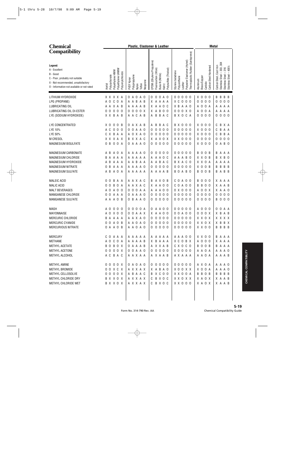| <b>Chemical</b>                                                                                                                                              |                                                                                       | Plastic, Elastomer & Leather                                                                                                                                                                                | <b>Metal</b>                                                                                                                                                                                                                                                                      |
|--------------------------------------------------------------------------------------------------------------------------------------------------------------|---------------------------------------------------------------------------------------|-------------------------------------------------------------------------------------------------------------------------------------------------------------------------------------------------------------|-----------------------------------------------------------------------------------------------------------------------------------------------------------------------------------------------------------------------------------------------------------------------------------|
| <b>Compatibility</b>                                                                                                                                         |                                                                                       |                                                                                                                                                                                                             |                                                                                                                                                                                                                                                                                   |
| Legend:<br>A - Excellent<br>B - Good<br>C - Poor, probably not suitable<br>X - Not recommended, unsatisfactory<br>O - Information not available or not rated | Polyethylene UHMW<br>Polyethylene HMW<br>Polyvinylchloride<br>Polycarbonate<br>Acetal | EPDM (Ethylene Propylene)<br>Polysulfide (Thiokol)<br>Fluorocarbon (Viton)<br>Styrene butadiene<br>Buna-N (Nitrile)<br>Polypropylene<br>Polyurethane<br>PVDF Kynar<br>Neoprene<br>Teflon<br>Kalrrz<br>Nylon | Thermoplastic Rubber (Santoprene)<br>Polyester Elastomer (Hytrel)<br>Stainless Steel - 303, 304<br>Carbon Steel, Cast Iron<br>Carbon Steel Hardened<br>$-400's$<br>316<br>$\mathbf I$<br>Stainless Steel -<br>Stainless Steel -<br>Brass/Copper<br>Aluminum<br>Carbide<br>Leather |
| LITHIUM HYDROXIDE                                                                                                                                            | X X X X A                                                                             | 0 A O A O<br>0 0 A 0<br>0                                                                                                                                                                                   | 00000<br>X O<br>0 <sub>0</sub><br>B B<br>B B                                                                                                                                                                                                                                      |
| LPG (PROPANE)                                                                                                                                                | C<br>A O<br>0<br>A                                                                    | AABAB<br>X A A A A                                                                                                                                                                                          | $\mathbf 0$<br>X C O O O<br>0<br>0<br>0 <sub>0</sub><br>0<br>0<br>0                                                                                                                                                                                                               |
| LUBRICATING OIL                                                                                                                                              | A A X A B                                                                             | A A A B<br>X A<br>A<br>0 <sub>c</sub><br>A                                                                                                                                                                  | X B A A O<br>$\mathbf 0$<br>0 A<br>A A A A<br>A                                                                                                                                                                                                                                   |
| LUBRICATING OIL DI-ESTER                                                                                                                                     | $\mathsf 0$<br>0 <sub>0</sub><br>$\overline{0}$<br>0                                  | $\mathbf 0$<br>0 0 X<br>B<br>X A<br>0 <sub>0</sub><br>0                                                                                                                                                     | 000X0<br>$\pmb{0}$<br>0<br>A A<br>A A<br>A<br>A                                                                                                                                                                                                                                   |
| LYE (SODIUM HYDROXIDE)                                                                                                                                       | X X B A B                                                                             | A A C A B<br>B A C<br>B<br>A                                                                                                                                                                                | B X O C A<br>0 <sub>0</sub><br>0 <sub>0</sub><br>$\mathbf 0$<br>0 <sub>0</sub><br>0                                                                                                                                                                                               |
| LYE CONCENTRATED                                                                                                                                             | X O<br>0<br>0 <sub>B</sub>                                                            | B<br>A X A B<br>B<br>A C<br>A<br>0                                                                                                                                                                          | <b>BX000</b><br>X O<br>0 <sub>0</sub><br>B<br>C<br>ΧA                                                                                                                                                                                                                             |
| LYE 10%                                                                                                                                                      | A C<br>$\mathbf 0$<br>0 <sub>0</sub>                                                  | 0 A A O<br>0<br>$\mathbf 0$<br>0 <sub>0</sub><br>0<br>0                                                                                                                                                     | 00000<br>X <sub>0</sub><br>0<br>C<br>B<br>A A<br>- 0                                                                                                                                                                                                                              |
| LYE 50%                                                                                                                                                      | C X B A A                                                                             | 000<br>0 X A O<br>0<br>A<br>0                                                                                                                                                                               | 00000<br>X O<br>B<br>B A<br>0 <sub>0</sub><br>C                                                                                                                                                                                                                                   |
| <b>M CRESOL</b>                                                                                                                                              | X X X A X                                                                             | <b>B</b> X X A C<br>X A X O X                                                                                                                                                                               | $\mathbf 0$<br>0 <sub>0</sub><br>$\boldsymbol{0}$<br>0 <sub>0</sub><br>X X 0 0 0<br>0<br>0                                                                                                                                                                                        |
| <b>MAGNESIUM BISULFATE</b>                                                                                                                                   | 0 <sub>B</sub><br>0 0 A                                                               | $\mathbf 0$<br>000<br>0 A A A O<br>0                                                                                                                                                                        | 00000<br>X O<br>0 <sub>0</sub><br>0 A B O                                                                                                                                                                                                                                         |
| MAGNESIUM CARBONATE                                                                                                                                          | A B A<br>0 A                                                                          | $0000$<br>A A A A O<br>0                                                                                                                                                                                    | B <sub>0</sub><br>0 <sub>B</sub><br>00000<br>B<br>A<br>A A                                                                                                                                                                                                                        |
| MAGNESIUM CHLORIDE                                                                                                                                           | B A A A A                                                                             | A A A A<br>А<br>A O C<br>A<br>A                                                                                                                                                                             | X X O B<br>A A A B O<br>B<br>X B O                                                                                                                                                                                                                                                |
| MAGNESIUM HYDROXIDE                                                                                                                                          | B<br>A A A<br>A                                                                       | A B A A<br>A<br>B<br>A C<br>A<br>A                                                                                                                                                                          | X X O A<br>B X A C O<br>A A<br>A A                                                                                                                                                                                                                                                |
| MAGNESIUM NITRATE                                                                                                                                            | B<br>Α<br>A A<br>0                                                                    | A A A O<br>0<br>0<br>0 <sub>0</sub><br>0<br>A                                                                                                                                                               | X <sub>0</sub><br>0 <sub>B</sub><br>B B<br>00000<br>В<br>B                                                                                                                                                                                                                        |
| <b>MAGNESIUM SULFATE</b>                                                                                                                                     | A B<br>A O A                                                                          | A A A A A<br>A A A A B                                                                                                                                                                                      | B <sub>0</sub><br>0 <sub>B</sub><br>BOABO<br>B A<br>B B                                                                                                                                                                                                                           |
| MALEIC ACID                                                                                                                                                  | 0<br>B<br>AA<br>0                                                                     | A X O B<br>AAXAC<br>B                                                                                                                                                                                       | $\mathbf 0$<br>$C$ O A O O<br>0 <sub>0</sub><br>X A A A<br>B                                                                                                                                                                                                                      |
| <b>MALIC ACID</b>                                                                                                                                            | $\mathbf 0$<br>B<br>0 A<br>0                                                          | AAXAC<br>X A<br>A 0 0                                                                                                                                                                                       | B<br>$C$ O A O O<br>$\mathbf 0$<br>X A<br>A B<br>B<br>0                                                                                                                                                                                                                           |
| <b>MALT BEVERAGES</b>                                                                                                                                        | $\mathbf 0$<br>A<br>0 <sub>0</sub><br>A                                               | 0 0 A A<br>A<br>A 0 0<br>A<br>0                                                                                                                                                                             | $0 \times 0 0 0$<br>X A<br>$\mathbf 0$<br>0 <sub>x</sub><br>A 0<br>A                                                                                                                                                                                                              |
| MANGANESE CHLORIDE                                                                                                                                           | $\mathbf 0$<br>A A A<br>0                                                             | 000<br>A A A O<br>0<br>0<br>0                                                                                                                                                                               | 00000<br>$\mathsf 0$<br>0 <sub>0</sub><br>$\mathbf 0$<br>0 <sub>0</sub><br>0<br>0                                                                                                                                                                                                 |
| MANGANESE SULFATE                                                                                                                                            | A A A O B                                                                             | B A A O<br>0<br>000<br>0<br>0                                                                                                                                                                               | 0 <sub>0</sub><br>0 <sub>0</sub><br>$\mathbf 0$<br>00000<br>B<br>0 <sub>0</sub>                                                                                                                                                                                                   |
| <b>MASH</b>                                                                                                                                                  | 0<br>A<br>0<br>0<br>- 0                                                               | 000<br>0 A<br>A A<br>0 <sub>0</sub><br>0                                                                                                                                                                    | 00000<br>A O<br>0<br>0<br>0<br>- 0<br>A A                                                                                                                                                                                                                                         |
| MAYONNAISE                                                                                                                                                   | A 0 X 0 0                                                                             | $0$ $0$ $A$ $A$ $X$<br>X A A O O                                                                                                                                                                            | 000X<br>X B<br>0 0 A 0 0<br>A B                                                                                                                                                                                                                                                   |
| MERCURIC CHLORIDE                                                                                                                                            | B A A A A                                                                             | A A X A O<br>00000                                                                                                                                                                                          | X X X X<br>00000<br>X X O X                                                                                                                                                                                                                                                       |
| MERCURIC CYANIDE                                                                                                                                             | 0 0 A 0 B                                                                             | 00000<br>A A O A O                                                                                                                                                                                          | 00000<br>X X O X<br>X B B X                                                                                                                                                                                                                                                       |
| MERCURIOUS NITRATE                                                                                                                                           | 0 A A O B                                                                             | A A O A O<br>00000                                                                                                                                                                                          | 00000<br>X X O O<br>B B B B                                                                                                                                                                                                                                                       |
| <b>MERCURY</b>                                                                                                                                               | C O A A A                                                                             | A A A A A<br>A A A A A                                                                                                                                                                                      | X X O O<br>A A A O O<br>B A A A                                                                                                                                                                                                                                                   |
| <b>METHANE</b>                                                                                                                                               | A O C O A                                                                             | AAAAB<br>X B A A A                                                                                                                                                                                          | A 0 0 0<br>X C O B X<br>X A A A                                                                                                                                                                                                                                                   |
| METHYL ACETATE                                                                                                                                               | B O B O X                                                                             | O A A A B<br>A X X A B                                                                                                                                                                                      | C X O C O<br><b>BOOB</b><br>BAAA                                                                                                                                                                                                                                                  |
| METHYL ACETONE                                                                                                                                               | 0000X                                                                                 | 00000<br>0 0 A A 0                                                                                                                                                                                          | 00000<br>A A O A<br>A A A O                                                                                                                                                                                                                                                       |
| METHYL ALCOHOL                                                                                                                                               | A C B A C                                                                             | A A X A A<br>A X A A B                                                                                                                                                                                      | A X A A A<br>A A O A<br>A A A B                                                                                                                                                                                                                                                   |
| METHYL AMINE                                                                                                                                                 | 0000X                                                                                 | 0 A O A O<br>00000                                                                                                                                                                                          | 00000<br>A X O A<br>A A A O                                                                                                                                                                                                                                                       |
| METHYL BROMIDE                                                                                                                                               | 00XCX                                                                                 | X A B A O<br>A X X A X                                                                                                                                                                                      | X O O A<br>X O O X X<br>A A A O                                                                                                                                                                                                                                                   |
| METHYL CELLOSOLVE                                                                                                                                            | 0000X                                                                                 | A B A A C<br>B X C O O                                                                                                                                                                                      | X X O O A<br>B B O B<br><b>BBBB</b>                                                                                                                                                                                                                                               |
| METHYL CHLORIDE DRY                                                                                                                                          | B X X O X                                                                             | A X X A X<br>C B X O C                                                                                                                                                                                      | X X O X X<br>X A O X<br>X A A B                                                                                                                                                                                                                                                   |
| METHYL CHLORIDE WET                                                                                                                                          | B X X O X                                                                             | C B X O C<br>AXXAX                                                                                                                                                                                          | X X 0 0 0<br>X A O X<br>X A A B                                                                                                                                                                                                                                                   |
|                                                                                                                                                              |                                                                                       |                                                                                                                                                                                                             |                                                                                                                                                                                                                                                                                   |
|                                                                                                                                                              |                                                                                       |                                                                                                                                                                                                             |                                                                                                                                                                                                                                                                                   |
|                                                                                                                                                              |                                                                                       |                                                                                                                                                                                                             |                                                                                                                                                                                                                                                                                   |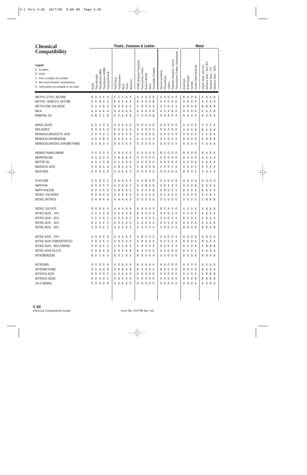| <b>Chemical</b>                                                                                                                                              |                                                                                       | Plastic, Elastomer & Leather                                                                                                                                                                                                                           | <b>Metal</b>                                                                                                                                                                                                        |
|--------------------------------------------------------------------------------------------------------------------------------------------------------------|---------------------------------------------------------------------------------------|--------------------------------------------------------------------------------------------------------------------------------------------------------------------------------------------------------------------------------------------------------|---------------------------------------------------------------------------------------------------------------------------------------------------------------------------------------------------------------------|
| <b>Compatibility</b>                                                                                                                                         |                                                                                       |                                                                                                                                                                                                                                                        |                                                                                                                                                                                                                     |
| Legend:<br>A - Excellent<br>B - Good<br>C - Poor, probably not suitable<br>X - Not recommended, unsatisfactory<br>O - Information not available or not rated | Polyethylene UHMW<br>Polyethylene HMW<br>Polyvinylchloride<br>Polycarbonate<br>Acetal | Polyester Elastomer (Hytrel)<br>EPDM (Ethylene Propylene)<br>Fluorocarbon (Viton)<br>Polysulfide (Thiokol)<br>Styrene butadiene<br>Buna-N (Nitrile)<br>Polypropylene<br>Polyurethane<br>PVDF Kynar<br>Neoprene<br>Leather<br>Teflon<br>Kalrrz<br>Nylon | Thermoplastic Rubber (Santoprene)<br>Stainless Steel - 303, 304<br>Carbon Steel, Cast Iron<br>Carbon Steel Hardened<br>$-400$ 's<br>Stainless Steel - 316<br>Stainless Steel<br>Brass/Copper<br>Aluminum<br>Carbide |
| METHYL ETHYL KETONE                                                                                                                                          | B X X A X                                                                             | C<br>C<br>A X X O B<br>X X O A X<br>C<br>A X                                                                                                                                                                                                           | $\overline{A}$<br>$\mathbf 0$<br>B<br>A<br>Α<br>A A<br>A                                                                                                                                                            |
| METHYL ISOBUTYL KETONE                                                                                                                                       | 0 X<br>B <sub>0</sub><br>X                                                            | X C A X<br>X X A B<br>X X 0 0 0<br>B<br>B                                                                                                                                                                                                              | $\mathbf 0$<br>$\overline{0}$<br>Α<br>A O<br>0<br>А<br>A                                                                                                                                                            |
| METHYLENE CHLORIDE                                                                                                                                           | B<br>X X<br>C<br>X                                                                    | X X A X<br>B<br>X O X<br>X X O X X<br>B<br>C                                                                                                                                                                                                           | X B<br>$\mathbf 0$<br>B B<br>B<br>B<br>B                                                                                                                                                                            |
| <b>MILK</b>                                                                                                                                                  | A A<br>A A<br>A                                                                       | A A O B<br>A X A B O<br>A<br>A A A<br>A<br>A                                                                                                                                                                                                           | A X O X<br>A B<br>X.<br>A                                                                                                                                                                                           |
| MINERAL OIL                                                                                                                                                  | $\mathbb{C}$<br>C<br>A B<br>$\overline{B}$                                            | A C A A B<br>A A O B<br>X A A A X<br>C                                                                                                                                                                                                                 | 0 A<br>A A<br>A A A A                                                                                                                                                                                               |
| MIXED ACIDS                                                                                                                                                  | 0<br>C<br>0 X<br>0                                                                    | A X X A O<br>$\mathbf{0}$<br>0 <sup>0</sup><br>000<br>0<br>0                                                                                                                                                                                           | 0 <sub>0</sub><br>X X O X<br>x x x x                                                                                                                                                                                |
| <b>MOLASSES</b>                                                                                                                                              | BO.<br>AAA                                                                            | A A A A<br>A<br>A 0 0<br>0 A A B O<br>B<br>A                                                                                                                                                                                                           | B<br>$\mathbf 0$<br>A B<br>B<br>B<br>A<br>A                                                                                                                                                                         |
| MONOCHLOROACETIC ACID                                                                                                                                        | X X X X C                                                                             | A X X A<br>$\mathbf 0$<br>000<br>00X<br>B<br>0<br>0                                                                                                                                                                                                    | $\overline{0}$<br>$\overline{0}$<br>C<br>B X<br>0<br>X.<br>X                                                                                                                                                        |
| MONOCHLOROBENZENE                                                                                                                                            | A X X B X                                                                             | X C A X<br>X X O C X<br>X A X O X<br>B                                                                                                                                                                                                                 | $\mathbb O$<br>B<br>$\mathbf 0$<br>B<br>B<br>B<br>0<br>0                                                                                                                                                            |
| MONOCHLORODIFLUOROMETHANE                                                                                                                                    | 0 0 X<br>0 <sub>0</sub>                                                               | $\mathbf 0$<br>000<br>0 0 0 X X<br>A X A O<br>0<br>B                                                                                                                                                                                                   | X 0 0 0<br>X A A A                                                                                                                                                                                                  |
| MONOETHANOLAMINE                                                                                                                                             | XX.<br>0 0 X                                                                          | X B<br>A A X<br>A X X A X<br>B X O                                                                                                                                                                                                                     | 0 <sub>0</sub><br>0<br>0<br>A B A<br>B<br>B<br>B                                                                                                                                                                    |
| MORPHOLINE                                                                                                                                                   | 0 X<br>0 <sub>0</sub><br>- 0                                                          | X B<br>$\mathbf 0$<br>000<br>A A O<br>0<br>0<br>0<br>0                                                                                                                                                                                                 | $\mathbf 0$<br>$\overline{0}$<br>0 <sub>0</sub><br>0<br>A O<br>A<br>0<br>А                                                                                                                                          |
| MOTOR OIL                                                                                                                                                    | C<br>$\mathbf 0$<br>A<br>A<br>A                                                       | C<br>$\mathsf{O}$<br>0 <sub>0</sub><br>A A O<br>0<br>00<br>0<br>A<br>0                                                                                                                                                                                 | <b>B</b> 0<br>$\mathbf 0$<br>$\overline{0}$<br>A A A<br>A<br>А<br>A                                                                                                                                                 |
| <b>MURIATIC ACID</b>                                                                                                                                         | X X<br>B<br>AA                                                                        | B X A X<br>B<br>X O B<br>X X O X A<br>C<br>A                                                                                                                                                                                                           | X X O X<br>X X X X                                                                                                                                                                                                  |
| <b>MUSTARD</b>                                                                                                                                               | 000<br>A A                                                                            | 000<br>$0$ A A A $0$<br>0<br>0 0 0 B A<br>0                                                                                                                                                                                                            | 0 X<br>X X X X<br>$\overline{0}$<br>B                                                                                                                                                                               |
| N-OCTANE                                                                                                                                                     | C<br>B<br>0<br>0<br>- C                                                               | A A A X<br>X A B<br>0 B<br>XX 0<br>A                                                                                                                                                                                                                   | 0 B<br>0<br>0<br>0<br>0 <sub>0</sub><br>0<br>- 0<br>0                                                                                                                                                               |
| <b>NAPHTHA</b>                                                                                                                                               | X C<br>A O<br>C                                                                       | C<br>X A B<br>X B<br>A A C<br>A B<br>A A X<br>A                                                                                                                                                                                                        | $\overline{0}$<br>A<br>A A<br>A<br>B<br>B<br>A                                                                                                                                                                      |
| NAPHTHALENE                                                                                                                                                  | X A X<br>0<br>A                                                                       | B<br>A A X<br>X A X A B<br>X B<br>0<br>A                                                                                                                                                                                                               | C X<br>$\overline{0}$<br>$\overline{A}$<br>B<br>A<br>A A<br>Α<br>A                                                                                                                                                  |
| NICKEL CHLORIDE                                                                                                                                              | B<br>Α<br>A<br>B<br>A                                                                 | A X A A<br>A X O<br>А<br>A A A<br>A C<br>A<br>A                                                                                                                                                                                                        | X X O X<br>B X<br>X.<br>X                                                                                                                                                                                           |
| NICKEL NITRATE                                                                                                                                               | B A A<br>0 A                                                                          | A A A A O<br>0<br>$000$<br>00000<br>0                                                                                                                                                                                                                  | X X O O<br>B B<br>C<br>B                                                                                                                                                                                            |
| NICKEL SULFATE                                                                                                                                               | B<br>A<br>B<br>A<br>A                                                                 | A<br>AAA<br>A A A C<br>всахо<br>A<br>A                                                                                                                                                                                                                 | X C<br>0 X<br>B<br>B<br>X.<br>- B                                                                                                                                                                                   |
| NITRIC ACID - 10%                                                                                                                                            | X C<br>C X B                                                                          | AXXAB<br>A X O X<br>X X O X X<br>Β                                                                                                                                                                                                                     | X X O X<br>X A A X                                                                                                                                                                                                  |
| NITRIC ACID - 25%                                                                                                                                            | X C C X C                                                                             | X X O X X<br>A X X A C<br>B A X O X                                                                                                                                                                                                                    | B X O X<br>X A A X                                                                                                                                                                                                  |
| NITRIC ACID - 35%                                                                                                                                            | X C O X C                                                                             | C A X O X<br>A X X A X<br>X X O X X                                                                                                                                                                                                                    | A X O X<br>X A A A                                                                                                                                                                                                  |
| NITRIC ACID - 50%                                                                                                                                            | X 0 0 X C                                                                             | A X X A X<br>X A X O X<br>X X O X X                                                                                                                                                                                                                    | <b>BOOB</b><br>B B A B                                                                                                                                                                                              |
| NITRIC ACID - 70%                                                                                                                                            | X O O X X                                                                             | X B X O X<br>X X O X X<br>AXXAX                                                                                                                                                                                                                        | A 0 0 0<br>A A A A                                                                                                                                                                                                  |
| NITRIC ACID CONCENTRATED                                                                                                                                     | X O X X X                                                                             | A O O A X<br>X B X O X<br>X X O X X                                                                                                                                                                                                                    | <b>BOOA</b><br>B A A A                                                                                                                                                                                              |
| NITRIC ACID - RED FUMING                                                                                                                                     | X X X X X                                                                             | C X X A X<br>X B X O X<br>X X O X X                                                                                                                                                                                                                    | X X O X<br>X B B B                                                                                                                                                                                                  |
| NITRIC ACID DILUTE                                                                                                                                           | X A B A A                                                                             | A 0 0 A B<br><b>B A X 0 0</b><br>X X O O O                                                                                                                                                                                                             | A X O X<br>X A A A                                                                                                                                                                                                  |
| NITROBENZENE                                                                                                                                                 | B X C A X                                                                             | B X C A X<br>B B X A X<br>X X O X O                                                                                                                                                                                                                    | <b>BOOB</b><br>B B A B                                                                                                                                                                                              |
| <b>NITROGEN</b>                                                                                                                                              | A 0 0 0 A                                                                             | A O A A A<br>A A A A A<br>A A O B O                                                                                                                                                                                                                    | A 0 0 0<br>A A A A                                                                                                                                                                                                  |
| NITROMETHANE                                                                                                                                                 | 0 X 0 0 B                                                                             | A B B A B<br>B X X A C<br>B X O X O                                                                                                                                                                                                                    | <b>BOOA</b><br>B A A A                                                                                                                                                                                              |
| NITROUS ACID                                                                                                                                                 | 00000c                                                                                | A X X A O<br>00000<br>00000                                                                                                                                                                                                                            | X X O X<br>X B B B                                                                                                                                                                                                  |
| NITROUS OXIDE                                                                                                                                                | 0 0 X 0 C                                                                             | X A C A O<br>00000<br>00000                                                                                                                                                                                                                            | <b>BOOB</b><br><b>BBBB</b>                                                                                                                                                                                          |
| OILS ANIMAL                                                                                                                                                  | 0 0 X 0 B                                                                             | 00000<br>00000<br>0 A A A O                                                                                                                                                                                                                            | A A O A<br>A A A O                                                                                                                                                                                                  |
|                                                                                                                                                              |                                                                                       |                                                                                                                                                                                                                                                        |                                                                                                                                                                                                                     |
|                                                                                                                                                              |                                                                                       |                                                                                                                                                                                                                                                        |                                                                                                                                                                                                                     |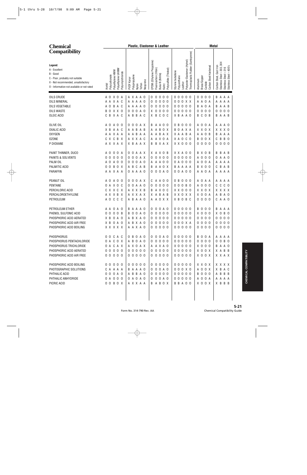| <b>Chemical</b>                                                                                                                                              |                                                                                       | Plastic, Elastomer & Leather                                                                                                                                                                                                                                                                | <b>Metal</b>                                                                                                                                                                 |
|--------------------------------------------------------------------------------------------------------------------------------------------------------------|---------------------------------------------------------------------------------------|---------------------------------------------------------------------------------------------------------------------------------------------------------------------------------------------------------------------------------------------------------------------------------------------|------------------------------------------------------------------------------------------------------------------------------------------------------------------------------|
| <b>Compatibility</b>                                                                                                                                         |                                                                                       |                                                                                                                                                                                                                                                                                             |                                                                                                                                                                              |
| Legend:<br>A - Excellent<br>B - Good<br>C - Poor, probably not suitable<br>X - Not recommended, unsatisfactory<br>O - Information not available or not rated | Polyethylene UHMW<br>Polyethylene HMW<br>Polyvinylchloride<br>Polycarbonate<br>Acetal | Thermoplastic Rubber (Santoprene)<br>Polyester Elastomer (Hytrel)<br>EPDM (Ethylene Propylene)<br>Polysulfide (Thiokol)<br>Fluorocarbon (Viton)<br>Styrene butadiene<br>Buna-N (Nitrile)<br>Polypropylene<br>Polyurethane<br>PVDF Kynar<br>Neoprene<br>Leather<br>Teflon<br>Kalrrz<br>Nylon | 304<br>Carbon Steel, Cast Iron<br>Carbon Steel Hardened<br>Stainless Steel - 400's<br>Stainless Steel - 303,<br>Stainless Steel - 316<br>Brass/Copper<br>Aluminum<br>Carbide |
| OILS CRUDE                                                                                                                                                   | X O A<br>A O                                                                          | $000$<br>0 <sub>0</sub><br>A X A A O<br>0<br>$\mathbf 0$<br>0 <sub>0</sub><br>0                                                                                                                                                                                                             | 0 <sub>0</sub><br>0<br>B A<br>A A<br>-0                                                                                                                                      |
| OILS MINERAL                                                                                                                                                 | A A X A C                                                                             | $\mathsf 0$<br>0 0 0 X X<br>A<br>A A O<br>0<br>0 <sub>0</sub><br>A<br>0                                                                                                                                                                                                                     | 0 A<br>A A<br>A<br>A A<br>A                                                                                                                                                  |
| OILS VEGETABLE                                                                                                                                               | B A C<br>Α<br>0                                                                       | $\mathsf 0$<br>00000<br>A A O<br>0<br>0 <sub>0</sub><br>A<br>A<br>0                                                                                                                                                                                                                         | 0 A<br>$\overline{A}$<br>A B<br>A<br>В<br>B                                                                                                                                  |
| <b>OILS WASTE</b>                                                                                                                                            | XX 0<br>0<br>В                                                                        | $\mathbf 0$<br>$\mathbf 0$<br>A O<br>0<br>$\mathbf 0$<br>0 <sub>0</sub><br>00000<br>Χ<br>0                                                                                                                                                                                                  | 0<br>0 <sub>0</sub><br>$\boldsymbol{0}$<br>0 <sub>0</sub><br>0<br>0                                                                                                          |
| OLEIC ACID                                                                                                                                                   | B<br>X A C<br>C                                                                       | A B<br>B<br>$\, {\sf B}$<br>C<br>X B A A O<br>A C<br>0 <sup>c</sup><br>X                                                                                                                                                                                                                    | B C<br>0 <sub>B</sub><br>$\mathsf A$<br>B<br>A B                                                                                                                             |
| OLIVE OIL                                                                                                                                                    | A O<br>A O O                                                                          | 0<br>0<br>A X<br>A<br>0 <sub>0</sub><br>0 B O O O<br>0<br>B<br>A                                                                                                                                                                                                                            | A O<br>0 A<br>A O<br>A A                                                                                                                                                     |
| OXALIC ACID                                                                                                                                                  | X B<br>A A C                                                                          | A<br>B<br>B<br>0 X<br><b>BOAXA</b><br>A B<br>Α<br>A<br>Α                                                                                                                                                                                                                                    | X X X O<br>X X O X                                                                                                                                                           |
| <b>OXYGEN</b>                                                                                                                                                | A A X A A                                                                             | A A B<br>B<br>A X<br><b>XAABA</b><br>A A<br>Α<br>Α                                                                                                                                                                                                                                          | A A O B<br>A<br>A A<br>B                                                                                                                                                     |
| <b>OZONE</b>                                                                                                                                                 | C B X<br>C X                                                                          | XAOCO<br>A X X A C<br>A X O A<br>Α                                                                                                                                                                                                                                                          | $\overline{0}$<br>0 X<br>B<br><b>B</b> 0<br>C<br>B                                                                                                                           |
| P DIOXANE                                                                                                                                                    | A X X A X                                                                             | X B A A X<br>B X A X<br>$X$ $X$ $0$ $0$ $0$<br>B                                                                                                                                                                                                                                            | 0 <sub>0</sub><br>0 <sub>0</sub><br>000<br>0                                                                                                                                 |
| PAINT THINNER, DUCO                                                                                                                                          | A O<br>0 0 A                                                                          | X A X O B<br>X X A O O<br>0 A A X<br>0                                                                                                                                                                                                                                                      | B X O B<br>B B<br>A B                                                                                                                                                        |
| PAINTS & SOLVENTS                                                                                                                                            | 0 <sub>0</sub><br>0<br>0<br>- 0                                                       | 0 A X<br>0 X 0 0<br>00000<br>$\mathbf 0$<br>0<br>0                                                                                                                                                                                                                                          | A O<br>0 <sub>0</sub><br>A A O<br>0                                                                                                                                          |
| PALM OIL                                                                                                                                                     | A 0 0<br>ΑO                                                                           | $\mathbf 0$<br>0 A 0<br>A A O O<br>0 A O O O<br>0<br>Α                                                                                                                                                                                                                                      | A O<br>0 A<br>A A A A                                                                                                                                                        |
| PALMITIC ACID                                                                                                                                                | B O X<br>$\mathbf 0$<br>0                                                             | B<br>C<br>A B<br>A A O X<br><b>BAAAA</b><br>A<br>B                                                                                                                                                                                                                                          | <b>B X 0 0</b><br>B<br>A B<br>C                                                                                                                                              |
| <b>PARAFFIN</b>                                                                                                                                              | A A X A A                                                                             | 0 A A A 0<br>0 0 A 0<br>00A00<br>0                                                                                                                                                                                                                                                          | A A O A<br>A A A A                                                                                                                                                           |
| PEANUT OIL                                                                                                                                                   | A O<br>A O O                                                                          | 0 0 A X<br>A 0 0<br>$0\quad 0\quad 0$<br>А<br>0 B<br>0<br>C                                                                                                                                                                                                                                 | A O<br>A A<br>A A<br>A A                                                                                                                                                     |
| PENTANE                                                                                                                                                      | 0 A X O<br>C                                                                          | 0 A A O<br>$\mathsf 0$<br>0 <sub>0</sub><br>000B0<br>0<br>0<br>0                                                                                                                                                                                                                            | A O<br>0 <sub>0</sub><br>C<br>$C$ $O$<br>C                                                                                                                                   |
| PERCHLORIC ACID                                                                                                                                              | C X X C X                                                                             | $X$ $X$ $0$ $0$ $0$<br>A X X X B<br>A X O C<br>B                                                                                                                                                                                                                                            | X X O X<br>X X X X                                                                                                                                                           |
| PERCHLOROETHYLENE                                                                                                                                            | A X X B X                                                                             | AXXAX<br>A B<br>X X O X X<br>A B<br>Χ                                                                                                                                                                                                                                                       | X <sub>0</sub><br>0 A<br>B<br>A O<br>A                                                                                                                                       |
| PETROLEUM                                                                                                                                                    | C C C<br>A O                                                                          | A B<br>X B O B C<br>A A O<br>A O X X<br>А                                                                                                                                                                                                                                                   | 0 <sub>0</sub><br>0 <sub>0</sub><br>C A A O                                                                                                                                  |
| PETROLEUM ETHER                                                                                                                                              | 0<br>A<br>AA<br>- 0                                                                   | 0<br>00000<br>A<br>A<br>A O<br>0<br>0<br>A O<br>B                                                                                                                                                                                                                                           | B O<br>0<br>B<br>- 0<br>A<br>AA                                                                                                                                              |
| PHENOL SULFONIC ACID                                                                                                                                         | 0 <sub>0</sub><br>0 <sub>0</sub><br>B                                                 | 0 0 A 0<br>00000<br>$0000$<br>B<br>0                                                                                                                                                                                                                                                        | $X$ 0 0 0<br>X O B O                                                                                                                                                         |
| PHOSPHORIC ACID AERATED                                                                                                                                      | X B O A O                                                                             | A B X A O<br>00000<br>00000                                                                                                                                                                                                                                                                 | 0000<br>0 0 0 0                                                                                                                                                              |
| PHOSPHORIC ACID AIR FREE                                                                                                                                     | X B O A O                                                                             | 00000<br>A B X A O<br>0 0 0 X A<br>A A X A O                                                                                                                                                                                                                                                | 0000<br>0000                                                                                                                                                                 |
| PHOSPHORIC ACID BOILING                                                                                                                                      | X X X X X                                                                             | 00000<br>00000                                                                                                                                                                                                                                                                              | 0 0 0 0<br>0 0 0 0                                                                                                                                                           |
| <b>PHOSPHORUS</b>                                                                                                                                            | 0 0 C A C                                                                             | 0 B O A O<br>00000<br>$0000A0$                                                                                                                                                                                                                                                              | <b>BOOA</b><br>A A A A                                                                                                                                                       |
| PHOSPHORUS PENTACHLORIDE                                                                                                                                     | O A C O X                                                                             | 00000<br>00000<br>A B O A O                                                                                                                                                                                                                                                                 | 0 0 0 0<br>0 0 B 0                                                                                                                                                           |
| PHOSPHORUS TRICHLORIDE                                                                                                                                       | O A C A X                                                                             | A X O A X<br>A A X A O<br>$X$ 0 0 0 0                                                                                                                                                                                                                                                       | $X$ 0 0 0<br>B A A O                                                                                                                                                         |
| PHOSPHORIC ACID AERATED                                                                                                                                      | 00000                                                                                 | 00000<br>00000<br>00000                                                                                                                                                                                                                                                                     | X O O X<br>X A B B                                                                                                                                                           |
| PHOSPHORIC ACID AIR FREE                                                                                                                                     | 00000                                                                                 | 00000<br>00000<br>00000                                                                                                                                                                                                                                                                     | X O O X<br>X X A X                                                                                                                                                           |
| PHOSPHORIC ACID BOILING                                                                                                                                      | 00000                                                                                 | 00000<br>$00000$<br>00000                                                                                                                                                                                                                                                                   | X X O X<br>X X X X                                                                                                                                                           |
| PHOTOGRAPHIC SOLUTIONS                                                                                                                                       | C A A A A                                                                             | B A A A O<br>0 0 0 A 0<br>0 0 0 X 0                                                                                                                                                                                                                                                         | A 0 0 X<br>X B A C                                                                                                                                                           |
| PHTHALIC ACID                                                                                                                                                | 0 0 0 A 0                                                                             | 00000<br>00000<br>A B B A O                                                                                                                                                                                                                                                                 | <b>B 0 0 0</b><br>A B B B                                                                                                                                                    |
| PHTHALIC ANHYDRIDE                                                                                                                                           | 0 A O O O                                                                             | 0 A O A O<br>0 0 0 A 0<br>00000                                                                                                                                                                                                                                                             | A 0 0 A<br>A A A A                                                                                                                                                           |
| PICRIC ACID                                                                                                                                                  | 0 0 B 0 X                                                                             | <b>BBA00</b><br>A X X A A<br><b>BABOX</b>                                                                                                                                                                                                                                                   | X O O X<br>X B B B                                                                                                                                                           |
|                                                                                                                                                              |                                                                                       |                                                                                                                                                                                                                                                                                             |                                                                                                                                                                              |
|                                                                                                                                                              |                                                                                       |                                                                                                                                                                                                                                                                                             |                                                                                                                                                                              |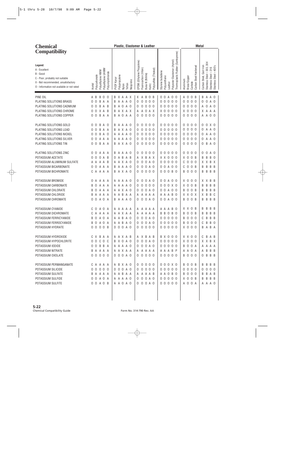| <b>Compatibility</b><br>Thermoplastic Rubber (Santoprene)<br>Polyester Elastomer (Hytrel)<br>EPDM (Ethylene Propylene)<br>Stainless Steel - 303, 304<br>Legend:<br>Carbon Steel, Cast Iron<br>Carbon Steel Hardened<br>Stainless Steel - 400's<br>316<br>Polysulfide (Thiokol)<br>Polyethylene UHMW<br>Fluorocarbon (Viton)<br>A - Excellent<br>Polyethylene HMW<br>Styrene butadiene<br>Polyvinylchloride<br>$\mathsf I$<br>B - Good<br>Buna-N (Nitrile)<br>Stainless Steel<br>Polycarbonate<br>Polypropylene<br>Polyurethane<br>Brass/Copper<br>PVDF Kynar<br>C - Poor, probably not suitable<br>Aluminum<br>Neoprene<br>X - Not recommended, unsatisfactory<br>Carbide<br>Leather<br>Teflon<br>Acetal<br>Kalrrz<br>Nylon<br>O - Information not available or not rated<br>PINE OIL<br>B<br>0 <sub>0</sub><br>A B<br>B<br>0<br>0<br>X A A X<br>X A<br>0<br>B<br>0<br>$\overline{0}$<br>A<br>A<br>0<br>0<br>B<br>B<br>A<br>A O<br>B<br>PLATING SOLUTIONS BRASS<br>B<br>$\overline{A}$<br>0<br>$\mathbf 0$<br>0 <sub>0</sub><br>0 <sub>0</sub><br>0 <sub>0</sub><br>0<br>$\mathbf 0$<br>0<br>A<br>A<br>A O<br>0<br>0<br>0<br>0<br>A O<br>0<br>0<br>A<br>B<br>0<br>$\mathbf 0$<br>PLATING SOLUTIONS CADMIUM<br>B<br>$\mathbf 0$<br>$\mathbf 0$<br>0 <sub>0</sub><br>0 <sub>0</sub><br>0<br>0<br>A<br>- B<br>A<br>A O<br>0<br>0 <sub>0</sub><br>0<br>0<br>A O<br>0<br>0<br>B<br>0<br>0<br>A<br>PLATING SOLUTIONS CHROME<br>X<br>X A X<br>$X$ 0 0<br>0 <sub>0</sub><br>0<br>0<br>0<br>A<br>- B<br>A<br>0<br>A X<br>X<br>0<br>X.<br>A<br>A A<br>0<br>B<br>A<br>A<br>$\mathbf 0$<br>$\mathbf 0$<br>PLATING SOLUTIONS COPPER<br>B A<br>A A<br>$\mathbf 0$<br>0<br>0 <sub>0</sub><br>00000<br>$\mathbf 0$<br>A<br>0 <sub>0</sub><br>0<br>A<br>0<br>0<br>- 0<br>0<br>A<br>B<br>A |
|--------------------------------------------------------------------------------------------------------------------------------------------------------------------------------------------------------------------------------------------------------------------------------------------------------------------------------------------------------------------------------------------------------------------------------------------------------------------------------------------------------------------------------------------------------------------------------------------------------------------------------------------------------------------------------------------------------------------------------------------------------------------------------------------------------------------------------------------------------------------------------------------------------------------------------------------------------------------------------------------------------------------------------------------------------------------------------------------------------------------------------------------------------------------------------------------------------------------------------------------------------------------------------------------------------------------------------------------------------------------------------------------------------------------------------------------------------------------------------------------------------------------------------------------------------------------------------------------------------------------------------------------------------------------------------------------------------------------------------------------------------------------------|
|                                                                                                                                                                                                                                                                                                                                                                                                                                                                                                                                                                                                                                                                                                                                                                                                                                                                                                                                                                                                                                                                                                                                                                                                                                                                                                                                                                                                                                                                                                                                                                                                                                                                                                                                                                          |
|                                                                                                                                                                                                                                                                                                                                                                                                                                                                                                                                                                                                                                                                                                                                                                                                                                                                                                                                                                                                                                                                                                                                                                                                                                                                                                                                                                                                                                                                                                                                                                                                                                                                                                                                                                          |
|                                                                                                                                                                                                                                                                                                                                                                                                                                                                                                                                                                                                                                                                                                                                                                                                                                                                                                                                                                                                                                                                                                                                                                                                                                                                                                                                                                                                                                                                                                                                                                                                                                                                                                                                                                          |
|                                                                                                                                                                                                                                                                                                                                                                                                                                                                                                                                                                                                                                                                                                                                                                                                                                                                                                                                                                                                                                                                                                                                                                                                                                                                                                                                                                                                                                                                                                                                                                                                                                                                                                                                                                          |
|                                                                                                                                                                                                                                                                                                                                                                                                                                                                                                                                                                                                                                                                                                                                                                                                                                                                                                                                                                                                                                                                                                                                                                                                                                                                                                                                                                                                                                                                                                                                                                                                                                                                                                                                                                          |
|                                                                                                                                                                                                                                                                                                                                                                                                                                                                                                                                                                                                                                                                                                                                                                                                                                                                                                                                                                                                                                                                                                                                                                                                                                                                                                                                                                                                                                                                                                                                                                                                                                                                                                                                                                          |
|                                                                                                                                                                                                                                                                                                                                                                                                                                                                                                                                                                                                                                                                                                                                                                                                                                                                                                                                                                                                                                                                                                                                                                                                                                                                                                                                                                                                                                                                                                                                                                                                                                                                                                                                                                          |
| PLATING SOLUTIONS GOLD<br>B<br>A A O<br>0<br>0 <sub>0</sub><br>0 <sub>0</sub><br>0 <sub>0</sub><br>0<br>0<br>0<br>0 X 0<br>0<br>0<br>A O<br>A<br>0<br>0<br>0<br>0<br>-0<br>B                                                                                                                                                                                                                                                                                                                                                                                                                                                                                                                                                                                                                                                                                                                                                                                                                                                                                                                                                                                                                                                                                                                                                                                                                                                                                                                                                                                                                                                                                                                                                                                             |
| PLATING SOLUTIONS LEAD<br>A X A O<br>0<br>$\mathbf 0$<br>B<br>A<br>0<br>0<br>0 <sub>0</sub><br>0 <sub>0</sub><br>0 <sub>0</sub><br>0<br>A A O<br>0<br>0<br>A<br>B<br>0<br>0<br>0<br>-0                                                                                                                                                                                                                                                                                                                                                                                                                                                                                                                                                                                                                                                                                                                                                                                                                                                                                                                                                                                                                                                                                                                                                                                                                                                                                                                                                                                                                                                                                                                                                                                   |
| PLATING SOLUTIONS NICKEL<br>B<br>0<br>0 <sub>0</sub><br>0 <sub>0</sub><br>0 <sub>0</sub><br>$\mathbf 0$<br>$\mathbf 0$<br>A<br>- 0<br>A<br>A A O<br>0<br>0<br>-0<br>0<br>A A O<br>0<br>0<br>A<br>0<br>0                                                                                                                                                                                                                                                                                                                                                                                                                                                                                                                                                                                                                                                                                                                                                                                                                                                                                                                                                                                                                                                                                                                                                                                                                                                                                                                                                                                                                                                                                                                                                                  |
| PLATING SOLUTIONS SILVER<br>$\mathbf 0$<br>0 <sub>0</sub><br>0 <sub>0</sub><br>0<br>$\mathbf 0$<br>A<br>A<br>A<br>A<br>A 0<br>0<br>0 <sub>0</sub><br>0<br>0<br>0<br>A<br>A O<br>0<br>0<br>A<br>Α<br>0<br>0                                                                                                                                                                                                                                                                                                                                                                                                                                                                                                                                                                                                                                                                                                                                                                                                                                                                                                                                                                                                                                                                                                                                                                                                                                                                                                                                                                                                                                                                                                                                                               |
| $\mathbf 0$<br>B<br>PLATING SOLUTIONS TIN<br>B<br>A X A O<br>0<br>0 <sub>0</sub><br>00000<br>$\mathbf 0$<br>0<br>A<br>0<br>0<br>- 0<br>0<br>A O<br>0<br>A<br>B<br>0                                                                                                                                                                                                                                                                                                                                                                                                                                                                                                                                                                                                                                                                                                                                                                                                                                                                                                                                                                                                                                                                                                                                                                                                                                                                                                                                                                                                                                                                                                                                                                                                      |
| PLATING SOLUTIONS ZINC<br>A A<br>0<br>0<br>0 <sub>0</sub><br>000<br>0 <sub>0</sub><br>0<br>0<br>0<br>0<br>0<br>A<br>A<br>A O<br>0<br>0<br>-0<br>0<br>A O<br>A<br>B                                                                                                                                                                                                                                                                                                                                                                                                                                                                                                                                                                                                                                                                                                                                                                                                                                                                                                                                                                                                                                                                                                                                                                                                                                                                                                                                                                                                                                                                                                                                                                                                       |
| POTASSIUM ACETATE<br>0<br>B<br>XX O<br>0<br>0<br>0 <sub>0</sub><br>A<br>A<br>A B<br>X B<br>A X<br>0 <sub>0</sub><br>Χ<br>B<br>B<br>B<br>- B<br>0<br>Α<br>B<br>- 0                                                                                                                                                                                                                                                                                                                                                                                                                                                                                                                                                                                                                                                                                                                                                                                                                                                                                                                                                                                                                                                                                                                                                                                                                                                                                                                                                                                                                                                                                                                                                                                                        |
| POTASSIUM ALUMINUM SULFATE<br>0<br>A O<br>000<br>0 <sub>0</sub><br>$\mathbf 0$<br>$\mathbf 0$<br>X X B X<br>A A<br>A X A O<br>0<br>C<br>0<br>ΑA<br>- B<br>A<br>0                                                                                                                                                                                                                                                                                                                                                                                                                                                                                                                                                                                                                                                                                                                                                                                                                                                                                                                                                                                                                                                                                                                                                                                                                                                                                                                                                                                                                                                                                                                                                                                                         |
| POTASSIUM BICARBONATE<br>A A O<br>0<br>0 0 A 0 0<br>$\mathbf 0$<br>$\mathbf 0$<br>B<br>B<br>0 <sub>0</sub><br>A A<br>A<br>0<br>A O<br>C<br>B<br>B<br>B<br>A<br>B<br>0                                                                                                                                                                                                                                                                                                                                                                                                                                                                                                                                                                                                                                                                                                                                                                                                                                                                                                                                                                                                                                                                                                                                                                                                                                                                                                                                                                                                                                                                                                                                                                                                    |
| POTASSIUM BICHROMATE<br>A X A O<br>0<br>0 <sub>0</sub><br>000B0<br>$\mathbf 0$<br>0<br>B<br>B B<br>CAAAA<br>0<br>B<br>-0<br>B<br>B<br>0                                                                                                                                                                                                                                                                                                                                                                                                                                                                                                                                                                                                                                                                                                                                                                                                                                                                                                                                                                                                                                                                                                                                                                                                                                                                                                                                                                                                                                                                                                                                                                                                                                  |
| POTASSIUM BROMIDE<br>0<br>0 0 A<br>0 <sub>0</sub><br>Χ<br>0<br>0<br>X.<br>B<br>B<br>0<br>A<br>A<br>A<br>A<br>A<br>A O<br>0<br>0<br>A O<br>-0<br>X<br>A<br>A                                                                                                                                                                                                                                                                                                                                                                                                                                                                                                                                                                                                                                                                                                                                                                                                                                                                                                                                                                                                                                                                                                                                                                                                                                                                                                                                                                                                                                                                                                                                                                                                              |
| POTASSIUM CARBONATE<br>0<br>0 <sub>0</sub><br>0 0 X 0<br>$\mathbf 0$<br>$\mathbf 0$<br>B<br>B<br>A<br>A<br>A<br>A<br>A 0<br>0<br>Χ<br>B<br>B<br>B<br>B<br>0<br>A<br>A<br>0<br>0                                                                                                                                                                                                                                                                                                                                                                                                                                                                                                                                                                                                                                                                                                                                                                                                                                                                                                                                                                                                                                                                                                                                                                                                                                                                                                                                                                                                                                                                                                                                                                                          |
| POTASSIUM CHLORATE<br>A A X A O<br>0 0 A 0 0<br>$\mathbf 0$<br>$\mathbf 0$<br>B<br>A<br>A<br>0<br>0<br>A O<br>B<br>B<br>B<br>B<br>B<br>B<br>0<br>A<br>0                                                                                                                                                                                                                                                                                                                                                                                                                                                                                                                                                                                                                                                                                                                                                                                                                                                                                                                                                                                                                                                                                                                                                                                                                                                                                                                                                                                                                                                                                                                                                                                                                  |
| POTASSIUM CHLORIDE<br>B<br>X X<br>$\overline{0}$<br>A A<br>A<br>A A<br>$\mathsf A$<br>A A<br>A A A B O<br>X<br>Χ<br>B<br>B C<br>B<br>A<br>A<br>A<br>A<br>A                                                                                                                                                                                                                                                                                                                                                                                                                                                                                                                                                                                                                                                                                                                                                                                                                                                                                                                                                                                                                                                                                                                                                                                                                                                                                                                                                                                                                                                                                                                                                                                                               |
| $\mathbf 0$<br>POTASSIUM CHROMATE<br>A O A<br>0<br>$\overline{0}$<br>A O<br>00A00<br>$\mathbf 0$<br>B<br>B B<br>0 <sub>0</sub><br>B A A A O<br>B<br>-B<br>B<br>0                                                                                                                                                                                                                                                                                                                                                                                                                                                                                                                                                                                                                                                                                                                                                                                                                                                                                                                                                                                                                                                                                                                                                                                                                                                                                                                                                                                                                                                                                                                                                                                                         |
| POTASSIUM CYANIDE<br>0<br>B<br>B<br>C<br>0<br>A<br>0<br>A<br>A<br>AA<br>A<br>A A<br>B<br>- 0<br>x x<br>B<br>B<br>B<br>A<br>A<br>A<br>A<br>ΑA<br>A                                                                                                                                                                                                                                                                                                                                                                                                                                                                                                                                                                                                                                                                                                                                                                                                                                                                                                                                                                                                                                                                                                                                                                                                                                                                                                                                                                                                                                                                                                                                                                                                                        |
| B<br>$\mathbf 0$<br>$\mathbf 0$<br>POTASSIUM DICHROMATE<br>A A<br>A A X A A<br>A A<br>B<br>$\overline{0}$<br>B<br>- 0<br>B<br>B<br>B<br>B<br>B<br>B<br>C<br>A<br>Α<br>A<br>A<br>A                                                                                                                                                                                                                                                                                                                                                                                                                                                                                                                                                                                                                                                                                                                                                                                                                                                                                                                                                                                                                                                                                                                                                                                                                                                                                                                                                                                                                                                                                                                                                                                        |
| <b>BOAOA</b><br>A A B A O<br>0 0 A 0<br>00000<br><b>BOO0</b><br>С<br>B B B<br>POTASSIUM FERRICYANIDE<br>0                                                                                                                                                                                                                                                                                                                                                                                                                                                                                                                                                                                                                                                                                                                                                                                                                                                                                                                                                                                                                                                                                                                                                                                                                                                                                                                                                                                                                                                                                                                                                                                                                                                                |
| BOAOA<br>A A B A O<br>000A0<br>00000<br><b>BOOO</b><br>C B B O<br>POTASSIUM FERROCYANIDE<br>0 0 0 A 0                                                                                                                                                                                                                                                                                                                                                                                                                                                                                                                                                                                                                                                                                                                                                                                                                                                                                                                                                                                                                                                                                                                                                                                                                                                                                                                                                                                                                                                                                                                                                                                                                                                                    |
| 0000B<br>00000<br>00000<br>POTASSIUM HYDRATE<br>$X$ 0 0 0<br>B A B A                                                                                                                                                                                                                                                                                                                                                                                                                                                                                                                                                                                                                                                                                                                                                                                                                                                                                                                                                                                                                                                                                                                                                                                                                                                                                                                                                                                                                                                                                                                                                                                                                                                                                                     |
| POTASSIUM HYDROXIDE<br>C X B A A<br><b>BX000</b><br>X X O O<br>CBAB<br>AAXAB<br>A X B A B                                                                                                                                                                                                                                                                                                                                                                                                                                                                                                                                                                                                                                                                                                                                                                                                                                                                                                                                                                                                                                                                                                                                                                                                                                                                                                                                                                                                                                                                                                                                                                                                                                                                                |
| 00000<br><b>B X O A O</b><br>0 0 0 A 0<br>00000<br>X 0 0 0<br>POTASSIUM HYPOCHLORITE<br>X X B X                                                                                                                                                                                                                                                                                                                                                                                                                                                                                                                                                                                                                                                                                                                                                                                                                                                                                                                                                                                                                                                                                                                                                                                                                                                                                                                                                                                                                                                                                                                                                                                                                                                                          |
| POTASSIUM IODIDE<br>O O B B A<br>A A A A O<br>0000A0<br>00000<br><b>BOOA</b><br>A A A A                                                                                                                                                                                                                                                                                                                                                                                                                                                                                                                                                                                                                                                                                                                                                                                                                                                                                                                                                                                                                                                                                                                                                                                                                                                                                                                                                                                                                                                                                                                                                                                                                                                                                  |
| POTASSIUM NITRATE<br>B A A A A<br>A A X A A<br>A A A A A<br>A A A B P<br>A A O A<br>A B B B                                                                                                                                                                                                                                                                                                                                                                                                                                                                                                                                                                                                                                                                                                                                                                                                                                                                                                                                                                                                                                                                                                                                                                                                                                                                                                                                                                                                                                                                                                                                                                                                                                                                              |
| 00000<br>0 0 0 A 0<br>00000<br>00000<br><b>BOO0</b><br>POTASSIUM OXOLATE<br>O B B B                                                                                                                                                                                                                                                                                                                                                                                                                                                                                                                                                                                                                                                                                                                                                                                                                                                                                                                                                                                                                                                                                                                                                                                                                                                                                                                                                                                                                                                                                                                                                                                                                                                                                      |
| 0 0 0 0 0<br>0 0 0 X 0<br><b>BOOB</b><br>POTASSIUM PERMANGANATE<br>CAAAA<br>A B X A O<br><b>BBBB</b>                                                                                                                                                                                                                                                                                                                                                                                                                                                                                                                                                                                                                                                                                                                                                                                                                                                                                                                                                                                                                                                                                                                                                                                                                                                                                                                                                                                                                                                                                                                                                                                                                                                                     |
| 00000<br>0 0 0 A 0<br>00000<br>0 0 0 0<br>POTASSIUM SILICIDE<br>00000<br>0000                                                                                                                                                                                                                                                                                                                                                                                                                                                                                                                                                                                                                                                                                                                                                                                                                                                                                                                                                                                                                                                                                                                                                                                                                                                                                                                                                                                                                                                                                                                                                                                                                                                                                            |
| POTASSIUM SULFATE<br>A A O B O<br><b>BOO0</b><br>B B A B<br>B A A A A<br>AABAA<br>AAAAB                                                                                                                                                                                                                                                                                                                                                                                                                                                                                                                                                                                                                                                                                                                                                                                                                                                                                                                                                                                                                                                                                                                                                                                                                                                                                                                                                                                                                                                                                                                                                                                                                                                                                  |
| 0 0 A 0 A<br>0 0 0 A 0<br>00000<br>X O O B<br>POTASSIUM SULFIDE<br>A A A A O<br><b>BBBB</b>                                                                                                                                                                                                                                                                                                                                                                                                                                                                                                                                                                                                                                                                                                                                                                                                                                                                                                                                                                                                                                                                                                                                                                                                                                                                                                                                                                                                                                                                                                                                                                                                                                                                              |
| 0 0 A 0 B<br>A A O A O<br>0 0 0 A 0<br>00000<br>POTASSIUM SULFITE<br>A 0 0 A<br>A A A O                                                                                                                                                                                                                                                                                                                                                                                                                                                                                                                                                                                                                                                                                                                                                                                                                                                                                                                                                                                                                                                                                                                                                                                                                                                                                                                                                                                                                                                                                                                                                                                                                                                                                  |
|                                                                                                                                                                                                                                                                                                                                                                                                                                                                                                                                                                                                                                                                                                                                                                                                                                                                                                                                                                                                                                                                                                                                                                                                                                                                                                                                                                                                                                                                                                                                                                                                                                                                                                                                                                          |
|                                                                                                                                                                                                                                                                                                                                                                                                                                                                                                                                                                                                                                                                                                                                                                                                                                                                                                                                                                                                                                                                                                                                                                                                                                                                                                                                                                                                                                                                                                                                                                                                                                                                                                                                                                          |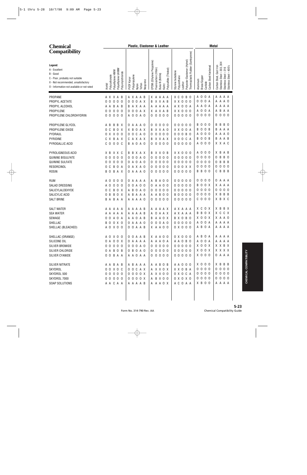| <b>Chemical</b>                                                                                                                                              |                                                                                       | Plastic, Elastomer & Leather                                                                                                                                                                                                                                                                     | <b>Metal</b>                                                                                                                                                                 |
|--------------------------------------------------------------------------------------------------------------------------------------------------------------|---------------------------------------------------------------------------------------|--------------------------------------------------------------------------------------------------------------------------------------------------------------------------------------------------------------------------------------------------------------------------------------------------|------------------------------------------------------------------------------------------------------------------------------------------------------------------------------|
| <b>Compatibility</b>                                                                                                                                         |                                                                                       |                                                                                                                                                                                                                                                                                                  |                                                                                                                                                                              |
| Legend:<br>A - Excellent<br>B - Good<br>C - Poor, probably not suitable<br>X - Not recommended, unsatisfactory<br>O - Information not available or not rated | Polyethylene UHMW<br>Polyethylene HMW<br>Polyvinylchloride<br>Polycarbonate<br>Acetal | Thermoplastic Rubber (Santoprene)<br>Elastomer (Hytrel)<br>EPDM (Ethylene Propylene)<br>Polysulfide (Thiokol)<br>Fluorocarbon (Viton)<br>Styrene butadiene<br>Buna-N (Nitrile)<br>Polypropylene<br>Polyurethane<br>PVDF Kynar<br>Polyester E<br>Neoprene<br>Leather<br>Teflon<br>Kalrrz<br>Nylon | 304<br>Carbon Steel Hardened<br>Carbon Steel, Cast Iron<br>Stainless Steel - 400's<br>Stainless Steel - 303,<br>Stainless Steel - 316<br>Brass/Copper<br>Aluminum<br>Carbide |
| PROPANE                                                                                                                                                      | A X X A B                                                                             | AXAAB<br>X A A A A<br>хc<br>0<br>B<br>0                                                                                                                                                                                                                                                          | A 0 0 A<br>A A A A                                                                                                                                                           |
| PROPYL ACETATE                                                                                                                                               | $\mathbf 0$<br>$\mathbf 0$<br>0 <sub>0</sub><br>- 0                                   | 0 0 A X<br>$X$ $X$ $0$ $0$ $0$<br>X X A B<br>B<br>0                                                                                                                                                                                                                                              | 0 0 0 A<br>A A O<br>А                                                                                                                                                        |
| PROPYL ALCOHOL                                                                                                                                               | B A B<br>A A                                                                          | A X O O A<br>A X A A<br>A A A A A<br>B                                                                                                                                                                                                                                                           | A A O A<br>A A A<br>А                                                                                                                                                        |
| PROPYLENE                                                                                                                                                    | $\mathbf 0$<br>0<br>$\mathbf 0$<br>0<br>- 0                                           | 0 0 A X<br>$X$ $X$ $0$ $0$ $0$<br>X A X A B<br>0                                                                                                                                                                                                                                                 | 0<br>0 A<br>B A A<br>A<br>A                                                                                                                                                  |
| PROPYLENE CHLOROHYDRIN                                                                                                                                       | 000<br>0 <sub>0</sub>                                                                 | A 0 0 A 0<br>$\mathbf 0$<br>000<br>00000<br>0                                                                                                                                                                                                                                                    | 0000<br>000<br>0                                                                                                                                                             |
| PROPYLENE GLYCOL                                                                                                                                             | A B<br>B<br>BX                                                                        | $\overline{0}$<br>00000<br>A A A O<br>0<br>0 <sub>0</sub><br>0<br>0                                                                                                                                                                                                                              | <b>B</b> 0<br>B<br>0<br>0 <sub>0</sub><br>В<br>B                                                                                                                             |
| PROPYLENE OXIDE                                                                                                                                              | 0 X<br>C<br>B<br>0                                                                    | X B O A X<br>X X A O<br>X X O O A<br>В                                                                                                                                                                                                                                                           | 00B<br>B<br>B<br>A A A                                                                                                                                                       |
| PYDRAUL                                                                                                                                                      | 0 X X 0<br>- 0                                                                        | 0 C A 0<br>$\overline{0}$<br>000B<br>0<br>0 <sub>0</sub><br>- 0<br>0<br>0                                                                                                                                                                                                                        | 0<br>0 <sub>0</sub><br>A A O<br>A<br>А                                                                                                                                       |
| PYRIDINE                                                                                                                                                     | B A X<br>X<br>C                                                                       | X O O C A<br>A X A X<br>X X A X<br>C<br>В                                                                                                                                                                                                                                                        | 00B<br>A A B<br>B<br>B                                                                                                                                                       |
| PYROGALLIC ACID                                                                                                                                              | 00C<br>$\mathbf 0$<br>C                                                               | A 0 A 0<br>$\mathbf 0$<br>$\overline{0}$<br>0 <sub>0</sub><br>00000<br>0<br>B                                                                                                                                                                                                                    | A 0 0 0<br>X X A C                                                                                                                                                           |
| PYROLIGNEOUS ACID                                                                                                                                            | X B X X C                                                                             | B X A X<br>X X O B<br>$X$ $X$ $0$ $0$ $0$<br>B<br>B                                                                                                                                                                                                                                              | X B<br>0<br>0 <sub>0</sub><br>A B<br>A                                                                                                                                       |
| <b>QUININE BISULFATE</b>                                                                                                                                     | $\mathbf 0$<br>$\mathsf 0$<br>0<br>0<br>- 0                                           | 0 0 A 0<br>$\mathbf 0$<br>00000<br>0<br>0 <sub>0</sub><br>0<br>0                                                                                                                                                                                                                                 | $\mathsf{O}$<br>0 <sub>0</sub><br>B<br><b>B</b> 0<br>0<br>0                                                                                                                  |
| QUININE SULFATE                                                                                                                                              | $\mathsf 0$<br>0<br>$\mathbf 0$<br>0<br>- 0                                           | A 0 A 0<br>$\mathbf 0$<br>00000<br>0<br>0 <sub>0</sub><br>0<br>0                                                                                                                                                                                                                                 | $\mathsf{O}$<br>B B<br>0 <sub>0</sub><br>В<br>0<br>0                                                                                                                         |
| RESORCINOL                                                                                                                                                   | $\mathbf 0$<br>C<br>B<br>0<br>A                                                       | 0 0 0 X X<br>A X A O<br>0<br>0<br>0 <sub>0</sub><br>0<br>0                                                                                                                                                                                                                                       | 0 <sub>0</sub><br>0<br>0 <sub>0</sub><br>0<br>0<br>0                                                                                                                         |
| <b>ROSIN</b>                                                                                                                                                 | B<br>В<br>$\mathbf 0$<br>A X                                                          | $\overline{0}$<br>00000<br>A A A O<br>0<br>0 <sub>0</sub><br>0<br>0                                                                                                                                                                                                                              | B<br>0 <sub>0</sub><br>B<br>B B<br>B<br>C                                                                                                                                    |
| <b>RUM</b>                                                                                                                                                   | 0<br>0<br>0<br>A<br>- 0                                                               | Α<br>B<br>A<br>0 <sub>0</sub><br>000<br>00<br>AAA<br>Α<br>0                                                                                                                                                                                                                                      | 0<br>0 <sub>0</sub><br>0 A A A<br>0                                                                                                                                          |
| SALAD DRESSING                                                                                                                                               | $\mathbf 0$<br>$\mathbf 0$<br>$\mathbf 0$<br>- 0<br>Α                                 | $\overline{A}$<br>$\mathbf 0$<br>A<br>0 <sub>0</sub><br>0 <sub>0</sub><br>00000<br>Α<br>0<br>0                                                                                                                                                                                                   | 0 0 X<br>B<br>X A A A                                                                                                                                                        |
| SALICYLALDEHYDE                                                                                                                                              | $\mathsf 0$<br>C<br>B<br>X<br>0                                                       | $\mathbf 0$<br>00000<br>B<br>0 A O<br>0<br>0 <sub>0</sub><br>0<br>A                                                                                                                                                                                                                              | 000<br>0 <sub>0</sub><br>0<br>0<br>0                                                                                                                                         |
| SALICYLIC ACID                                                                                                                                               | В<br>B<br>0<br>0<br>X                                                                 | B<br>B A A A<br>0 <sub>0</sub><br><b>BOOOO</b><br>Α<br>A<br>А                                                                                                                                                                                                                                    | 000<br>B<br>B B<br>X.<br>0                                                                                                                                                   |
| <b>SALT BRINE</b>                                                                                                                                            | В<br>B<br>A<br>A A                                                                    | $\mathbf 0$<br>00000<br>A A A A O<br>0<br>0 <sub>0</sub><br>0                                                                                                                                                                                                                                    | $0\ 0\ 0$<br>X B X C<br>C                                                                                                                                                    |
| <b>SALT WATER</b>                                                                                                                                            | ΑA<br>A<br>A<br>A                                                                     | A X A A A<br>A<br>A<br>A B<br>A A X<br>A<br>A<br>A                                                                                                                                                                                                                                               | B X<br>X C<br>0 X<br>X B                                                                                                                                                     |
| <b>SEA WATER</b>                                                                                                                                             | A A A A A                                                                             | A X A A A<br>AAAAB<br>0 A A X<br>Α                                                                                                                                                                                                                                                               | X C C X<br><b>BBOX</b>                                                                                                                                                       |
| SEWAGE                                                                                                                                                       | 0 0 A 0 A                                                                             | B A A O X<br>B X O B O<br>A A O A B                                                                                                                                                                                                                                                              | $X$ 0 0 $X$<br>X A A O                                                                                                                                                       |
| SHELLAC                                                                                                                                                      | <b>BOOXO</b>                                                                          | 0000A0<br>00000<br>0 A A A O                                                                                                                                                                                                                                                                     | A 0 0 A<br>A A A A                                                                                                                                                           |
| SHELLAC (BLEACHED)                                                                                                                                           | A 0 X 0 0                                                                             | 0 0 A A B<br>0 X 0 0 0<br>X A A O O                                                                                                                                                                                                                                                              | A B O A<br>A A A A                                                                                                                                                           |
| SHELLAC (ORANGE)                                                                                                                                             | A 0 X 0 0                                                                             | $0 \times 0 0 0$<br>0 0 A A B<br>X A A O O                                                                                                                                                                                                                                                       | A B O A<br>A A A A                                                                                                                                                           |
| SILICONE OIL                                                                                                                                                 | 0 A O O X                                                                             | A A A O A<br>O A A A A<br>A A O B O                                                                                                                                                                                                                                                              | A 0 0 A<br>A A A A                                                                                                                                                           |
| SILVER BROMIDE                                                                                                                                               | 00000                                                                                 | 0 0 0 A 0<br>00000<br>00000                                                                                                                                                                                                                                                                      | X O O X<br>X X B X                                                                                                                                                           |
| SILVER CHLORIDE                                                                                                                                              | 0 A B O B                                                                             | 00000<br>00000<br>0 B O A O                                                                                                                                                                                                                                                                      | X O O X<br>X X X X                                                                                                                                                           |
| SILVER CYANIDE                                                                                                                                               | 0 0 B A A                                                                             | 00000<br>00000<br>A A O A A                                                                                                                                                                                                                                                                      | $X$ 0 0 0<br>OAAA                                                                                                                                                            |
| SILVER NITRATE                                                                                                                                               | A A B A B                                                                             | A A B O B<br>A B A A A<br>A A O O O                                                                                                                                                                                                                                                              | $X$ 0 0 0<br>X B B B                                                                                                                                                         |
| SKYDROL                                                                                                                                                      | 0 0 X 0 C                                                                             | 0 0 C A X<br>A X X O X<br>X X O B A                                                                                                                                                                                                                                                              | 0 0 0 0<br>0 0 0 0                                                                                                                                                           |
| SKYDROL 500                                                                                                                                                  | 00000                                                                                 | A X X 0 0<br>O X O C A<br>0000X                                                                                                                                                                                                                                                                  | 0000<br>0000                                                                                                                                                                 |
| SKYDROL 7000                                                                                                                                                 | 00000                                                                                 | A B X 0 0<br>0000X<br>$0 \times 0 \times 0$                                                                                                                                                                                                                                                      | 0 0 0 0<br>0000                                                                                                                                                              |
| SOAP SOLUTIONS                                                                                                                                               | A A C A A                                                                             | A C O A A<br>AAAAB<br>A A A O X                                                                                                                                                                                                                                                                  | X B O O<br>A A A A                                                                                                                                                           |
|                                                                                                                                                              |                                                                                       |                                                                                                                                                                                                                                                                                                  |                                                                                                                                                                              |
|                                                                                                                                                              |                                                                                       |                                                                                                                                                                                                                                                                                                  |                                                                                                                                                                              |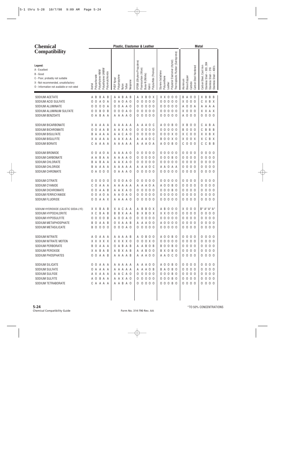| <b>Chemical</b>                                                                                                                                              |                                             |                    |                   |            |               |                 |           | Plastic, Elastomer & Leather |                      |                     |                                 |                                   |                     | <b>Metal</b>                 |                                   |          |              |                          |                       |                         |                            |                                                              |          |
|--------------------------------------------------------------------------------------------------------------------------------------------------------------|---------------------------------------------|--------------------|-------------------|------------|---------------|-----------------|-----------|------------------------------|----------------------|---------------------|---------------------------------|-----------------------------------|---------------------|------------------------------|-----------------------------------|----------|--------------|--------------------------|-----------------------|-------------------------|----------------------------|--------------------------------------------------------------|----------|
| <b>Compatibility</b>                                                                                                                                         |                                             |                    |                   |            |               |                 |           |                              |                      |                     |                                 |                                   |                     |                              |                                   |          |              |                          |                       |                         |                            |                                                              |          |
| Legend:<br>A - Excellent<br>B - Good<br>C - Poor, probably not suitable<br>X - Not recommended, unsatisfactory<br>0 - Information not available or not rated | Polyethylene HMW<br>Polycarbonate<br>Acetal | Polyethylene UHMW  | Polyvinylchloride | PVDF Kynar | Polypropylene | Teflon<br>Nylon | Neoprene  | EPDM (Ethylene Propylene)    | Fluorocarbon (Viton) | Buna-N (Nitrile)    | Polysulfide (Thiokol)<br>Kalrrz | Styrene butadiene<br>Polyurethane | Leather             | Polyester Elastomer (Hytrel) | Thermoplastic Rubber (Santoprene) | Aluminum | Brass/Copper | Carbide                  | Carbon Steel Hardened | Carbon Steel, Cast Iron | Stainless Steel - 303, 304 | 316<br>$\mathsf I$<br>Stainless Steel -<br>Stainless Steel - | $-400's$ |
| SODIUM ACETATE                                                                                                                                               | A B                                         | B A B              |                   |            |               | A A B A B       |           |                              |                      |                     | A X B O X                       |                                   | $X$ $X$ $0$ $0$ $0$ |                              |                                   |          |              | <b>BA00</b>              |                       |                         | X B                        | B B                                                          |          |
| SODIUM ACID SULFATE                                                                                                                                          | 0<br>0                                      | A O A              |                   |            | 0 A O         |                 | A 0       | 0                            | 0                    | $\mathsf{O}\xspace$ | 0 <sub>0</sub>                  | 0 <sub>0</sub>                    | $\overline{0}$      | 0 <sub>0</sub>               |                                   |          |              | X 0 0 0                  |                       | C.                      |                            | X B X                                                        |          |
| SODIUM ALUMINATE                                                                                                                                             | 0<br>0                                      | $\mathbf 0$<br>0 A |                   |            |               | 0 0 A A 0       |           | 0                            | $\mathsf 0$          |                     | 000                             |                                   | 00000               |                              |                                   |          |              | A 0 0 A                  |                       | A                       | A                          | A A                                                          |          |
| SODIUM ALUMINUM SULFATE                                                                                                                                      | 0<br>0                                      | B<br>O B           |                   |            | 000           |                 | A 0       | 0                            | $\mathsf 0$          |                     | 000                             | 0 <sub>0</sub>                    |                     | $0\quad 0\quad 0$            |                                   |          |              | X 0 0 0                  |                       |                         | X X A X                    |                                                              |          |
| SODIUM BENZOATE                                                                                                                                              | 0                                           | A B A A            |                   |            |               | A A A A O       |           | 0                            | $\mathbf 0$          |                     | 000                             |                                   | 00000               |                              |                                   |          |              | A 0 0 0                  |                       | 0                       | $\mathbf 0$                | 0 <sub>0</sub>                                               |          |
| SODIUM BICARBONATE                                                                                                                                           | X A A A A                                   |                    |                   |            |               | A A A A A       |           | A                            | Α                    | A                   | o c                             | A O                               | 0                   | B <sub>0</sub>               |                                   |          |              | X B O O                  |                       | C                       | Α                          | B                                                            | A        |
| SODIUM BICHROMATE                                                                                                                                            | $\overline{0}$<br>0                         | A A B              |                   |            |               | A A X A O       |           | 0                            | $\mathsf 0$          | $\mathsf{O}\xspace$ | 0 <sub>0</sub>                  |                                   | 00000               |                              |                                   |          |              | <b>BOO0</b>              |                       | C                       | B                          | B                                                            | B        |
| SODIUM BISULFATE                                                                                                                                             | B<br>A                                      | A A A              |                   |            |               | A A C A O       |           | 0                            | $\mathbf 0$          |                     | 000                             |                                   | 000X0               |                              |                                   |          |              | X C O O                  |                       |                         | X X B X                    |                                                              |          |
| SODIUM BISULFITE                                                                                                                                             | X A A A A                                   |                    |                   |            |               | A A X A A       |           | A                            | A                    |                     | A O C                           |                                   | <b>BOOXO</b>        |                              |                                   |          |              | X O O X                  |                       | X                       | C                          | B X                                                          |          |
| SODIUM BORATE                                                                                                                                                | C                                           | A A A A            |                   |            |               | A A A A A       |           |                              | A A                  |                     | A O A                           | A O                               |                     | 0 B 0                        |                                   |          |              | $C$ 0 0 0                |                       | C                       | C                          | B B                                                          |          |
| SODIUM BROMIDE                                                                                                                                               | $\overline{0}$<br>0                         | A O A              |                   |            |               | A A A A O       |           | 0                            | 0                    | 0                   | 0 <sub>0</sub>                  |                                   | 000                 | 0 <sub>0</sub>               |                                   |          |              | 0000                     |                       | 0                       | 0                          | 0 <sub>0</sub>                                               |          |
| SODIUM CARBONATE                                                                                                                                             | B<br>A<br>Α                                 | A A                |                   |            |               | A A A A O       |           | 0                            | $\mathsf 0$          |                     | 000                             |                                   | 000                 | <b>B</b> 0                   |                                   |          |              | 0000                     |                       | 0                       | $\mathbf 0$                | 0 <sub>0</sub>                                               |          |
| SODIUM CHLORATE                                                                                                                                              | B<br>A                                      | B<br>A A           |                   |            |               | A A X A O       |           | 0                            | 0                    |                     | 000                             |                                   | $0\quad 0\quad 0$   | 0 <sub>0</sub>               |                                   |          |              | 0000                     |                       | 0                       | $\mathbf 0$                | 0 <sub>0</sub>                                               |          |
| SODIUM CHLORIDE                                                                                                                                              | B<br>Α                                      | AAA                |                   |            |               | A A A A A       |           | A                            | Α                    |                     | A O C                           |                                   | A A O A A           |                              |                                   |          |              | 0000                     |                       | 0                       | 0                          | 0 <sub>0</sub>                                               |          |
| SODIUM CHROMATE                                                                                                                                              | 0                                           | A 0 0 0            |                   |            |               | 0 A A A O       |           | 0                            | $\mathsf 0$          |                     | 000                             |                                   | 00000               |                              |                                   |          |              | 0000                     |                       | 0                       | $\mathsf 0$                | 0 <sub>0</sub>                                               |          |
| SODIUM CITRATE                                                                                                                                               | 0<br>$\overline{0}$                         | $0\quad 0\quad 0$  |                   |            |               | 0 0 0 A 0       |           | 0                            | 0                    | 0                   | 0 <sub>0</sub>                  |                                   | 000                 | 0 <sub>0</sub>               |                                   |          |              | 0000                     |                       | 0                       | 0                          | 0 <sub>0</sub>                                               |          |
| SODIUM CYANIDE                                                                                                                                               | 0<br>C                                      | A A A              |                   |            |               | A A A A A       |           | A                            | A                    |                     | A O A                           | A O                               | $\overline{0}$      | <b>B</b> 0                   |                                   |          |              | 0000                     |                       | 0                       | $\mathbf 0$                | 0 <sub>0</sub>                                               |          |
| SODIUM DICHROMATE                                                                                                                                            | 0<br>0                                      | Α<br>A B           |                   |            |               | A A X A O       |           | 0                            | 0                    | $\mathsf{O}\xspace$ | 0 <sub>0</sub>                  | 0 <sub>0</sub>                    | $\mathbf 0$         | <b>B</b> 0                   |                                   |          |              | 0000                     |                       | 0                       | 0                          | 0 <sub>0</sub>                                               |          |
| SODIUM FERRICYANIDE                                                                                                                                          | 0<br>0                                      | A O A              |                   |            |               | A A O A O       |           | 0                            | $\mathsf 0$          |                     | 000                             | 0 <sub>0</sub>                    |                     | $0\quad 0\quad 0$            |                                   |          |              | 0000                     |                       | 0                       | 0                          | 0 <sub>0</sub>                                               |          |
| SODIUM FLUORIDE                                                                                                                                              | 0 0 A A X                                   |                    |                   |            |               | A A A A O       |           | 0                            | 0                    |                     | 000                             |                                   | 00000               |                              |                                   |          |              | 0000                     |                       | 0                       | $\mathbf 0$                | 0 <sub>0</sub>                                               |          |
| SODIUM HYDROXIDE (CAUSTIC SODA-LYE)                                                                                                                          | X X B A B                                   |                    |                   |            | ХАC           |                 | A A       | A                            | B                    | B                   | 0 X                             |                                   | A B O               | 0 <sub>0</sub>               |                                   |          |              | $X$ 0 0 0                |                       |                         | $B^* A^* A^* A^*$          |                                                              |          |
| SODIUM HYPOCHLORITE                                                                                                                                          | X C B A B                                   |                    |                   |            |               | <b>BBXAA</b>    |           |                              |                      |                     | B X B O X                       |                                   | $X$ $X$ $0$ $0$ $0$ |                              |                                   |          |              | 0000                     |                       | 0                       | $\mathbf 0$                | 0 <sub>0</sub>                                               |          |
| SODIUM HYPOSULFITE                                                                                                                                           | 0000B                                       |                    |                   |            |               |                 | A 0 0 A 0 |                              |                      |                     | 00000                           |                                   | 00000               |                              |                                   |          |              | $0\quad 0\quad 0\quad 0$ |                       |                         | $0\quad 0\quad 0\quad 0$   |                                                              |          |
| SODIUM METAPHOSPHATE                                                                                                                                         | BOAAB<br><b>BOOOO</b>                       |                    |                   |            |               | O X A A B       |           |                              |                      |                     | A A A O O                       |                                   | A 0 0 0 0           |                              |                                   |          |              | 0 0 0 0                  |                       |                         | 0 0 0 0                    |                                                              |          |
| SODIUM METASILICATE                                                                                                                                          |                                             |                    |                   |            |               |                 | 0 0 0 A 0 |                              |                      |                     | 0 0 0 0 0                       |                                   | 00000               |                              |                                   |          |              | 0000                     |                       |                         | 0 0 0 0                    |                                                              |          |
| SODIUM NITRATE                                                                                                                                               | A O A A A                                   |                    |                   |            |               | AAAAB           |           |                              |                      |                     | A 0 B 0 0                       |                                   | A 0 0 B 0           |                              |                                   |          |              | 0000                     |                       |                         | 0000                       |                                                              |          |
| SODIUM NITRATE MOTEN                                                                                                                                         | X X X X X                                   |                    |                   |            |               | X X X X O       |           |                              |                      |                     | $000000$                        |                                   | 00000               |                              |                                   |          |              | 0 0 0 0                  |                       |                         | 0 0 0 0                    |                                                              |          |
| SODIUM PERBORATE                                                                                                                                             | BOAAA                                       |                    |                   |            |               | O A B A B       |           |                              |                      |                     | A A B O B                       |                                   | <b>BOOBO</b>        |                              |                                   |          |              | 0 0 0 0                  |                       |                         | 0 0 0 0                    |                                                              |          |
| SODIUM PEROXIDE                                                                                                                                              | X A B A B                                   |                    |                   |            |               | ABXAB           |           |                              |                      |                     | A A B O O                       |                                   | B X O B O           |                              |                                   |          |              | 0 0 0 0                  |                       |                         | 0 0 0 0                    |                                                              |          |
| SODIUM PHOSPHATES                                                                                                                                            | 0 0 A A B                                   |                    |                   |            |               | AAAAB           |           |                              |                      |                     | A A A O O                       |                                   | A A O C O           |                              |                                   |          |              | 0 0 0 0                  |                       |                         | 0 0 0 0                    |                                                              |          |
| SODIUM SILICATE                                                                                                                                              | O O A A A                                   |                    |                   |            |               |                 | A A A A A |                              |                      |                     | A A A O O                       |                                   | A 0 0 B 0           |                              |                                   |          |              | 0000                     |                       |                         | 0000                       |                                                              |          |
| SODIUM SULFATE                                                                                                                                               | O A A A A                                   |                    |                   |            |               |                 | AAAAA     |                              |                      |                     | A A A O B                       |                                   | BAOBO               |                              |                                   |          |              | 0000                     |                       |                         | 0 0 0 0                    |                                                              |          |
| SODIUM SULFIDE                                                                                                                                               | A X A A A                                   |                    |                   |            |               | A A C A O       |           |                              |                      |                     | 0 0 0 0 0                       |                                   | 000B0               |                              |                                   |          |              | 0000                     |                       |                         | 0 0 0 0                    |                                                              |          |
| SODIUM SULFITE                                                                                                                                               | A O B A A                                   |                    |                   |            |               | A A X A O       |           |                              |                      |                     | 0 0 0 0 0                       |                                   | 000B0               |                              |                                   |          |              | 0 0 0 0                  |                       |                         | 0 0 0 0                    |                                                              |          |
| SODIUM TETRABORATE                                                                                                                                           | CAAAA                                       |                    |                   |            |               | A A B A O       |           |                              |                      |                     | 00000                           |                                   | 000B0               |                              |                                   |          |              | 0000                     |                       |                         | 0000                       |                                                              |          |
|                                                                                                                                                              |                                             |                    |                   |            |               |                 |           |                              |                      |                     |                                 |                                   |                     |                              |                                   |          |              |                          |                       |                         |                            |                                                              |          |
|                                                                                                                                                              |                                             |                    |                   |            |               |                 |           |                              |                      |                     |                                 |                                   |                     |                              |                                   |          |              |                          |                       |                         |                            |                                                              |          |
|                                                                                                                                                              |                                             |                    |                   |            |               |                 |           |                              |                      |                     |                                 |                                   |                     |                              |                                   |          |              |                          |                       |                         |                            |                                                              |          |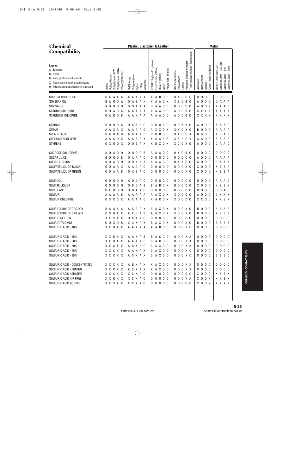| <b>Chemical</b>                                                                                                                                              |                                                                                       | Plastic, Elastomer & Leather                                                                                                                                                                                                                                                                            | <b>Metal</b>                                                                                                                                                                              |
|--------------------------------------------------------------------------------------------------------------------------------------------------------------|---------------------------------------------------------------------------------------|---------------------------------------------------------------------------------------------------------------------------------------------------------------------------------------------------------------------------------------------------------------------------------------------------------|-------------------------------------------------------------------------------------------------------------------------------------------------------------------------------------------|
| <b>Compatibility</b>                                                                                                                                         |                                                                                       |                                                                                                                                                                                                                                                                                                         |                                                                                                                                                                                           |
| Legend:<br>A - Excellent<br>B - Good<br>C - Poor, probably not suitable<br>X - Not recommended, unsatisfactory<br>0 - Information not available or not rated | Polyethylene UHMW<br>Polyethylene HMW<br>Polyvinylchloride<br>Acetal<br>Polycarbonate | Thermoplastic Rubber (Santoprene)<br>Elastomer (Hytrel)<br>EPDM (Ethylene Propylene)<br>Fluorocarbon (Viton)<br>Polysulfide (Thiokol)<br>Styrene butadiene<br>Buna-N (Nitrile)<br>Polypropylene<br>Polyurethane<br>PVDF Kynar<br>Neoprene<br>Polyester <b>F</b><br>Leather<br>Teflon<br>Kalrrz<br>Nylon | 304<br>Carbon Steel, Cast Iron<br>Carbon Steel Hardened<br>400's<br>303,<br>316<br>Stainless Steel -<br>Stainless Steel – 3<br>Stainless Steel – 4<br>Brass/Copper<br>Aluminum<br>Carbide |
| SODIUM THIOSULFATE                                                                                                                                           | CAAAA                                                                                 | A A A A A<br>A A B O B<br><b>BAOOO</b>                                                                                                                                                                                                                                                                  | 0000<br>0000                                                                                                                                                                              |
| SOYBEAN OIL                                                                                                                                                  | A<br>0 0 A<br>B                                                                       | O A B A X<br>X A A O X<br>X B O B O                                                                                                                                                                                                                                                                     | A 0 0 0<br>0 A A A                                                                                                                                                                        |
| <b>SOY SAUCE</b>                                                                                                                                             | $\mathbf 0$<br>000<br>Α                                                               | 00000<br>0 0 A A A<br>A A O O<br>0                                                                                                                                                                                                                                                                      | A 0 0 X<br>X A A O                                                                                                                                                                        |
| <b>STANNIC CHLORIDE</b>                                                                                                                                      | 0 <sub>0</sub><br>A O A                                                               | A A X A X<br>A A A O O<br>A 0 0 B 0                                                                                                                                                                                                                                                                     | X X X X<br>X X X X                                                                                                                                                                        |
| STANNOUS CHLORIDE                                                                                                                                            | 0 A B O B                                                                             | A 0 0 B 0<br>A A X A A<br>A A A O O                                                                                                                                                                                                                                                                     | X X X X<br>x x x x                                                                                                                                                                        |
| <b>STARCH</b>                                                                                                                                                | B <sub>0</sub><br>B<br>0 A                                                            | 0 0 A 0<br>0 0 A B 0<br>0 A A A O<br>0                                                                                                                                                                                                                                                                  | A 0 0 0<br>A A A O                                                                                                                                                                        |
| <b>STEAM</b>                                                                                                                                                 | A A X A X                                                                             | A A A A C<br>A X X O X<br>X X O X O                                                                                                                                                                                                                                                                     | <b>BOO0</b><br>A A A A                                                                                                                                                                    |
| <b>STEARIC ACID</b>                                                                                                                                          | B A B<br>A<br>C                                                                       | 0 B<br><b>BAOBA</b><br>B A A B<br>0 <sub>0</sub><br>B<br>A                                                                                                                                                                                                                                              | <b>BCO0</b><br>X B A B                                                                                                                                                                    |
| STODDARD SOLVENT                                                                                                                                             | C O X<br>A A                                                                          | CAAX<br>X A A A B<br>X A A A X<br>A                                                                                                                                                                                                                                                                     | A A O A<br>A A A A                                                                                                                                                                        |
| <b>STYRENE</b>                                                                                                                                               | 0 X 0 0 X                                                                             | 0 0 B A X<br>X C O X O<br>X B X O X                                                                                                                                                                                                                                                                     | A O<br>0 <sub>0</sub><br>C A A O                                                                                                                                                          |
| SUCROSE SOLUTIONS                                                                                                                                            | A O<br>A<br>$\mathbf 0$<br>- 0                                                        | 0 X 0 B 0<br>0 0 0 A B<br>A A O O<br>Α                                                                                                                                                                                                                                                                  | 0 <sub>0</sub><br>0 <sub>0</sub><br>0<br>000                                                                                                                                              |
| SUGAR JUICE                                                                                                                                                  | $\mathbf 0$<br>0 <sub>0</sub><br>B<br>- B                                             | A A A O<br>0<br>$\mathbf 0$<br>0 <sub>0</sub><br>00000<br>0<br>0                                                                                                                                                                                                                                        | A O<br>0 <sub>0</sub><br>A A A A                                                                                                                                                          |
| <b>SUGAR LIQUIDS</b>                                                                                                                                         | $\mathbf 0$<br>A O<br>A<br>- 0                                                        | O A A A<br>A 0 0<br>0 X A 0 0<br>Α<br>0<br>Α                                                                                                                                                                                                                                                            | A O<br>0 <sub>0</sub><br>A<br>A A<br>0                                                                                                                                                    |
| SULFATE LIQUOR BLACK                                                                                                                                         | 0 <sub>0</sub><br>A A X                                                               | 0 0 0 X 0<br>A C<br>A 0<br>0<br>$\mathbf 0$<br>0 <sub>0</sub><br>0<br>A                                                                                                                                                                                                                                 | X O<br>X B<br>B A<br>0 <sub>0</sub>                                                                                                                                                       |
| SULFATE LIQUOR GREEN                                                                                                                                         | 0 <sub>0</sub><br>A A B                                                               | 0 A B A O<br>0000<br>000X0<br>0                                                                                                                                                                                                                                                                         | $X$ 0 0 0<br>X B<br>B A                                                                                                                                                                   |
| SULFINOL                                                                                                                                                     | 0 <sub>0</sub><br>00<br>0                                                             | $0000$<br>00000<br>0 0 A 0<br>A<br>0                                                                                                                                                                                                                                                                    | 0000<br>A A A O                                                                                                                                                                           |
| SULFITE LIQUOR                                                                                                                                               | $\mathbf 0$<br>000<br>0                                                               | B O A B<br>A B<br>0 X<br><b>BOOOO</b><br>0<br>В                                                                                                                                                                                                                                                         | $X$ 0 0 0<br>X B B X                                                                                                                                                                      |
| SULFOLANE                                                                                                                                                    | 0 X<br>000                                                                            | 0000<br>00000<br>0 A A O<br>0<br>0                                                                                                                                                                                                                                                                      | 0000<br>0 0 A 0                                                                                                                                                                           |
| <b>SULFUR</b>                                                                                                                                                | A A A A B                                                                             | $X$ 0 0 0 0<br>A A A A A<br>A X O X<br>A                                                                                                                                                                                                                                                                | A O<br>0 <sub>0</sub><br>C X X X                                                                                                                                                          |
| <b>SULFUR CHLORIDE</b>                                                                                                                                       | C C X<br>0 <sub>c</sub>                                                               | X A C O X<br>A X A A C<br>$X$ 0 0 $C$ 0                                                                                                                                                                                                                                                                 | X X O O<br>X X B X                                                                                                                                                                        |
| SULFUR DIOXIDE GAS DRY                                                                                                                                       | BAAAA                                                                                 | A C B<br>A A X O X<br>B 0 0 X 0<br>AX                                                                                                                                                                                                                                                                   | BO.<br>0 A<br>A A<br>A A                                                                                                                                                                  |
| SULFUR DIOXIDE GAS WET                                                                                                                                       | C C B A X                                                                             | AXCAB<br>A A X O X<br>X 0 0 X 0                                                                                                                                                                                                                                                                         | <b>BOO0</b><br>X B B B                                                                                                                                                                    |
| <b>SULFUR MOLTEN</b>                                                                                                                                         | X X X X X                                                                             | 0 X X A 0<br>00000<br>00000                                                                                                                                                                                                                                                                             | 0000<br>$0\quad 0\quad 0\quad 0$                                                                                                                                                          |
| SULFUR TRIOXIDE                                                                                                                                              | 00 X 0 B                                                                              | B A X O X<br><b>BOOXO</b><br>X X X A X                                                                                                                                                                                                                                                                  | <b>BOO0</b><br><b>BBBB</b>                                                                                                                                                                |
| SULFURIC ACID - 10%                                                                                                                                          | X X B X X                                                                             | A A X A A<br>A A B O O<br>0 0 0 X 0                                                                                                                                                                                                                                                                     | 0000<br>0000                                                                                                                                                                              |
| SULFURIC ACID - 25%                                                                                                                                          | X X B X X                                                                             | 0 0 0 X A<br>AAXAB<br>B A C O O                                                                                                                                                                                                                                                                         | 0000<br>0000                                                                                                                                                                              |
| SULFURIC ACID - 50%                                                                                                                                          | X X B X X                                                                             | AAXAB<br><b>BAC00</b><br>0 0 0 X A                                                                                                                                                                                                                                                                      | 0000<br>0000                                                                                                                                                                              |
| SULFURIC ACID - 60%                                                                                                                                          | X X C X X                                                                             | AAXAC<br>0 0 0 X A<br>C A X O O                                                                                                                                                                                                                                                                         | 0000<br>0000                                                                                                                                                                              |
| SULFURIC ACID - 75%                                                                                                                                          | X X C X X                                                                             | A A X A X<br>C A X O O<br>0 0 0 X C                                                                                                                                                                                                                                                                     | 0000<br>0 0 0 0                                                                                                                                                                           |
| SULFURIC ACID - 95%                                                                                                                                          | X X C X X                                                                             | ACXAX<br>C A X O O<br>0 0 0 X C                                                                                                                                                                                                                                                                         | 0000<br>B B B O                                                                                                                                                                           |
| SULFURIC ACID - CONCENTRATED                                                                                                                                 | X X C X X                                                                             | ABXAX<br>X A X O O<br>000XX                                                                                                                                                                                                                                                                             | 0000<br>0000                                                                                                                                                                              |
| SULFURIC ACID - FUMING                                                                                                                                       | X X C X X                                                                             | X A X O O<br>000XX<br>A X X A X                                                                                                                                                                                                                                                                         | 0000<br>0000                                                                                                                                                                              |
| SULFURIC ACID AERATED                                                                                                                                        | X X C X X                                                                             | X C X A O<br>00000<br>00000                                                                                                                                                                                                                                                                             | $X$ 0 0 0<br>X B B X                                                                                                                                                                      |
| SULFURIC ACID AIR FREE                                                                                                                                       | X X B X X                                                                             | X C X A O<br>00000<br>0 0 0 X A                                                                                                                                                                                                                                                                         | X O O X<br>X X B X                                                                                                                                                                        |
| SULFURIC ACID BOILING                                                                                                                                        | X X X X X                                                                             | 00000<br>X X X A O<br>00000                                                                                                                                                                                                                                                                             | X O O X<br>X X X X                                                                                                                                                                        |
|                                                                                                                                                              |                                                                                       |                                                                                                                                                                                                                                                                                                         |                                                                                                                                                                                           |
|                                                                                                                                                              |                                                                                       |                                                                                                                                                                                                                                                                                                         |                                                                                                                                                                                           |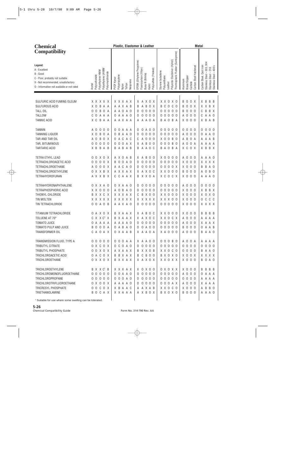| <b>Chemical</b>                                                                                                                                                                                                        |                                                                                                                                                       | <b>Metal</b>                                                                                                                                                                                                                                                                                                                                                            |                                                                                                                                                                                                                                                                                                                                                              |
|------------------------------------------------------------------------------------------------------------------------------------------------------------------------------------------------------------------------|-------------------------------------------------------------------------------------------------------------------------------------------------------|-------------------------------------------------------------------------------------------------------------------------------------------------------------------------------------------------------------------------------------------------------------------------------------------------------------------------------------------------------------------------|--------------------------------------------------------------------------------------------------------------------------------------------------------------------------------------------------------------------------------------------------------------------------------------------------------------------------------------------------------------|
| <b>Compatibility</b>                                                                                                                                                                                                   |                                                                                                                                                       |                                                                                                                                                                                                                                                                                                                                                                         |                                                                                                                                                                                                                                                                                                                                                              |
| Legend:<br>A - Excellent<br>B - Good<br>C - Poor, probably not suitable<br>X - Not recommended, unsatisfactory<br>0 - Information not available or not rated                                                           | Polyethylene UHMW<br>Polyethylene HMW<br>Polyvinylchloride<br>Polycarbonate<br>Acetal                                                                 | Polyester Elastomer (Hytrel)<br>EPDM (Ethylene Propylene)<br>Polysulfide (Thiokol)<br>Fluorocarbon (Viton)<br>Styrene butadiene<br>Buna-N (Nitrile)<br>Polypropylene<br>Polyurethane<br>PVDF Kynar<br>Neoprene<br>Leather<br>Teflon<br>Kalrrz<br>Nylon                                                                                                                  | Thermoplastic Rubber (Santoprene)<br>Stainless Steel - 303, 304<br>Carbon Steel Hardened<br>Carbon Steel, Cast Iron<br>$-400's$<br>316<br>Stainless Steel -<br>Stainless Steel<br>Brass/Copper<br>Aluminum<br>Carbide                                                                                                                                        |
|                                                                                                                                                                                                                        |                                                                                                                                                       |                                                                                                                                                                                                                                                                                                                                                                         |                                                                                                                                                                                                                                                                                                                                                              |
| SULFURIC ACID FUMING OLEUM<br>SULFUROUS ACID<br><b>TALL OIL</b><br><b>TALLOW</b><br><b>TANNIC ACID</b>                                                                                                                 | X X X X X<br>B<br>X <sub>0</sub><br>A A<br>0<br>В<br>0 A<br>0<br>C<br>0<br>A A A<br>C<br>B<br>Χ<br>A A                                                | X X X A X<br>X A X O X<br>X X O X O<br>A A X A B<br>B<br>C<br>$\overline{0}$<br>A<br>0 X<br>B<br>B<br>A A O A O<br>$\mathsf{O}\xspace$<br>0 <sub>0</sub><br>$\mathbf 0$<br>$\overline{0}$<br>$\overline{0}$<br>0<br>0<br>$\mathsf 0$<br>0 A A A 0<br>$\mathsf{O}$<br>0 <sub>0</sub><br>$\overline{0}$<br>$\overline{0}$<br>0<br>0<br>A A X A A<br>A A A O A<br>A O<br>B | $\mathbf 0$<br>$\mathsf{O}$<br>X<br>B<br>B<br>B<br>X<br>- B<br>X X B X<br>C <sub>0</sub><br>$\mathbf 0$<br>$\overline{0}$<br>X<br>B<br>$\overline{0}$<br>B<br>B X<br>0 <sub>0</sub><br>$\mathbf 0$<br>C<br>0<br>B<br>$\overline{0}$<br>0 <sub>0</sub><br>$\mathbf 0$<br>C<br>Α<br>A 0<br>Α<br>0<br>X <sub>0</sub><br>0 <sub>0</sub><br>B<br>B A<br>X.<br>A B |
| <b>TANNIN</b><br><b>TANNING LIQUOR</b><br>TAR AND TAR OIL<br>TAR, BITUMINOUS<br><b>TARTARIC ACID</b>                                                                                                                   | 0<br>A<br>0<br>0 <sub>0</sub><br>$\mathbf 0$<br>B<br>0<br>X<br>A<br>0<br>В<br>0 X<br>А<br>$\mathbf 0$<br>$\mathbf 0$<br>0<br>0<br>- 0<br>X B<br>B A B | 00A A A<br>0<br>A O O<br>- 0<br>0<br>0<br>0<br>$\mathbf 0$<br>O B A<br>A 0<br>$\mathbf 0$<br>0 <sub>0</sub><br>$\overline{0}$<br>$\overline{0}$<br>0<br>0<br>O A C<br>A C<br>$\mathsf{O}$<br>0 <sub>0</sub><br>$X$ 0 0<br>C<br>Α<br>0 0 0 A X<br>X A B O O<br>0 <sub>0</sub><br>$\overline{0}$<br><b>BABAB</b><br>A A O C<br>A O B A<br>B<br>B                          | 0 <sub>0</sub><br>0<br>0<br>0 <sub>0</sub><br>0<br>0<br>0<br>0<br>$\mathbf 0$<br>$\mathbf 0$<br>0 <sub>0</sub><br>A<br>A O<br>А<br>0<br>0<br>$\mathbf 0$<br><b>B</b> 0<br>B<br>A B<br>A<br>Α<br>A<br>A<br>$\overline{0}$<br><b>B</b> 0<br>$\mathbf 0$<br>A<br>A A<br>A<br>A<br>A<br>X C<br>0 X<br>B<br>B X<br>X.                                             |
| TETRA ETHYL LEAD<br>TETRACHLOROACETIC ACID<br>TETRACHLOROETHANE<br><b>TETRACHLOROETHYLENE</b><br><b>TETRAHYDROFURAN</b>                                                                                                | 0<br>X O X<br>0<br>0<br>$\mathbf 0$<br>0 X<br>0<br>0<br>$\mathbf 0$<br>0 X<br>А<br>X X B X<br>0<br>A X X B X                                          | A X O A B<br>$X$ 0 0<br>X A B O O<br><b>BOOAO</b><br>$\mathsf 0$<br>000<br>$\overline{0}$<br>$\overline{0}$<br>0<br>0<br>A A C A O<br>$\mathsf 0$<br>000<br>$\overline{0}$<br>$\overline{0}$<br>0<br>0<br>A X X A X<br>X A X O C<br>X X O<br>CCAAX<br>X C O C X<br>B X X O A                                                                                            | $\overline{0}$<br>0 <sub>0</sub><br>0<br>A A O<br>A<br>- 0<br>A<br>X O<br>$\overline{0}$<br>X X X X<br>0 <sub>0</sub><br>0<br>$X$ 0<br>$\overline{0}$<br>B<br>A O<br>0 X<br>B<br>0<br>$\mathsf{O}$<br>$\overline{0}$<br><b>B</b> 0<br>0 <sub>0</sub><br>0<br>B<br>- 0<br>Α<br>X 0 0 0<br>A A A O                                                             |
| TETRAHYDRONAPHTHALENE<br>TETRAPHOSPHORIC ACID<br>THIONYL CHLORIDE<br>TIN MOLTEN<br>TIN TETRACHLORIDE                                                                                                                   | X X A O<br>0<br>X X 0 0 0<br>X X C X<br>B<br>X X X X X<br>0 A O B<br>0                                                                                | 0 X A A O<br>0<br>0<br>0 <sub>0</sub><br>00<br>0<br>0<br>A O B A O<br>$\mathsf 0$<br>000<br>000<br>0<br>X X X A X<br><b>B X 0 0</b><br>$X$ $X$ $0$ $0$ $0$<br>C<br>X X X X X<br>X X X X X<br>X X X O O<br>A A X A O<br>0000<br>00000<br>0                                                                                                                               | 0 <sub>0</sub><br>0 <sub>0</sub><br>0<br>0<br>A<br>0<br>0<br>0<br>X <sub>0</sub><br>$\sf B$<br>B X<br>0 <sub>0</sub><br>$\overline{0}$<br>X.<br>0<br>$X$ 0 0<br>0 X 0<br>0<br>X.<br>X <sub>0</sub><br>$\overline{0}$<br>C<br>$C$ $C$<br>- 0<br>0<br>X 0 0 0<br>X X X X                                                                                       |
| TITANIUM TETRACHLORIDE<br>TOLUENE AT 70°<br><b>TOMATO JUICE</b><br>TOMATO PULP AND JUICE<br>TRANSFORMER OIL                                                                                                            | 0 A X O X<br>C X X C <sup>1</sup> X<br>OAAAA<br><b>BOOOA</b><br>CAOAX                                                                                 | X A B O C<br>$X$ $X$ $0$ $0$ $0$<br>B X A A X<br>B X A A X<br>X A X O C<br>X X O C X<br>00000<br>00000<br>A A A A O<br>0 A B A O<br>0 0 A 0 0<br>00000<br>O X A A B<br>X A A O A<br>X A 0 0 0                                                                                                                                                                           | $X$ 0 0 0<br>B B<br>B<br>B<br>A 0 0 0<br>A A A A<br>A 0 0 0<br>X A A X<br><b>BOO0</b><br>O A A B<br>A 0 0 0<br>B A A O                                                                                                                                                                                                                                       |
| TRANSMISSION FLUID, TYPE A<br>TRIBUTYL CITRATE<br>TRIBUTYL PHOSPHATE<br>TRICHLOROACETIC ACID<br>TRICHLOROETHANE                                                                                                        | 00000<br>0 X C O X<br>00X0X<br>O A C O X<br>0 X X O X                                                                                                 | 0 0 0 A A<br>X A A O O<br>000B0<br>0 C O A O<br>00000<br>00000<br>B X X O B<br>A X A A X<br>X X O C O<br>B C B O O<br>BBXAX<br>B X O X O<br>B X X A X<br>X A X O X<br>X X O X X                                                                                                                                                                                         | A 0 0 A<br>A A A A<br>0 0 0 0<br>0000<br>0000<br>B A A O<br>X O O X<br>X X X X<br>X 0 0 0<br><b>BOA0</b>                                                                                                                                                                                                                                                     |
| TRICHLOROETHYLENE<br>TRICHLOROMONOFLUOROETHANE<br><b>TRICHLOROPROPANE</b><br>TRICHLOROTRIFLUOROETHANE<br>TRICRESYL PHOSPHATE<br>TRIETHANOLAMINE<br><sup>1</sup> Suitable for use where some swelling can be tolerated. | B X X C <sup>1</sup> B<br>00000<br>00000<br>0 X 0 0 X<br>0000X<br>BOCAX                                                                               | X X X A X<br>$X$ 0 $X$ 0 0<br>0 X 0 X X<br>00000<br>00000<br>0 0 A A 0<br>0 0 0 A 0<br>00000<br>00000<br>00000<br>000AX<br>A A A A O<br>X B A A C<br>X X O C O<br>A A X A B<br>A X B O X<br>X X A A A<br>B X O X O                                                                                                                                                      | $X$ 0 0 0<br>B B B B<br>A 0 0 0<br>OAAA<br>0000<br>A A A A<br>A 0 0 0<br>X A A A<br>$X$ 0 0 0<br>A B B O<br><b>BOO0</b><br>A A A O                                                                                                                                                                                                                           |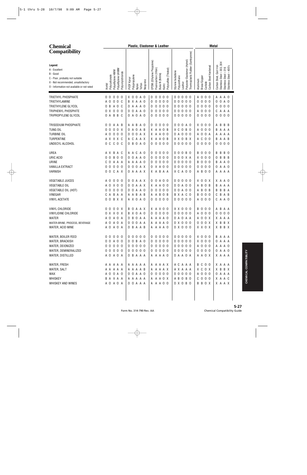| <b>Chemical</b>                                                                                                                                              |                                                                                       | Plastic, Elastomer & Leather                                                                                                                                           | <b>Metal</b>                                                                                                                                                                                                                                                                                      |
|--------------------------------------------------------------------------------------------------------------------------------------------------------------|---------------------------------------------------------------------------------------|------------------------------------------------------------------------------------------------------------------------------------------------------------------------|---------------------------------------------------------------------------------------------------------------------------------------------------------------------------------------------------------------------------------------------------------------------------------------------------|
| <b>Compatibility</b>                                                                                                                                         |                                                                                       |                                                                                                                                                                        |                                                                                                                                                                                                                                                                                                   |
| Legend:<br>A - Excellent<br>B - Good<br>C - Poor, probably not suitable<br>X - Not recommended, unsatisfactory<br>O - Information not available or not rated | Polyethylene UHMW<br>Polyethylene HMW<br>Polyvinylchloride<br>Polycarbonate<br>Acetal | EPDM (Ethylene Propylene)<br>Polysulfide (Thiokol)<br>Fluorocarbon (Viton)<br>Buna-N (Nitrile)<br>Polypropylene<br>PVDF Kynar<br>Neoprene<br>Teflon<br>Kalrrz<br>Nylon | Thermoplastic Rubber (Santoprene)<br>Polyester Elastomer (Hytrel)<br>304<br>Carbon Steel, Cast Iron<br>Carbon Steel Hardened<br>Stainless Steel - 400's<br>Stainless Steel - 303,<br>Stainless Steel - 316<br>Styrene butadiene<br>Polyurethane<br>Brass/Copper<br>Aluminum<br>Carbide<br>Leather |
| TRIETHYL PHOSPHATE                                                                                                                                           | 0<br>0<br>0<br>0<br>-0                                                                | X O<br>0<br>$\mathbf 0$<br>A O<br>0<br>0<br>0 <sub>0</sub>                                                                                                             | $0\quad 0\quad 0$<br>0 <sub>0</sub><br>0<br>A<br>0 <sub>0</sub><br>А<br>A<br>A O                                                                                                                                                                                                                  |
| TRIETHYLAMINE                                                                                                                                                | 0 <sub>0</sub><br>A<br>0<br>C                                                         | 0<br>XAA O<br>0 <sub>0</sub><br>B<br>0<br>0                                                                                                                            | 00000<br>0 <sub>0</sub><br>0<br>0<br>0<br>0<br>A O                                                                                                                                                                                                                                                |
| TRIETHYLENE GLYCOL                                                                                                                                           | A O<br>B<br>C<br>0                                                                    | A A A O<br>0<br>0 <sub>0</sub><br>0<br>0<br>0                                                                                                                          | 00000<br>0 <sub>0</sub><br>0 <sub>0</sub><br>0<br>0<br>0<br>0                                                                                                                                                                                                                                     |
| TRIPHENYL PHOSPHITE                                                                                                                                          | 000<br>0<br>X                                                                         | 0<br>A<br>A O<br>$\mathbf 0$<br>0 <sub>0</sub><br>0<br>0<br>0                                                                                                          | 00000<br>0 <sub>0</sub><br>0<br>С<br>A A<br>A<br>A                                                                                                                                                                                                                                                |
| TRIPROPYLENE GLYCOL                                                                                                                                          | B B C<br>0 A                                                                          | 0 A O A O<br>000<br>0<br>0                                                                                                                                             | 00000<br>00<br>0 <sub>0</sub><br>0 <sub>0</sub><br>0<br>0                                                                                                                                                                                                                                         |
|                                                                                                                                                              |                                                                                       |                                                                                                                                                                        |                                                                                                                                                                                                                                                                                                   |
| <b>TRISODIUM PHOSPHATE</b><br><b>TUNG OIL</b>                                                                                                                | 0<br>0<br>A A<br>B<br>00X                                                             | B<br>0<br>A<br>A O<br>0<br>0<br>0 <sub>0</sub><br>A<br>A O<br>A B                                                                                                      | 0 0 0 A 0<br>X O<br>0 <sub>0</sub><br>B<br>B<br>B<br>А<br>хc<br>0 B 0<br>0 <sub>0</sub>                                                                                                                                                                                                           |
| <b>TURBINE OIL</b>                                                                                                                                           | 0<br>0<br>0 <sub>0</sub><br>Α<br>0<br>- 0                                             | A<br>0 B<br>0<br>X<br>A<br>$\boldsymbol{0}$<br>0<br>A X<br>Χ<br>A<br>A<br>0 <sub>0</sub><br>0                                                                          | 0<br>В<br>Α<br>A<br>A A<br>0 A O O O<br>0 A<br>0<br>A A<br>А<br>А<br>A                                                                                                                                                                                                                            |
| TURPENTINE                                                                                                                                                   | A X X X C                                                                             | C<br>A X<br>А<br>Χ<br>A<br>A<br>0 B<br>A                                                                                                                               | X X O B X<br>C<br>0 <sub>0</sub><br>A B<br>В<br>А<br>Α                                                                                                                                                                                                                                            |
| UNDECYL ALCOHOL                                                                                                                                              | C<br>$C$ $O$ $C$<br>0                                                                 | B<br>$\mathbf 0$<br>A 0<br>000<br>0<br>0<br>0                                                                                                                          | 00000<br>$\mathbf 0$<br>0 <sub>0</sub><br>0 <sub>0</sub><br>0<br>0<br>0                                                                                                                                                                                                                           |
|                                                                                                                                                              |                                                                                       |                                                                                                                                                                        |                                                                                                                                                                                                                                                                                                   |
| UREA                                                                                                                                                         | AX.<br>B A C                                                                          | A A C<br>A O<br>0<br>0 <sub>0</sub><br>0<br>0                                                                                                                          | 0 0 0 B 0<br>B<br>0<br>0 <sub>0</sub><br>B<br>B<br>- 0<br>В                                                                                                                                                                                                                                       |
| URIC ACID                                                                                                                                                    | 0<br><b>BOO</b><br>0                                                                  | 0 A A O<br>$\mathbf 0$<br>0 <sub>0</sub><br>0<br>0<br>0                                                                                                                | 0 0 0 X A<br>0 <sub>0</sub><br>ΧO<br>B<br>B B<br>0                                                                                                                                                                                                                                                |
| URINE                                                                                                                                                        | 0<br>A A A<br>C                                                                       | 0<br>0 <sub>0</sub><br>A A A A O<br>0<br>0                                                                                                                             | 00000<br>$\mathbf 0$<br>0 <sub>0</sub><br>B<br>A O<br>В<br>A                                                                                                                                                                                                                                      |
| <b>VANILLA EXTRACT</b>                                                                                                                                       | 0 <sub>0</sub><br>0<br>0<br>- 0                                                       | $\mathbf 0$<br>0<br>A X<br>X A O O<br>0<br>0                                                                                                                           | 00000<br>0 <sub>0</sub><br>0<br>0<br>0<br>А<br>A O                                                                                                                                                                                                                                                |
| <b>VARNISH</b>                                                                                                                                               | 0<br>C A X<br>0                                                                       | 0 A A A X<br>A B A A<br>X                                                                                                                                              | X C A O O<br>B<br>0 <sub>0</sub><br>A A<br>A<br>А<br>A                                                                                                                                                                                                                                            |
| <b>VEGETABLE JUICES</b>                                                                                                                                      | 0<br>0<br>0<br>A<br>- 0                                                               | 0<br>A<br>A X<br>0 <sub>0</sub><br>0<br>0<br>0<br>A                                                                                                                    | 00000<br>ΧO<br>0 X<br>A O<br>Χ<br>A                                                                                                                                                                                                                                                               |
| <b>VEGETABLE OIL</b>                                                                                                                                         | X O<br>ΑO<br>- 0                                                                      | 0<br>A X<br>A<br>A<br>A<br>0 <sub>0</sub><br>0<br>X                                                                                                                    | 00A00<br>0 <sub>B</sub><br>B<br>В<br>A A<br>А<br>A                                                                                                                                                                                                                                                |
| VEGETABLE OIL (HOT)                                                                                                                                          | 0 <sub>0</sub><br>0<br>0<br>- 0                                                       | $\mathbf 0$<br>A<br>A O<br>0<br>0 <sub>0</sub><br>0<br>0<br>0                                                                                                          | 00A00<br>0 <sub>B</sub><br>B<br>B A<br>В<br>А<br>В                                                                                                                                                                                                                                                |
| VINEGAR                                                                                                                                                      | B A A<br>A<br>C                                                                       | A<br>B<br>A B<br>B<br>Α<br>0 B<br>A<br>Α                                                                                                                               | B X A C O<br>0 <sub>0</sub><br>В<br>0<br>C<br>B<br>A B                                                                                                                                                                                                                                            |
| <b>VINYL ACETATE</b>                                                                                                                                         | 0<br>B X X<br>0                                                                       | A X O A O<br>$0000$<br>0                                                                                                                                               | 00000<br>A O<br>0 <sub>0</sub><br>C<br>A O<br>A                                                                                                                                                                                                                                                   |
| VINYL CHLORIDE                                                                                                                                               | 0 0 X<br>0<br>0                                                                       | B<br>0<br>A<br>AX<br>X<br>A X O O                                                                                                                                      | X X O O O<br>B<br>0<br>0 <sub>0</sub><br>B<br>A A<br>Α                                                                                                                                                                                                                                            |
| VINYLIDINE CHLORIDE                                                                                                                                          | 0 X X 0 X                                                                             | B X O A O<br>0000<br>0                                                                                                                                                 | 00000<br>A 0 0 0<br>0<br>0<br>00                                                                                                                                                                                                                                                                  |
| WATER                                                                                                                                                        | A 0 A 0 A                                                                             | 0 B O A A<br>A A A A O                                                                                                                                                 | 0 A O A A<br>A 0 0 X<br>X A A A                                                                                                                                                                                                                                                                   |
| WATER-BRINE, PROCESS, BEVERAGE                                                                                                                               | A O A O A                                                                             | 0 0 0 A A<br>A A A A O                                                                                                                                                 | $0 \times 0 0 0$<br>000X<br>X B B X                                                                                                                                                                                                                                                               |
| WATER, ACID MINE                                                                                                                                             | A 0 A 0 A                                                                             | O B A A B<br>A A A A O                                                                                                                                                 | $0 \times 0 0 0$<br>X X O X<br>X B B X                                                                                                                                                                                                                                                            |
| WATER, BOILER FEED                                                                                                                                           | 00000                                                                                 | 00000<br>00000                                                                                                                                                         | 00000<br>$X$ 0 0 0<br>B A A A                                                                                                                                                                                                                                                                     |
| WATER, BRACKISH                                                                                                                                              | 0 0 A 0 0                                                                             | 0 0 B A 0<br>$00000$                                                                                                                                                   | 00000<br>$X$ 0 0 0<br>O A A A                                                                                                                                                                                                                                                                     |
| WATER, DEIONIZED                                                                                                                                             | 00000                                                                                 | 00000<br>00000                                                                                                                                                         | 00000<br>A 0 0 0<br>A A A O                                                                                                                                                                                                                                                                       |
| WATER, DEMINERALIZED                                                                                                                                         | 00000                                                                                 | 00000<br>00000                                                                                                                                                         | 00000<br>0000<br>0 A A O                                                                                                                                                                                                                                                                          |
| WATER, DISTILLED                                                                                                                                             | A O A O A                                                                             | O B A A A<br>A A A A O                                                                                                                                                 | 0 A A O A<br>A A O X<br>X A A A                                                                                                                                                                                                                                                                   |
| WATER, FRESH                                                                                                                                                 | A A A A A                                                                             | A A A A X<br>A A A A A                                                                                                                                                 | A C A A A<br>B C O O<br>X A A A                                                                                                                                                                                                                                                                   |
| WATER, SALT                                                                                                                                                  | A A A A A                                                                             | A A A A X<br>AAAAB                                                                                                                                                     | A X A A A<br>X C O X<br>X B B X                                                                                                                                                                                                                                                                   |
| WAX                                                                                                                                                          | A 0 0 A 0                                                                             | 0 0 A A 0<br>00000                                                                                                                                                     | 00000<br>A 0 0 0<br>0 A A A                                                                                                                                                                                                                                                                       |
| WHISKEY                                                                                                                                                      | B A X A A                                                                             | A A A O X<br>A A A A A                                                                                                                                                 | A B O B O<br>$C$ 0 0 0<br>X A A C                                                                                                                                                                                                                                                                 |
| WHISKEY AND WINES                                                                                                                                            | A O A O A                                                                             | 0 0 A A A<br>A A A O O                                                                                                                                                 | $0 \times 0$ B O<br><b>BBOX</b><br>X A A X                                                                                                                                                                                                                                                        |
|                                                                                                                                                              |                                                                                       |                                                                                                                                                                        |                                                                                                                                                                                                                                                                                                   |
|                                                                                                                                                              |                                                                                       |                                                                                                                                                                        |                                                                                                                                                                                                                                                                                                   |
|                                                                                                                                                              |                                                                                       |                                                                                                                                                                        |                                                                                                                                                                                                                                                                                                   |